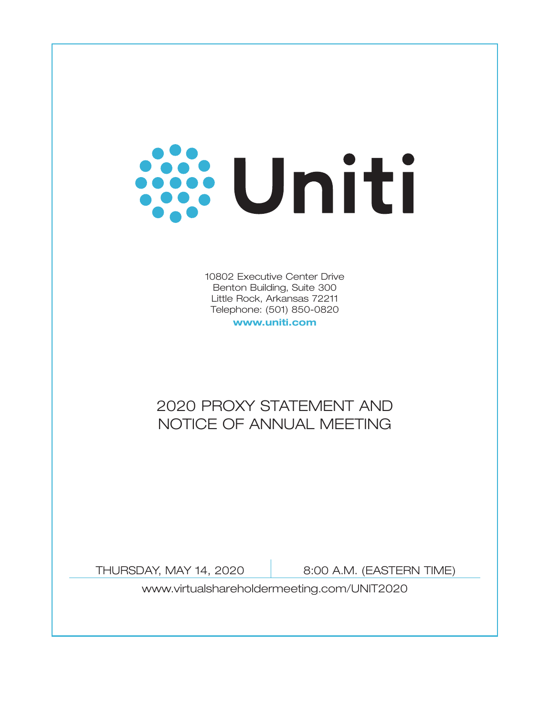

10802 Executive Center Drive Benton Building, Suite 300 Little Rock, Arkansas 72211 Telephone: (501) 850-0820

**www.uniti.com**

# 2020 PROXY STATEMENT AND NOTICE OF ANNUAL MEETING

THURSDAY, MAY 14, 2020 | 8:00 A.M. (EASTERN TIME)

www.virtualshareholdermeeting.com/UNIT2020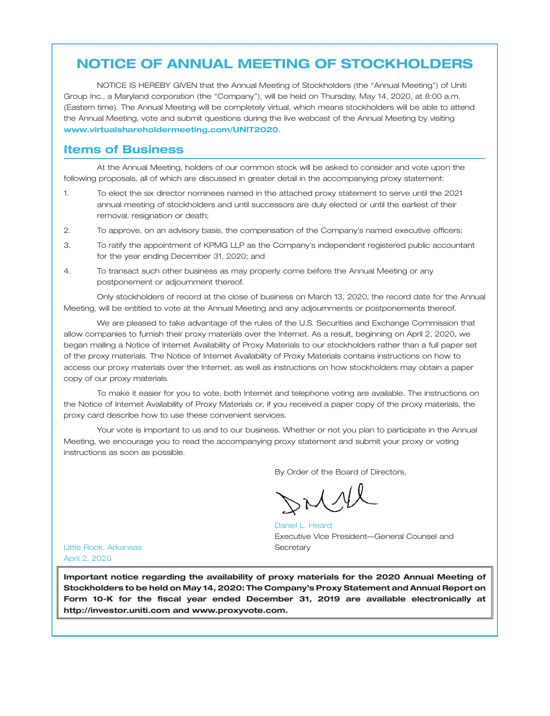# **NOTICE OF ANNUAL MEETING OF STOCKHOLDERS**

NOTICE IS HEREBY GIVEN that the Annual Meeting of Stockholders (the ''Annual Meeting'') of Uniti Group Inc., a Maryland corporation (the ''Company''), will be held on Thursday, May 14, 2020, at 8:00 a.m. (Eastern time). The Annual Meeting will be completely virtual, which means stockholders will be able to attend the Annual Meeting, vote and submit questions during the live webcast of the Annual Meeting by visiting . **www.virtualshareholdermeeting.com/UNIT2020**

### **Items of Business**

At the Annual Meeting, holders of our common stock will be asked to consider and vote upon the following proposals, all of which are discussed in greater detail in the accompanying proxy statement:

- 1. To elect the six director nominees named in the attached proxy statement to serve until the 2021 annual meeting of stockholders and until successors are duly elected or until the earliest of their removal, resignation or death;
- 2. To approve, on an advisory basis, the compensation of the Company's named executive officers;
- 3. To ratify the appointment of KPMG LLP as the Company's independent registered public accountant for the year ending December 31, 2020; and
- 4. To transact such other business as may properly come before the Annual Meeting or any postponement or adjournment thereof.

Only stockholders of record at the close of business on March 13, 2020, the record date for the Annual Meeting, will be entitled to vote at the Annual Meeting and any adjournments or postponements thereof.

We are pleased to take advantage of the rules of the U.S. Securities and Exchange Commission that allow companies to furnish their proxy materials over the Internet. As a result, beginning on April 2, 2020, we began mailing a Notice of Internet Availability of Proxy Materials to our stockholders rather than a full paper set of the proxy materials. The Notice of Internet Availability of Proxy Materials contains instructions on how to access our proxy materials over the Internet, as well as instructions on how stockholders may obtain a paper copy of our proxy materials.

To make it easier for you to vote, both Internet and telephone voting are available. The instructions on the Notice of Internet Availability of Proxy Materials or, if you received a paper copy of the proxy materials, the proxy card describe how to use these convenient services.

Your vote is important to us and to our business. Whether or not you plan to participate in the Annual Meeting, we encourage you to read the accompanying proxy statement and submit your proxy or voting instructions as soon as possible.

By Order of the Board of Directors,

Executive Vice President—General Counsel and **Secretary** Daniel L. Heard

Little Rock, Arkansas April 2, 2020

**Important notice regarding the availability of proxy materials for the 2020 Annual Meeting of Stockholders to be held on May 14, 2020: The Company's Proxy Statement and Annual Report on Form 10-K for the fiscal year ended December 31, 2019 are available electronically at http://investor.uniti.com and www.proxyvote.com.**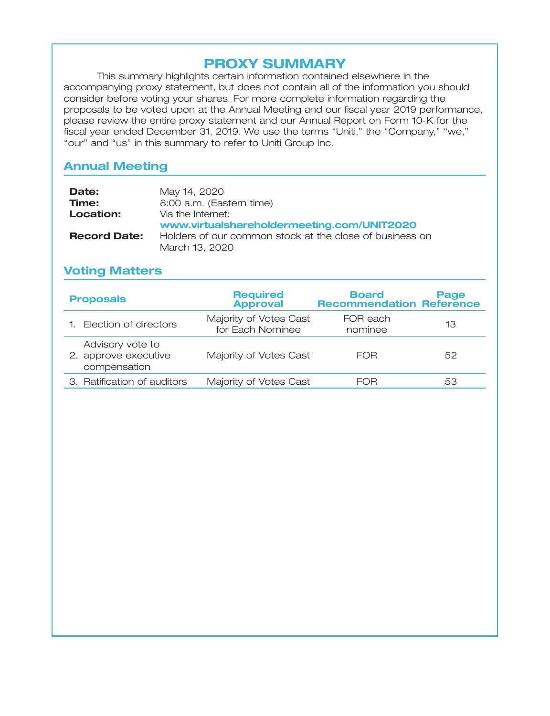# **PROXY SUMMARY**

This summary highlights certain information contained elsewhere in the accompanying proxy statement, but does not contain all of the information you should consider before voting your shares. For more complete information regarding the proposals to be voted upon at the Annual Meeting and our fiscal year 2019 performance, please review the entire proxy statement and our Annual Report on Form 10-K for the fiscal year ended December 31, 2019. We use the terms "Uniti," the "Company," "we," "our" and "us" in this summary to refer to Uniti Group Inc.

# **Annual Meeting**

| Date:               | May 14, 2020                                            |
|---------------------|---------------------------------------------------------|
| Time:               | 8:00 a.m. (Eastern time)                                |
| Location:           | Via the Internet:                                       |
|                     | www.virtualshareholdermeeting.com/UNIT2020              |
| <b>Record Date:</b> | Holders of our common stock at the close of business on |
|                     | March 13, 2020                                          |

# **Voting Matters**

| <b>Proposals</b>                                         | <b>Required</b><br><b>Approval</b>         | <b>Board</b><br><b>Recommendation Reference</b> | Page |
|----------------------------------------------------------|--------------------------------------------|-------------------------------------------------|------|
| 1. Election of directors                                 | Majority of Votes Cast<br>for Each Nominee | FOR each<br>nominee                             | 13   |
| Advisory vote to<br>2. approve executive<br>compensation | Majority of Votes Cast                     | FOR                                             | 52   |
| 3. Ratification of auditors                              | Majority of Votes Cast                     | FOR                                             | 53   |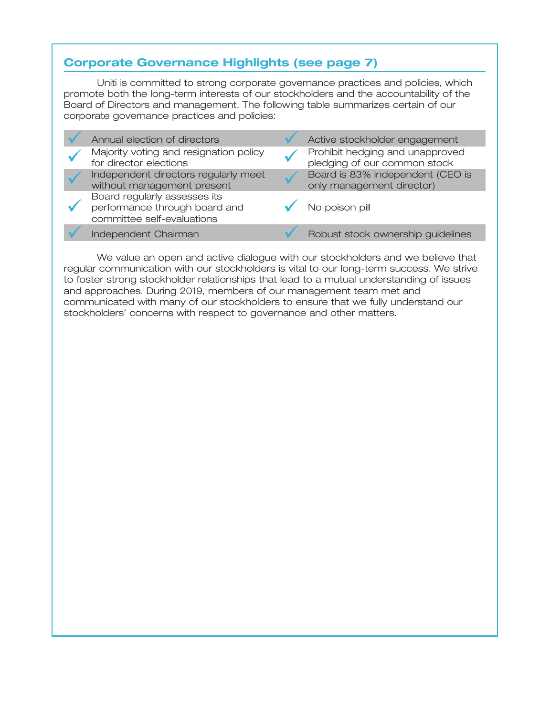# **Corporate Governance Highlights (see page 7)**

Uniti is committed to strong corporate governance practices and policies, which promote both the long-term interests of our stockholders and the accountability of the Board of Directors and management. The following table summarizes certain of our corporate governance practices and policies:

|  | Annual election of directors                                                                | Active stockholder engagement                                   |
|--|---------------------------------------------------------------------------------------------|-----------------------------------------------------------------|
|  | Majority voting and resignation policy<br>for director elections                            | Prohibit hedging and unapproved<br>pledging of our common stock |
|  | Independent directors regularly meet<br>without management present                          | Board is 83% independent (CEO is<br>only management director)   |
|  | Board regularly assesses its<br>performance through board and<br>committee self-evaluations | No poison pill                                                  |
|  | Independent Chairman                                                                        | Robust stock ownership guidelines                               |

We value an open and active dialogue with our stockholders and we believe that regular communication with our stockholders is vital to our long-term success. We strive to foster strong stockholder relationships that lead to a mutual understanding of issues and approaches. During 2019, members of our management team met and communicated with many of our stockholders to ensure that we fully understand our stockholders' concerns with respect to governance and other matters.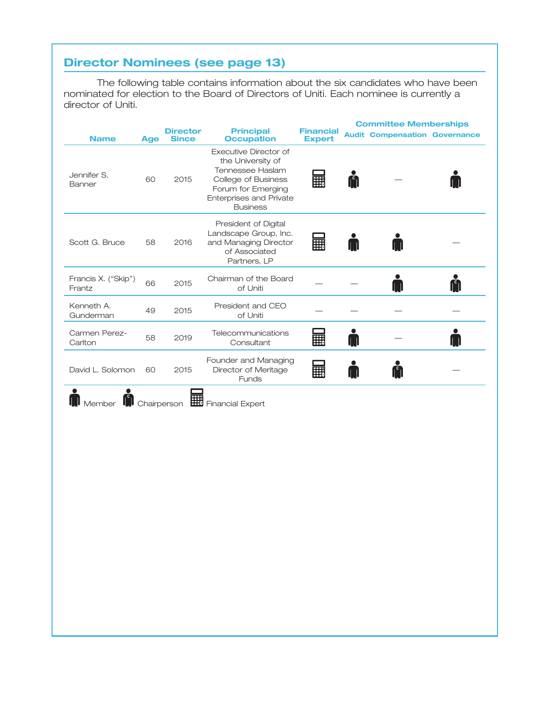# **Director Nominees (see page 13)**

The following table contains information about the six candidates who have been nominated for election to the Board of Directors of Uniti. Each nominee is currently a director of Uniti.

| Executive Director of<br>the University of<br>Tennessee Haslam<br>噩<br>Ă<br>60<br>2015<br>College of Business<br>Forum for Emerging<br>Enterprises and Private<br><b>Business</b><br>President of Digital<br>Landscape Group, Inc.<br>讍<br>2016<br>and Managing Director<br>58<br>M<br>of Associated<br>Partners, LP<br>Chairman of the Board<br>Ă<br>66<br>2015<br>of Uniti<br>Frantz<br>President and CEO<br>49<br>2015<br>Gunderman<br>of Uniti<br>Telecommunications<br>58<br>E<br>2019<br>$\blacksquare$<br>Carlton<br>Consultant<br>Founder and Managing<br>≗<br>畾<br>A<br>2015<br>60<br>Director of Meritage<br>M<br>Funds<br>$\bullet$<br>$\bullet$ |                       | <b>Age</b> | <b>Director</b><br><b>Since</b> | <b>Principal</b><br><b>Occupation</b> | <b>Financial</b><br><b>Expert</b> | <b>Audit Compensation Governance</b> |  |
|-------------------------------------------------------------------------------------------------------------------------------------------------------------------------------------------------------------------------------------------------------------------------------------------------------------------------------------------------------------------------------------------------------------------------------------------------------------------------------------------------------------------------------------------------------------------------------------------------------------------------------------------------------------|-----------------------|------------|---------------------------------|---------------------------------------|-----------------------------------|--------------------------------------|--|
| Scott G. Bruce<br>Francis X. ("Skip")<br>Kenneth A.<br>Carmen Perez-<br>David L. Solomon<br>Member Chairperson <b>ED</b> Financial Expert                                                                                                                                                                                                                                                                                                                                                                                                                                                                                                                   | Jennifer S.<br>Banner |            |                                 |                                       |                                   |                                      |  |
|                                                                                                                                                                                                                                                                                                                                                                                                                                                                                                                                                                                                                                                             |                       |            |                                 |                                       |                                   |                                      |  |
|                                                                                                                                                                                                                                                                                                                                                                                                                                                                                                                                                                                                                                                             |                       |            |                                 |                                       |                                   |                                      |  |
|                                                                                                                                                                                                                                                                                                                                                                                                                                                                                                                                                                                                                                                             |                       |            |                                 |                                       |                                   |                                      |  |
|                                                                                                                                                                                                                                                                                                                                                                                                                                                                                                                                                                                                                                                             |                       |            |                                 |                                       |                                   |                                      |  |
|                                                                                                                                                                                                                                                                                                                                                                                                                                                                                                                                                                                                                                                             |                       |            |                                 |                                       |                                   |                                      |  |
|                                                                                                                                                                                                                                                                                                                                                                                                                                                                                                                                                                                                                                                             |                       |            |                                 |                                       |                                   |                                      |  |
|                                                                                                                                                                                                                                                                                                                                                                                                                                                                                                                                                                                                                                                             |                       |            |                                 |                                       |                                   |                                      |  |
|                                                                                                                                                                                                                                                                                                                                                                                                                                                                                                                                                                                                                                                             |                       |            |                                 |                                       |                                   |                                      |  |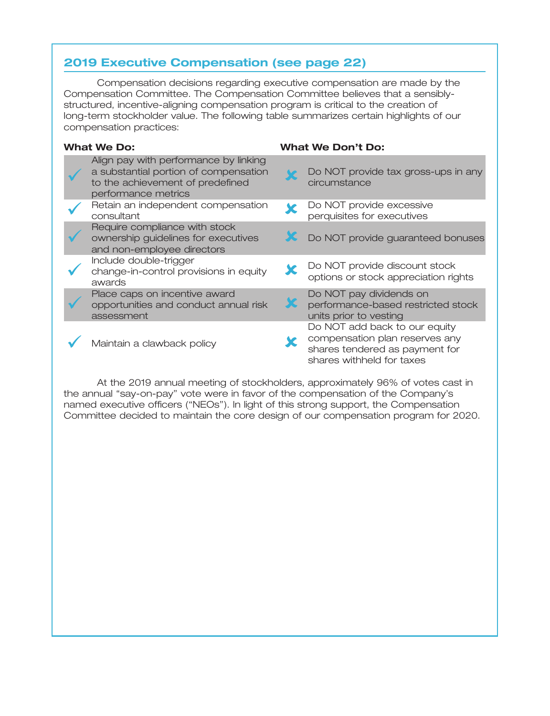# **2019 Executive Compensation (see page 22)**

Compensation decisions regarding executive compensation are made by the Compensation Committee. The Compensation Committee believes that a sensiblystructured, incentive-aligning compensation program is critical to the creation of long-term stockholder value. The following table summarizes certain highlights of our compensation practices:

| <b>What We Do:</b>                                                                                                                        | <b>What We Don't Do:</b> |                                                                                                                                |  |
|-------------------------------------------------------------------------------------------------------------------------------------------|--------------------------|--------------------------------------------------------------------------------------------------------------------------------|--|
| Align pay with performance by linking<br>a substantial portion of compensation<br>to the achievement of predefined<br>performance metrics |                          | Do NOT provide tax gross-ups in any<br>circumstance                                                                            |  |
| Retain an independent compensation<br>consultant                                                                                          |                          | Do NOT provide excessive<br>perquisites for executives                                                                         |  |
| Require compliance with stock<br>ownership guidelines for executives<br>and non-employee directors                                        |                          | Do NOT provide guaranteed bonuses                                                                                              |  |
| Include double-trigger<br>change-in-control provisions in equity<br>awards                                                                |                          | Do NOT provide discount stock<br>options or stock appreciation rights                                                          |  |
| Place caps on incentive award<br>opportunities and conduct annual risk<br>assessment                                                      |                          | Do NOT pay dividends on<br>performance-based restricted stock<br>units prior to vesting                                        |  |
| Maintain a clawback policy                                                                                                                |                          | Do NOT add back to our equity<br>compensation plan reserves any<br>shares tendered as payment for<br>shares withheld for taxes |  |

At the 2019 annual meeting of stockholders, approximately 96% of votes cast in the annual "say-on-pay" vote were in favor of the compensation of the Company's named executive officers (''NEOs''). In light of this strong support, the Compensation Committee decided to maintain the core design of our compensation program for 2020.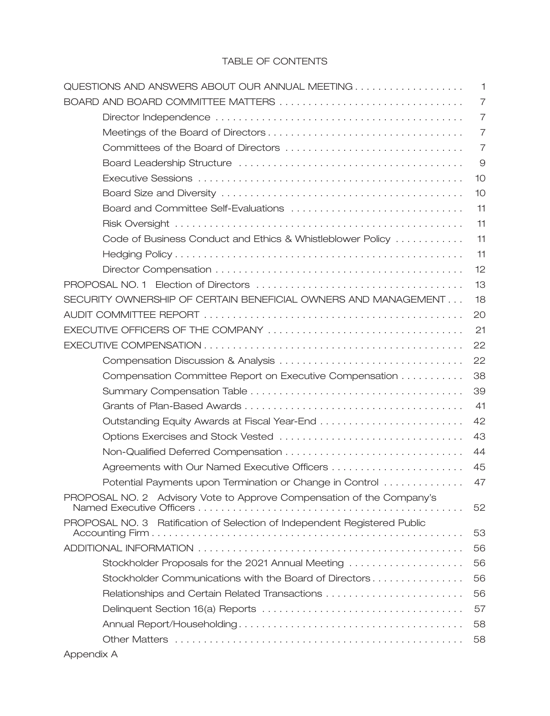## TABLE OF CONTENTS

| QUESTIONS AND ANSWERS ABOUT OUR ANNUAL MEETING<br>$\mathbf{1}$                  |
|---------------------------------------------------------------------------------|
| BOARD AND BOARD COMMITTEE MATTERS<br>7                                          |
| $\overline{7}$                                                                  |
| $\overline{7}$                                                                  |
| $\overline{7}$                                                                  |
| 9                                                                               |
| 10                                                                              |
| 10                                                                              |
| 11                                                                              |
| 11                                                                              |
| 11<br>Code of Business Conduct and Ethics & Whistleblower Policy                |
| 11                                                                              |
| 12                                                                              |
| 13                                                                              |
| SECURITY OWNERSHIP OF CERTAIN BENEFICIAL OWNERS AND MANAGEMENT<br>18            |
| 20                                                                              |
| 21                                                                              |
| 22                                                                              |
| 22                                                                              |
| 38<br>Compensation Committee Report on Executive Compensation                   |
| 39                                                                              |
| 41                                                                              |
| 42<br>Outstanding Equity Awards at Fiscal Year-End                              |
| 43                                                                              |
| 44                                                                              |
| 45                                                                              |
| Potential Payments upon Termination or Change in Control<br>47                  |
| PROPOSAL NO. 2 Advisory Vote to Approve Compensation of the Company's<br>52     |
| PROPOSAL NO. 3 Ratification of Selection of Independent Registered Public<br>53 |
| 56                                                                              |
| Stockholder Proposals for the 2021 Annual Meeting<br>56                         |
| Stockholder Communications with the Board of Directors<br>56                    |
| Relationships and Certain Related Transactions<br>56                            |
| 57                                                                              |
| 58                                                                              |
| 58                                                                              |

Appendix A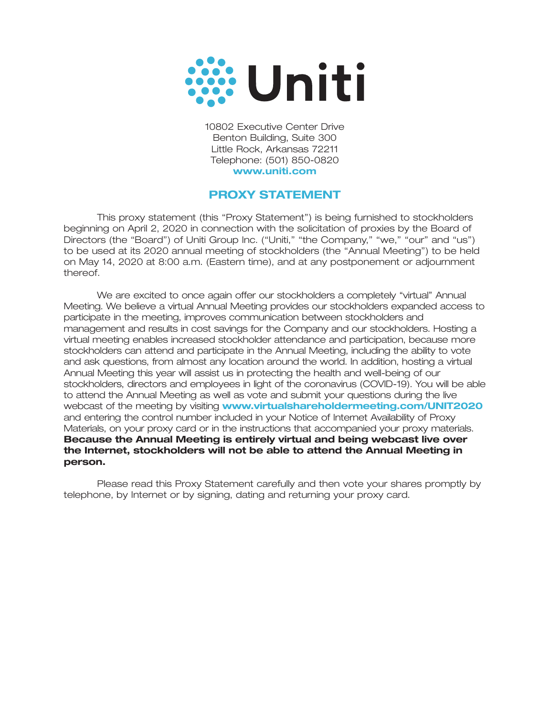

10802 Executive Center Drive Benton Building, Suite 300 Little Rock, Arkansas 72211 Telephone: (501) 850-0820 **www.uniti.com**

# **PROXY STATEMENT**

This proxy statement (this ''Proxy Statement'') is being furnished to stockholders beginning on April 2, 2020 in connection with the solicitation of proxies by the Board of Directors (the "Board") of Uniti Group Inc. ("Uniti," "the Company," "we," "our" and "us") to be used at its 2020 annual meeting of stockholders (the ''Annual Meeting'') to be held on May 14, 2020 at 8:00 a.m. (Eastern time), and at any postponement or adjournment thereof.

We are excited to once again offer our stockholders a completely ''virtual'' Annual Meeting. We believe a virtual Annual Meeting provides our stockholders expanded access to participate in the meeting, improves communication between stockholders and management and results in cost savings for the Company and our stockholders. Hosting a virtual meeting enables increased stockholder attendance and participation, because more stockholders can attend and participate in the Annual Meeting, including the ability to vote and ask questions, from almost any location around the world. In addition, hosting a virtual Annual Meeting this year will assist us in protecting the health and well-being of our stockholders, directors and employees in light of the coronavirus (COVID-19). You will be able to attend the Annual Meeting as well as vote and submit your questions during the live webcast of the meeting by visiting **www.virtualshareholdermeeting.com/UNIT2020**and entering the control number included in your Notice of Internet Availability of Proxy Materials, on your proxy card or in the instructions that accompanied your proxy materials. **Because the Annual Meeting is entirely virtual and being webcast live over the Internet, stockholders will not be able to attend the Annual Meeting in person.**

Please read this Proxy Statement carefully and then vote your shares promptly by telephone, by Internet or by signing, dating and returning your proxy card.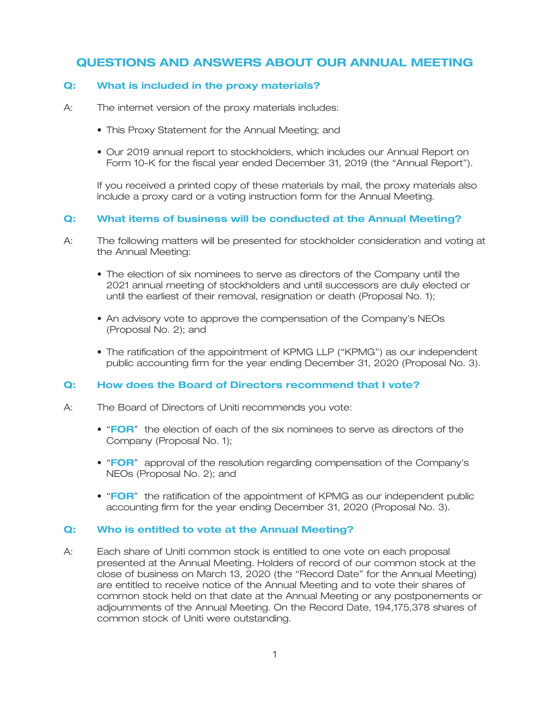# **QUESTIONS AND ANSWERS ABOUT OUR ANNUAL MEETING**

### **Q: What is included in the proxy materials?**

- A: The internet version of the proxy materials includes:
	- This Proxy Statement for the Annual Meeting; and
	- Our 2019 annual report to stockholders, which includes our Annual Report on Form 10-K for the fiscal year ended December 31, 2019 (the "Annual Report").

If you received a printed copy of these materials by mail, the proxy materials also include a proxy card or a voting instruction form for the Annual Meeting.

### **Q: What items of business will be conducted at the Annual Meeting?**

- A: The following matters will be presented for stockholder consideration and voting at the Annual Meeting:
	- The election of six nominees to serve as directors of the Company until the 2021 annual meeting of stockholders and until successors are duly elected or until the earliest of their removal, resignation or death (Proposal No. 1);
	- An advisory vote to approve the compensation of the Company's NEOs (Proposal No. 2); and
	- The ratification of the appointment of KPMG LLP (''KPMG'') as our independent public accounting firm for the year ending December 31, 2020 (Proposal No. 3).

### **Q: How does the Board of Directors recommend that I vote?**

- A: The Board of Directors of Uniti recommends you vote:
	- "FOR" the election of each of the six nominees to serve as directors of the Company (Proposal No. 1);
	- "FOR" approval of the resolution regarding compensation of the Company's NEOs (Proposal No. 2); and
	- "FOR" the ratification of the appointment of KPMG as our independent public accounting firm for the year ending December 31, 2020 (Proposal No. 3).

### **Q: Who is entitled to vote at the Annual Meeting?**

A: Each share of Uniti common stock is entitled to one vote on each proposal presented at the Annual Meeting. Holders of record of our common stock at the close of business on March 13, 2020 (the ''Record Date'' for the Annual Meeting) are entitled to receive notice of the Annual Meeting and to vote their shares of common stock held on that date at the Annual Meeting or any postponements or adjournments of the Annual Meeting. On the Record Date, 194,175,378 shares of common stock of Uniti were outstanding.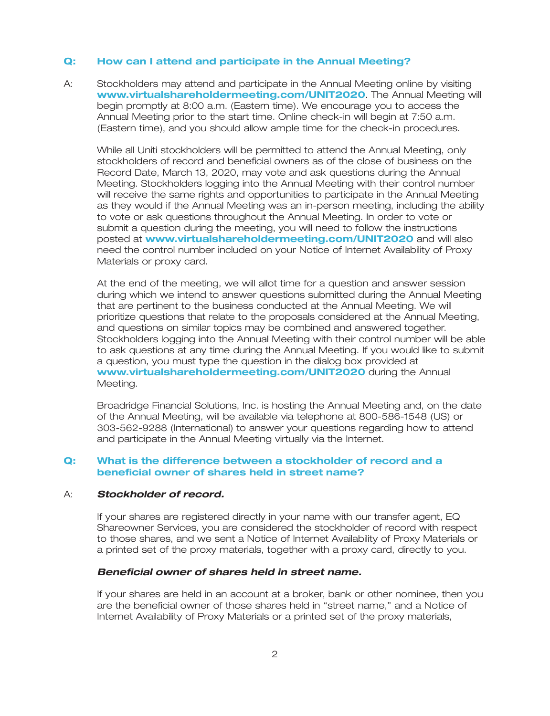#### **Q: How can I attend and participate in the Annual Meeting?**

A: Stockholders may attend and participate in the Annual Meeting online by visiting **www.virtualshareholdermeeting.com/UNIT2020**. The Annual Meeting will begin promptly at 8:00 a.m. (Eastern time). We encourage you to access the Annual Meeting prior to the start time. Online check-in will begin at 7:50 a.m. (Eastern time), and you should allow ample time for the check-in procedures.

While all Uniti stockholders will be permitted to attend the Annual Meeting, only stockholders of record and beneficial owners as of the close of business on the Record Date, March 13, 2020, may vote and ask questions during the Annual Meeting. Stockholders logging into the Annual Meeting with their control number will receive the same rights and opportunities to participate in the Annual Meeting as they would if the Annual Meeting was an in-person meeting, including the ability to vote or ask questions throughout the Annual Meeting. In order to vote or submit a question during the meeting, you will need to follow the instructions **posted at www.virtualshareholdermeeting.com/UNIT2020** and will also need the control number included on your Notice of Internet Availability of Proxy Materials or proxy card.

At the end of the meeting, we will allot time for a question and answer session during which we intend to answer questions submitted during the Annual Meeting that are pertinent to the business conducted at the Annual Meeting. We will prioritize questions that relate to the proposals considered at the Annual Meeting, and questions on similar topics may be combined and answered together. Stockholders logging into the Annual Meeting with their control number will be able to ask questions at any time during the Annual Meeting. If you would like to submit a question, you must type the question in the dialog box provided at www.virtualshareholdermeeting.com/UNIT2020 during the Annual Meeting.

Broadridge Financial Solutions, Inc. is hosting the Annual Meeting and, on the date of the Annual Meeting, will be available via telephone at 800-586-1548 (US) or 303-562-9288 (International) to answer your questions regarding how to attend and participate in the Annual Meeting virtually via the Internet.

### **Q: What is the difference between a stockholder of record and a beneficial owner of shares held in street name?**

#### A: *Stockholder of record.*

If your shares are registered directly in your name with our transfer agent, EQ Shareowner Services, you are considered the stockholder of record with respect to those shares, and we sent a Notice of Internet Availability of Proxy Materials or a printed set of the proxy materials, together with a proxy card, directly to you.

### *Beneficial owner of shares held in street name.*

If your shares are held in an account at a broker, bank or other nominee, then you are the beneficial owner of those shares held in ''street name,'' and a Notice of Internet Availability of Proxy Materials or a printed set of the proxy materials,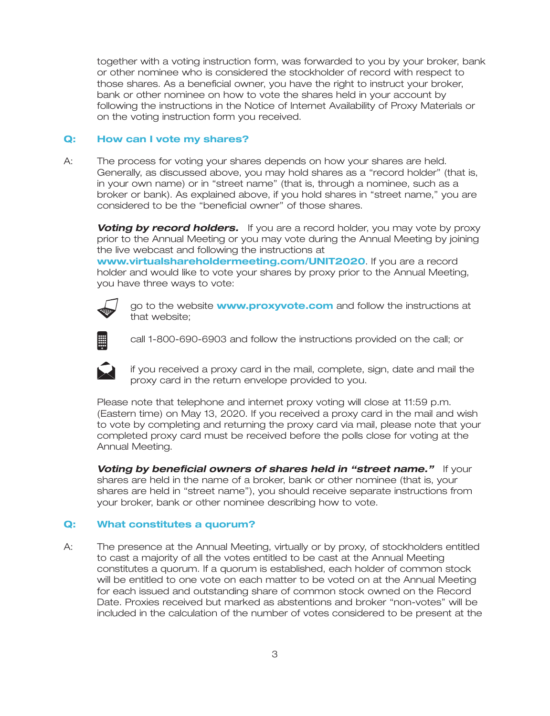together with a voting instruction form, was forwarded to you by your broker, bank or other nominee who is considered the stockholder of record with respect to those shares. As a beneficial owner, you have the right to instruct your broker, bank or other nominee on how to vote the shares held in your account by following the instructions in the Notice of Internet Availability of Proxy Materials or on the voting instruction form you received.

### **Q: How can I vote my shares?**

A: The process for voting your shares depends on how your shares are held. Generally, as discussed above, you may hold shares as a ''record holder'' (that is, in your own name) or in ''street name'' (that is, through a nominee, such as a broker or bank). As explained above, if you hold shares in ''street name,'' you are considered to be the ''beneficial owner'' of those shares.

**Voting by record holders.** If you are a record holder, you may vote by proxy prior to the Annual Meeting or you may vote during the Annual Meeting by joining the live webcast and following the instructions at

www.virtualshareholdermeeting.com/UNIT2020. If you are a record holder and would like to vote your shares by proxy prior to the Annual Meeting, you have three ways to vote:



go to the website **www.proxyvote.com** and follow the instructions at that website;



call 1-800-690-6903 and follow the instructions provided on the call; or



if you received a proxy card in the mail, complete, sign, date and mail the proxy card in the return envelope provided to you.

Please note that telephone and internet proxy voting will close at 11:59 p.m. (Eastern time) on May 13, 2020. If you received a proxy card in the mail and wish to vote by completing and returning the proxy card via mail, please note that your completed proxy card must be received before the polls close for voting at the Annual Meeting.

**Voting by beneficial owners of shares held in "street name."** If your shares are held in the name of a broker, bank or other nominee (that is, your shares are held in ''street name''), you should receive separate instructions from your broker, bank or other nominee describing how to vote.

### **Q: What constitutes a quorum?**

A: The presence at the Annual Meeting, virtually or by proxy, of stockholders entitled to cast a majority of all the votes entitled to be cast at the Annual Meeting constitutes a quorum. If a quorum is established, each holder of common stock will be entitled to one vote on each matter to be voted on at the Annual Meeting for each issued and outstanding share of common stock owned on the Record Date. Proxies received but marked as abstentions and broker ''non-votes'' will be included in the calculation of the number of votes considered to be present at the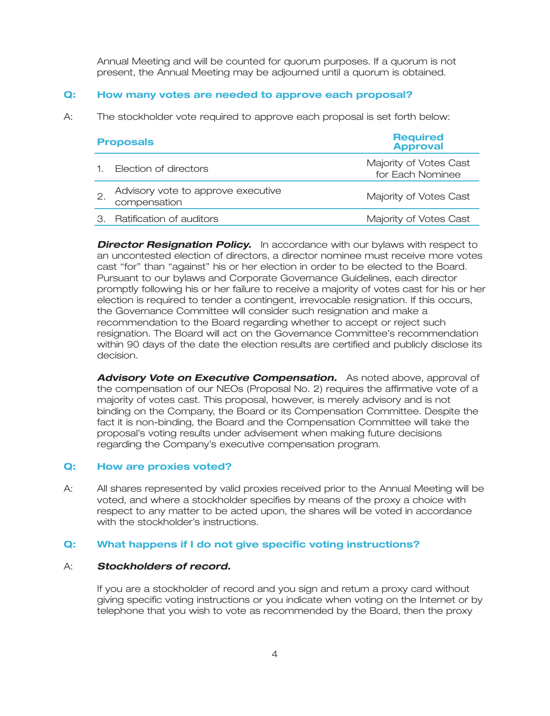Annual Meeting and will be counted for quorum purposes. If a quorum is not present, the Annual Meeting may be adjourned until a quorum is obtained.

### **Q: How many votes are needed to approve each proposal?**

A: The stockholder vote required to approve each proposal is set forth below:

| <b>Proposals</b>                                   | <b>Required</b><br><b>Approval</b>         |
|----------------------------------------------------|--------------------------------------------|
| 1. Election of directors                           | Majority of Votes Cast<br>for Each Nominee |
| Advisory vote to approve executive<br>compensation | Majority of Votes Cast                     |
| 3. Ratification of auditors                        | Majority of Votes Cast                     |

**Director Resignation Policy.** In accordance with our bylaws with respect to an uncontested election of directors, a director nominee must receive more votes cast ''for'' than ''against'' his or her election in order to be elected to the Board. Pursuant to our bylaws and Corporate Governance Guidelines, each director promptly following his or her failure to receive a majority of votes cast for his or her election is required to tender a contingent, irrevocable resignation. If this occurs, the Governance Committee will consider such resignation and make a recommendation to the Board regarding whether to accept or reject such resignation. The Board will act on the Governance Committee's recommendation within 90 days of the date the election results are certified and publicly disclose its decision.

**Advisory Vote on Executive Compensation.** As noted above, approval of the compensation of our NEOs (Proposal No. 2) requires the affirmative vote of a majority of votes cast. This proposal, however, is merely advisory and is not binding on the Company, the Board or its Compensation Committee. Despite the fact it is non-binding, the Board and the Compensation Committee will take the proposal's voting results under advisement when making future decisions regarding the Company's executive compensation program.

### **Q: How are proxies voted?**

A: All shares represented by valid proxies received prior to the Annual Meeting will be voted, and where a stockholder specifies by means of the proxy a choice with respect to any matter to be acted upon, the shares will be voted in accordance with the stockholder's instructions.

### **Q: What happens if I do not give specific voting instructions?**

### A: *Stockholders of record.*

If you are a stockholder of record and you sign and return a proxy card without giving specific voting instructions or you indicate when voting on the Internet or by telephone that you wish to vote as recommended by the Board, then the proxy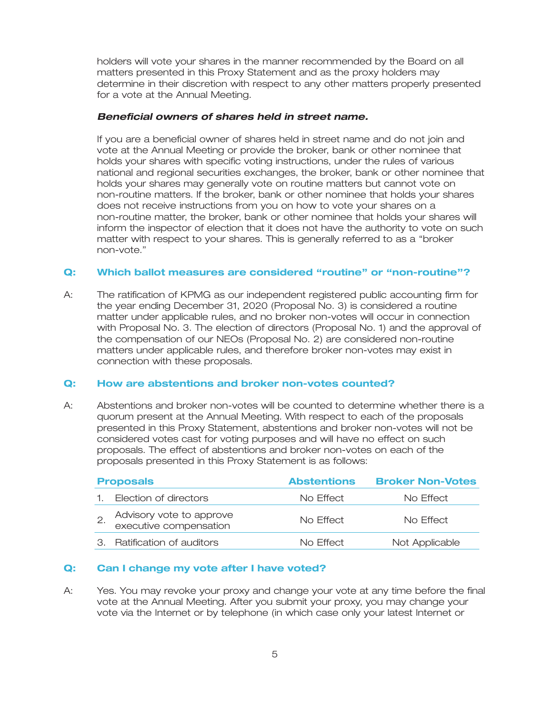holders will vote your shares in the manner recommended by the Board on all matters presented in this Proxy Statement and as the proxy holders may determine in their discretion with respect to any other matters properly presented for a vote at the Annual Meeting.

### *Beneficial owners of shares held in street name.*

If you are a beneficial owner of shares held in street name and do not join and vote at the Annual Meeting or provide the broker, bank or other nominee that holds your shares with specific voting instructions, under the rules of various national and regional securities exchanges, the broker, bank or other nominee that holds your shares may generally vote on routine matters but cannot vote on non-routine matters. If the broker, bank or other nominee that holds your shares does not receive instructions from you on how to vote your shares on a non-routine matter, the broker, bank or other nominee that holds your shares will inform the inspector of election that it does not have the authority to vote on such matter with respect to your shares. This is generally referred to as a ''broker non-vote.''

### **Q: Which ballot measures are considered ''routine'' or ''non-routine''?**

A: The ratification of KPMG as our independent registered public accounting firm for the year ending December 31, 2020 (Proposal No. 3) is considered a routine matter under applicable rules, and no broker non-votes will occur in connection with Proposal No. 3. The election of directors (Proposal No. 1) and the approval of the compensation of our NEOs (Proposal No. 2) are considered non-routine matters under applicable rules, and therefore broker non-votes may exist in connection with these proposals.

### **Q: How are abstentions and broker non-votes counted?**

A: Abstentions and broker non-votes will be counted to determine whether there is a quorum present at the Annual Meeting. With respect to each of the proposals presented in this Proxy Statement, abstentions and broker non-votes will not be considered votes cast for voting purposes and will have no effect on such proposals. The effect of abstentions and broker non-votes on each of the proposals presented in this Proxy Statement is as follows:

| <b>Proposals</b>                                   | <b>Abstentions</b> | <b>Broker Non-Votes</b> |
|----------------------------------------------------|--------------------|-------------------------|
| Election of directors                              | No Effect          | No Effect               |
| Advisory vote to approve<br>executive compensation | No Effect          | No Effect               |
| 3. Ratification of auditors                        | No Effect          | Not Applicable          |

### **Q: Can I change my vote after I have voted?**

A: Yes. You may revoke your proxy and change your vote at any time before the final vote at the Annual Meeting. After you submit your proxy, you may change your vote via the Internet or by telephone (in which case only your latest Internet or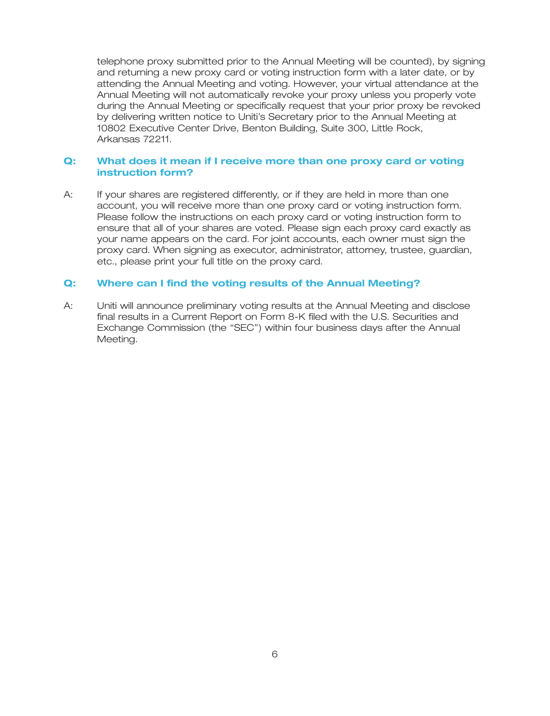telephone proxy submitted prior to the Annual Meeting will be counted), by signing and returning a new proxy card or voting instruction form with a later date, or by attending the Annual Meeting and voting. However, your virtual attendance at the Annual Meeting will not automatically revoke your proxy unless you properly vote during the Annual Meeting or specifically request that your prior proxy be revoked by delivering written notice to Uniti's Secretary prior to the Annual Meeting at 10802 Executive Center Drive, Benton Building, Suite 300, Little Rock, Arkansas 72211.

### **Q: What does it mean if I receive more than one proxy card or voting instruction form?**

A: If your shares are registered differently, or if they are held in more than one account, you will receive more than one proxy card or voting instruction form. Please follow the instructions on each proxy card or voting instruction form to ensure that all of your shares are voted. Please sign each proxy card exactly as your name appears on the card. For joint accounts, each owner must sign the proxy card. When signing as executor, administrator, attorney, trustee, guardian, etc., please print your full title on the proxy card.

### **Q: Where can I find the voting results of the Annual Meeting?**

A: Uniti will announce preliminary voting results at the Annual Meeting and disclose final results in a Current Report on Form 8-K filed with the U.S. Securities and Exchange Commission (the ''SEC'') within four business days after the Annual Meeting.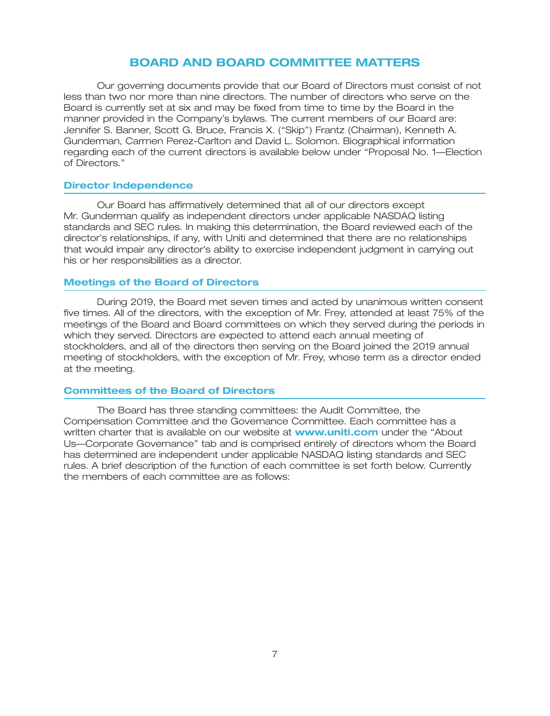### **BOARD AND BOARD COMMITTEE MATTERS**

Our governing documents provide that our Board of Directors must consist of not less than two nor more than nine directors. The number of directors who serve on the Board is currently set at six and may be fixed from time to time by the Board in the manner provided in the Company's bylaws. The current members of our Board are: Jennifer S. Banner, Scott G. Bruce, Francis X. (''Skip'') Frantz (Chairman), Kenneth A. Gunderman, Carmen Perez-Carlton and David L. Solomon. Biographical information regarding each of the current directors is available below under ''Proposal No. 1—Election of Directors.''

#### **Director Independence**

Our Board has affirmatively determined that all of our directors except Mr. Gunderman qualify as independent directors under applicable NASDAQ listing standards and SEC rules. In making this determination, the Board reviewed each of the director's relationships, if any, with Uniti and determined that there are no relationships that would impair any director's ability to exercise independent judgment in carrying out his or her responsibilities as a director.

### **Meetings of the Board of Directors**

During 2019, the Board met seven times and acted by unanimous written consent five times. All of the directors, with the exception of Mr. Frey, attended at least 75% of the meetings of the Board and Board committees on which they served during the periods in which they served. Directors are expected to attend each annual meeting of stockholders, and all of the directors then serving on the Board joined the 2019 annual meeting of stockholders, with the exception of Mr. Frey, whose term as a director ended at the meeting.

#### **Committees of the Board of Directors**

The Board has three standing committees: the Audit Committee, the Compensation Committee and the Governance Committee. Each committee has a written charter that is available on our website at **www.uniti.com** under the "About Us—Corporate Governance'' tab and is comprised entirely of directors whom the Board has determined are independent under applicable NASDAQ listing standards and SEC rules. A brief description of the function of each committee is set forth below. Currently the members of each committee are as follows: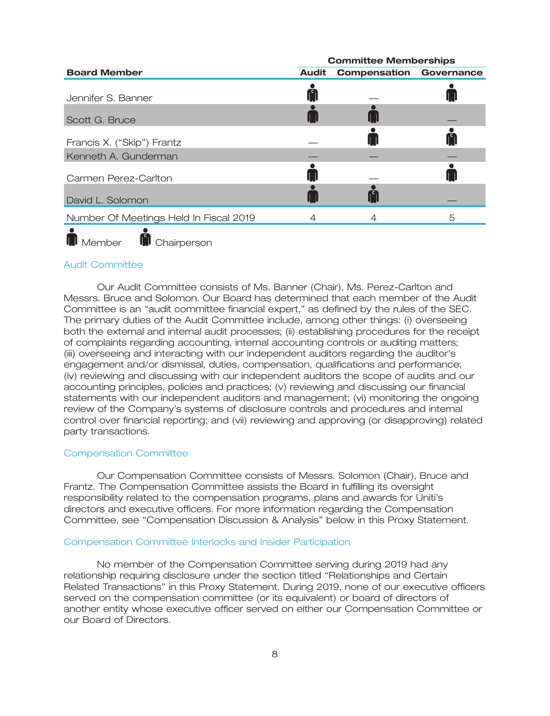|                                        |              | <b>Committee Memberships</b>   |   |
|----------------------------------------|--------------|--------------------------------|---|
| <b>Board Member</b>                    | <b>Audit</b> | <b>Compensation Governance</b> |   |
| Jennifer S. Banner                     |              |                                |   |
| Scott G. Bruce                         |              |                                |   |
| Francis X. ("Skip") Frantz             |              |                                |   |
| Kenneth A. Gunderman                   |              |                                |   |
| Carmen Perez-Carlton                   |              |                                |   |
| David L. Solomon                       |              |                                |   |
| Number Of Meetings Held In Fiscal 2019 |              |                                | 5 |
|                                        |              |                                |   |

### Audit Committee

**M** Chairperson

 $\blacksquare$  Member

Our Audit Committee consists of Ms. Banner (Chair), Ms. Perez-Carlton and Messrs. Bruce and Solomon. Our Board has determined that each member of the Audit Committee is an ''audit committee financial expert,'' as defined by the rules of the SEC. The primary duties of the Audit Committee include, among other things: (i) overseeing both the external and internal audit processes; (ii) establishing procedures for the receipt of complaints regarding accounting, internal accounting controls or auditing matters; (iii) overseeing and interacting with our independent auditors regarding the auditor's engagement and/or dismissal, duties, compensation, qualifications and performance; (iv) reviewing and discussing with our independent auditors the scope of audits and our accounting principles, policies and practices; (v) reviewing and discussing our financial statements with our independent auditors and management; (vi) monitoring the ongoing review of the Company's systems of disclosure controls and procedures and internal control over financial reporting; and (vii) reviewing and approving (or disapproving) related party transactions.

#### Compensation Committee

Our Compensation Committee consists of Messrs. Solomon (Chair), Bruce and Frantz. The Compensation Committee assists the Board in fulfilling its oversight responsibility related to the compensation programs, plans and awards for Uniti's directors and executive officers. For more information regarding the Compensation Committee, see ''Compensation Discussion & Analysis'' below in this Proxy Statement.

#### Compensation Committee Interlocks and Insider Participation

No member of the Compensation Committee serving during 2019 had any relationship requiring disclosure under the section titled ''Relationships and Certain Related Transactions'' in this Proxy Statement. During 2019, none of our executive officers served on the compensation committee (or its equivalent) or board of directors of another entity whose executive officer served on either our Compensation Committee or our Board of Directors.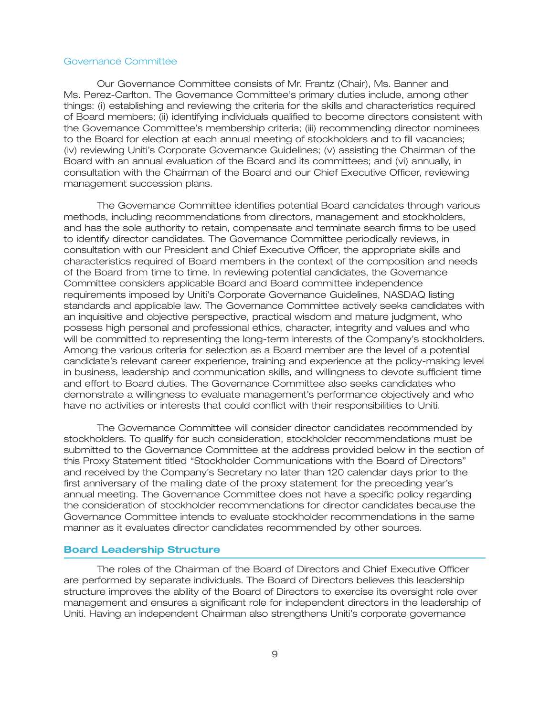#### Governance Committee

Our Governance Committee consists of Mr. Frantz (Chair), Ms. Banner and Ms. Perez-Carlton. The Governance Committee's primary duties include, among other things: (i) establishing and reviewing the criteria for the skills and characteristics required of Board members; (ii) identifying individuals qualified to become directors consistent with the Governance Committee's membership criteria; (iii) recommending director nominees to the Board for election at each annual meeting of stockholders and to fill vacancies; (iv) reviewing Uniti's Corporate Governance Guidelines; (v) assisting the Chairman of the Board with an annual evaluation of the Board and its committees; and (vi) annually, in consultation with the Chairman of the Board and our Chief Executive Officer, reviewing management succession plans.

The Governance Committee identifies potential Board candidates through various methods, including recommendations from directors, management and stockholders, and has the sole authority to retain, compensate and terminate search firms to be used to identify director candidates. The Governance Committee periodically reviews, in consultation with our President and Chief Executive Officer, the appropriate skills and characteristics required of Board members in the context of the composition and needs of the Board from time to time. In reviewing potential candidates, the Governance Committee considers applicable Board and Board committee independence requirements imposed by Uniti's Corporate Governance Guidelines, NASDAQ listing standards and applicable law. The Governance Committee actively seeks candidates with an inquisitive and objective perspective, practical wisdom and mature judgment, who possess high personal and professional ethics, character, integrity and values and who will be committed to representing the long-term interests of the Company's stockholders. Among the various criteria for selection as a Board member are the level of a potential candidate's relevant career experience, training and experience at the policy-making level in business, leadership and communication skills, and willingness to devote sufficient time and effort to Board duties. The Governance Committee also seeks candidates who demonstrate a willingness to evaluate management's performance objectively and who have no activities or interests that could conflict with their responsibilities to Uniti.

The Governance Committee will consider director candidates recommended by stockholders. To qualify for such consideration, stockholder recommendations must be submitted to the Governance Committee at the address provided below in the section of this Proxy Statement titled ''Stockholder Communications with the Board of Directors'' and received by the Company's Secretary no later than 120 calendar days prior to the first anniversary of the mailing date of the proxy statement for the preceding year's annual meeting. The Governance Committee does not have a specific policy regarding the consideration of stockholder recommendations for director candidates because the Governance Committee intends to evaluate stockholder recommendations in the same manner as it evaluates director candidates recommended by other sources.

### **Board Leadership Structure**

The roles of the Chairman of the Board of Directors and Chief Executive Officer are performed by separate individuals. The Board of Directors believes this leadership structure improves the ability of the Board of Directors to exercise its oversight role over management and ensures a significant role for independent directors in the leadership of Uniti. Having an independent Chairman also strengthens Uniti's corporate governance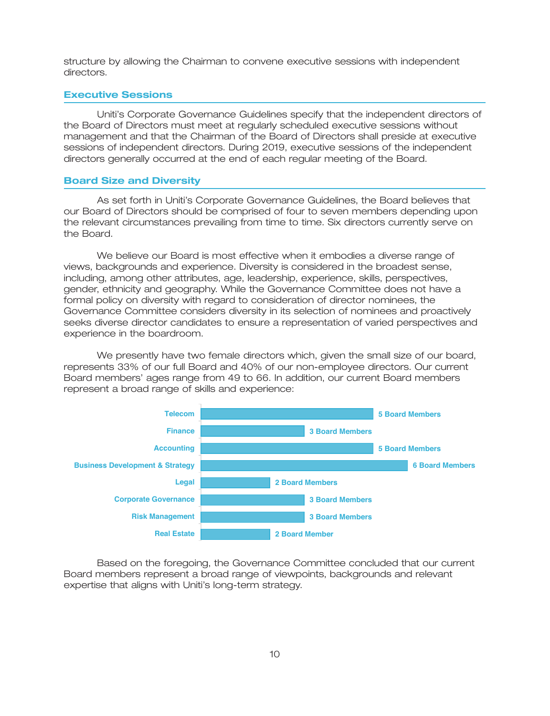structure by allowing the Chairman to convene executive sessions with independent directors.

### **Executive Sessions**

Uniti's Corporate Governance Guidelines specify that the independent directors of the Board of Directors must meet at regularly scheduled executive sessions without management and that the Chairman of the Board of Directors shall preside at executive sessions of independent directors. During 2019, executive sessions of the independent directors generally occurred at the end of each regular meeting of the Board.

#### **Board Size and Diversity**

As set forth in Uniti's Corporate Governance Guidelines, the Board believes that our Board of Directors should be comprised of four to seven members depending upon the relevant circumstances prevailing from time to time. Six directors currently serve on the Board.

We believe our Board is most effective when it embodies a diverse range of views, backgrounds and experience. Diversity is considered in the broadest sense, including, among other attributes, age, leadership, experience, skills, perspectives, gender, ethnicity and geography. While the Governance Committee does not have a formal policy on diversity with regard to consideration of director nominees, the Governance Committee considers diversity in its selection of nominees and proactively seeks diverse director candidates to ensure a representation of varied perspectives and experience in the boardroom.

We presently have two female directors which, given the small size of our board, represents 33% of our full Board and 40% of our non-employee directors. Our current Board members' ages range from 49 to 66. In addition, our current Board members represent a broad range of skills and experience:



Based on the foregoing, the Governance Committee concluded that our current Board members represent a broad range of viewpoints, backgrounds and relevant expertise that aligns with Uniti's long-term strategy.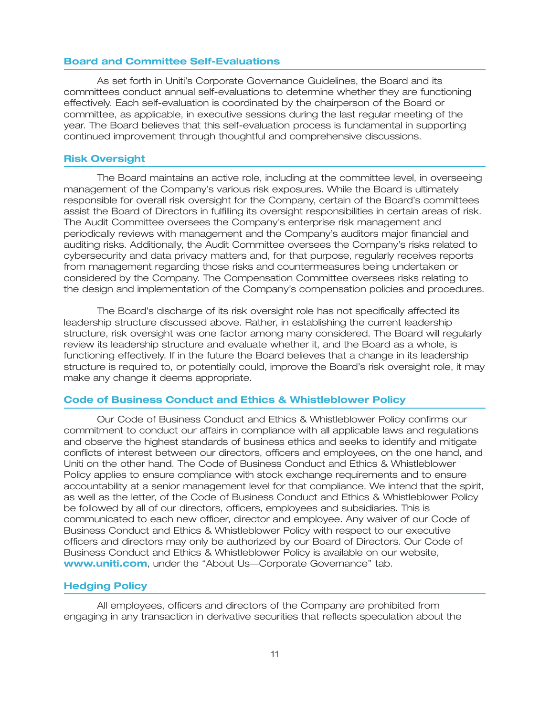### **Board and Committee Self-Evaluations**

As set forth in Uniti's Corporate Governance Guidelines, the Board and its committees conduct annual self-evaluations to determine whether they are functioning effectively. Each self-evaluation is coordinated by the chairperson of the Board or committee, as applicable, in executive sessions during the last regular meeting of the year. The Board believes that this self-evaluation process is fundamental in supporting continued improvement through thoughtful and comprehensive discussions.

#### **Risk Oversight**

The Board maintains an active role, including at the committee level, in overseeing management of the Company's various risk exposures. While the Board is ultimately responsible for overall risk oversight for the Company, certain of the Board's committees assist the Board of Directors in fulfilling its oversight responsibilities in certain areas of risk. The Audit Committee oversees the Company's enterprise risk management and periodically reviews with management and the Company's auditors major financial and auditing risks. Additionally, the Audit Committee oversees the Company's risks related to cybersecurity and data privacy matters and, for that purpose, regularly receives reports from management regarding those risks and countermeasures being undertaken or considered by the Company. The Compensation Committee oversees risks relating to the design and implementation of the Company's compensation policies and procedures.

The Board's discharge of its risk oversight role has not specifically affected its leadership structure discussed above. Rather, in establishing the current leadership structure, risk oversight was one factor among many considered. The Board will regularly review its leadership structure and evaluate whether it, and the Board as a whole, is functioning effectively. If in the future the Board believes that a change in its leadership structure is required to, or potentially could, improve the Board's risk oversight role, it may make any change it deems appropriate.

#### **Code of Business Conduct and Ethics & Whistleblower Policy**

Our Code of Business Conduct and Ethics & Whistleblower Policy confirms our commitment to conduct our affairs in compliance with all applicable laws and regulations and observe the highest standards of business ethics and seeks to identify and mitigate conflicts of interest between our directors, officers and employees, on the one hand, and Uniti on the other hand. The Code of Business Conduct and Ethics & Whistleblower Policy applies to ensure compliance with stock exchange requirements and to ensure accountability at a senior management level for that compliance. We intend that the spirit, as well as the letter, of the Code of Business Conduct and Ethics & Whistleblower Policy be followed by all of our directors, officers, employees and subsidiaries. This is communicated to each new officer, director and employee. Any waiver of our Code of Business Conduct and Ethics & Whistleblower Policy with respect to our executive officers and directors may only be authorized by our Board of Directors. Our Code of Business Conduct and Ethics & Whistleblower Policy is available on our website, www.uniti.com, under the "About Us-Corporate Governance" tab.

### **Hedging Policy**

All employees, officers and directors of the Company are prohibited from engaging in any transaction in derivative securities that reflects speculation about the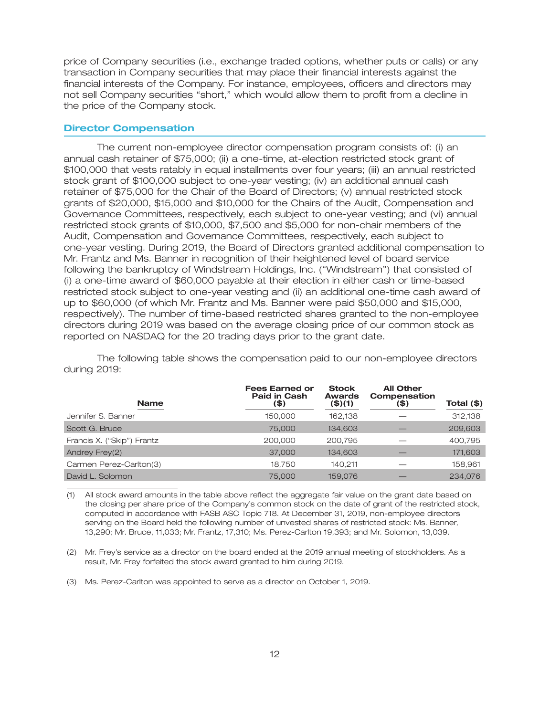price of Company securities (i.e., exchange traded options, whether puts or calls) or any transaction in Company securities that may place their financial interests against the financial interests of the Company. For instance, employees, officers and directors may not sell Company securities ''short,'' which would allow them to profit from a decline in the price of the Company stock.

### **Director Compensation**

The current non-employee director compensation program consists of: (i) an annual cash retainer of \$75,000; (ii) a one-time, at-election restricted stock grant of \$100,000 that vests ratably in equal installments over four years; (iii) an annual restricted stock grant of \$100,000 subject to one-year vesting; (iv) an additional annual cash retainer of \$75,000 for the Chair of the Board of Directors; (v) annual restricted stock grants of \$20,000, \$15,000 and \$10,000 for the Chairs of the Audit, Compensation and Governance Committees, respectively, each subject to one-year vesting; and (vi) annual restricted stock grants of \$10,000, \$7,500 and \$5,000 for non-chair members of the Audit, Compensation and Governance Committees, respectively, each subject to one-year vesting. During 2019, the Board of Directors granted additional compensation to Mr. Frantz and Ms. Banner in recognition of their heightened level of board service following the bankruptcy of Windstream Holdings, Inc. (''Windstream'') that consisted of (i) a one-time award of \$60,000 payable at their election in either cash or time-based restricted stock subject to one-year vesting and (ii) an additional one-time cash award of up to \$60,000 (of which Mr. Frantz and Ms. Banner were paid \$50,000 and \$15,000, respectively). The number of time-based restricted shares granted to the non-employee directors during 2019 was based on the average closing price of our common stock as reported on NASDAQ for the 20 trading days prior to the grant date.

The following table shows the compensation paid to our non-employee directors during 2019:

| <b>Name</b>                | <b>Fees Earned or</b><br><b>Paid in Cash</b><br>(\$) | <b>Stock</b><br><b>Awards</b><br>(\$)(1) | <b>All Other</b><br>Compensation<br>(\$) | Total (\$) |
|----------------------------|------------------------------------------------------|------------------------------------------|------------------------------------------|------------|
| Jennifer S. Banner         | 150,000                                              | 162,138                                  |                                          | 312,138    |
| Scott G. Bruce             | 75,000                                               | 134,603                                  |                                          | 209,603    |
| Francis X. ("Skip") Frantz | 200,000                                              | 200.795                                  |                                          | 400,795    |
| Andrey Frey(2)             | 37,000                                               | 134,603                                  |                                          | 171,603    |
| Carmen Perez-Carlton(3)    | 18,750                                               | 140,211                                  |                                          | 158,961    |
| David L. Solomon           | 75,000                                               | 159,076                                  |                                          | 234.076    |

(1) All stock award amounts in the table above reflect the aggregate fair value on the grant date based on the closing per share price of the Company's common stock on the date of grant of the restricted stock, computed in accordance with FASB ASC Topic 718. At December 31, 2019, non-employee directors serving on the Board held the following number of unvested shares of restricted stock: Ms. Banner, 13,290; Mr. Bruce, 11,033; Mr. Frantz, 17,310; Ms. Perez-Carlton 19,393; and Mr. Solomon, 13,039.

(2) Mr. Frey's service as a director on the board ended at the 2019 annual meeting of stockholders. As a result, Mr. Frey forfeited the stock award granted to him during 2019.

(3) Ms. Perez-Carlton was appointed to serve as a director on October 1, 2019.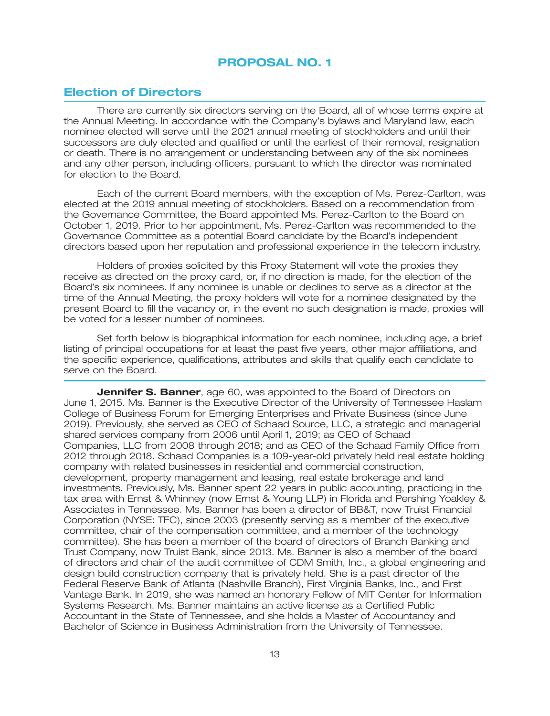## **PROPOSAL NO. 1**

## **Election of Directors**

There are currently six directors serving on the Board, all of whose terms expire at the Annual Meeting. In accordance with the Company's bylaws and Maryland law, each nominee elected will serve until the 2021 annual meeting of stockholders and until their successors are duly elected and qualified or until the earliest of their removal, resignation or death. There is no arrangement or understanding between any of the six nominees and any other person, including officers, pursuant to which the director was nominated for election to the Board.

Each of the current Board members, with the exception of Ms. Perez-Carlton, was elected at the 2019 annual meeting of stockholders. Based on a recommendation from the Governance Committee, the Board appointed Ms. Perez-Carlton to the Board on October 1, 2019. Prior to her appointment, Ms. Perez-Carlton was recommended to the Governance Committee as a potential Board candidate by the Board's independent directors based upon her reputation and professional experience in the telecom industry.

Holders of proxies solicited by this Proxy Statement will vote the proxies they receive as directed on the proxy card, or, if no direction is made, for the election of the Board's six nominees. If any nominee is unable or declines to serve as a director at the time of the Annual Meeting, the proxy holders will vote for a nominee designated by the present Board to fill the vacancy or, in the event no such designation is made, proxies will be voted for a lesser number of nominees.

Set forth below is biographical information for each nominee, including age, a brief listing of principal occupations for at least the past five years, other major affiliations, and the specific experience, qualifications, attributes and skills that qualify each candidate to serve on the Board.

**Jennifer S. Banner**, age 60, was appointed to the Board of Directors on June 1, 2015. Ms. Banner is the Executive Director of the University of Tennessee Haslam College of Business Forum for Emerging Enterprises and Private Business (since June 2019). Previously, she served as CEO of Schaad Source, LLC, a strategic and managerial shared services company from 2006 until April 1, 2019; as CEO of Schaad Companies, LLC from 2008 through 2018; and as CEO of the Schaad Family Office from 2012 through 2018. Schaad Companies is a 109-year-old privately held real estate holding company with related businesses in residential and commercial construction, development, property management and leasing, real estate brokerage and land investments. Previously, Ms. Banner spent 22 years in public accounting, practicing in the tax area with Ernst & Whinney (now Ernst & Young LLP) in Florida and Pershing Yoakley & Associates in Tennessee. Ms. Banner has been a director of BB&T, now Truist Financial Corporation (NYSE: TFC), since 2003 (presently serving as a member of the executive committee, chair of the compensation committee, and a member of the technology committee). She has been a member of the board of directors of Branch Banking and Trust Company, now Truist Bank, since 2013. Ms. Banner is also a member of the board of directors and chair of the audit committee of CDM Smith, Inc., a global engineering and design build construction company that is privately held. She is a past director of the Federal Reserve Bank of Atlanta (Nashville Branch), First Virginia Banks, Inc., and First Vantage Bank. In 2019, she was named an honorary Fellow of MIT Center for Information Systems Research. Ms. Banner maintains an active license as a Certified Public Accountant in the State of Tennessee, and she holds a Master of Accountancy and Bachelor of Science in Business Administration from the University of Tennessee.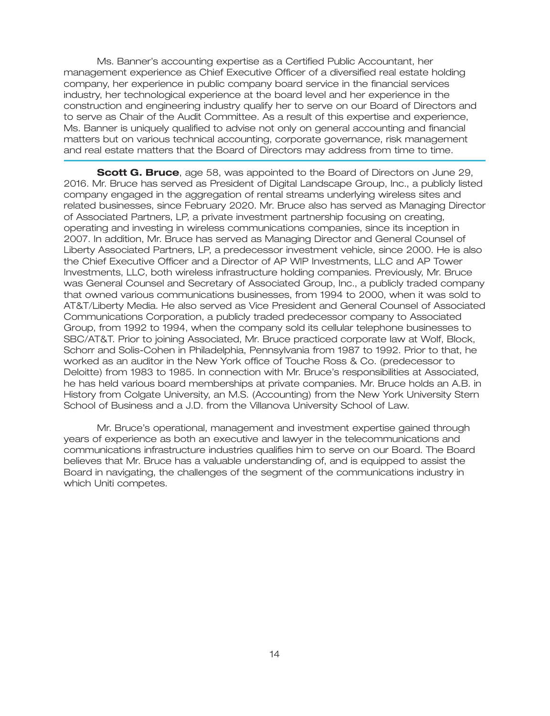Ms. Banner's accounting expertise as a Certified Public Accountant, her management experience as Chief Executive Officer of a diversified real estate holding company, her experience in public company board service in the financial services industry, her technological experience at the board level and her experience in the construction and engineering industry qualify her to serve on our Board of Directors and to serve as Chair of the Audit Committee. As a result of this expertise and experience, Ms. Banner is uniquely qualified to advise not only on general accounting and financial matters but on various technical accounting, corporate governance, risk management and real estate matters that the Board of Directors may address from time to time.

**Scott G. Bruce**, age 58, was appointed to the Board of Directors on June 29, 2016. Mr. Bruce has served as President of Digital Landscape Group, Inc., a publicly listed company engaged in the aggregation of rental streams underlying wireless sites and related businesses, since February 2020. Mr. Bruce also has served as Managing Director of Associated Partners, LP, a private investment partnership focusing on creating, operating and investing in wireless communications companies, since its inception in 2007. In addition, Mr. Bruce has served as Managing Director and General Counsel of Liberty Associated Partners, LP, a predecessor investment vehicle, since 2000. He is also the Chief Executive Officer and a Director of AP WIP Investments, LLC and AP Tower Investments, LLC, both wireless infrastructure holding companies. Previously, Mr. Bruce was General Counsel and Secretary of Associated Group, Inc., a publicly traded company that owned various communications businesses, from 1994 to 2000, when it was sold to AT&T/Liberty Media. He also served as Vice President and General Counsel of Associated Communications Corporation, a publicly traded predecessor company to Associated Group, from 1992 to 1994, when the company sold its cellular telephone businesses to SBC/AT&T. Prior to joining Associated, Mr. Bruce practiced corporate law at Wolf, Block, Schorr and Solis-Cohen in Philadelphia, Pennsylvania from 1987 to 1992. Prior to that, he worked as an auditor in the New York office of Touche Ross & Co. (predecessor to Deloitte) from 1983 to 1985. In connection with Mr. Bruce's responsibilities at Associated, he has held various board memberships at private companies. Mr. Bruce holds an A.B. in History from Colgate University, an M.S. (Accounting) from the New York University Stern School of Business and a J.D. from the Villanova University School of Law.

Mr. Bruce's operational, management and investment expertise gained through years of experience as both an executive and lawyer in the telecommunications and communications infrastructure industries qualifies him to serve on our Board. The Board believes that Mr. Bruce has a valuable understanding of, and is equipped to assist the Board in navigating, the challenges of the segment of the communications industry in which Uniti competes.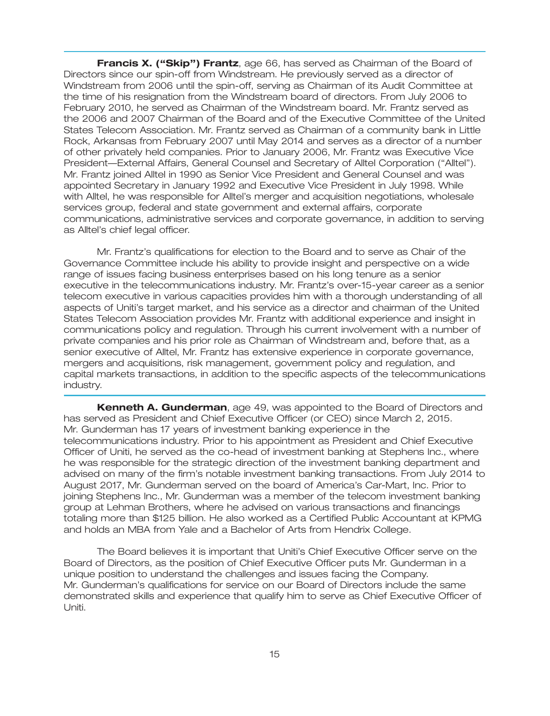**Francis X. (''Skip'') Frantz**, age 66, has served as Chairman of the Board of Directors since our spin-off from Windstream. He previously served as a director of Windstream from 2006 until the spin-off, serving as Chairman of its Audit Committee at the time of his resignation from the Windstream board of directors. From July 2006 to February 2010, he served as Chairman of the Windstream board. Mr. Frantz served as the 2006 and 2007 Chairman of the Board and of the Executive Committee of the United States Telecom Association. Mr. Frantz served as Chairman of a community bank in Little Rock, Arkansas from February 2007 until May 2014 and serves as a director of a number of other privately held companies. Prior to January 2006, Mr. Frantz was Executive Vice President—External Affairs, General Counsel and Secretary of Alltel Corporation (''Alltel''). Mr. Frantz joined Alltel in 1990 as Senior Vice President and General Counsel and was appointed Secretary in January 1992 and Executive Vice President in July 1998. While with Alltel, he was responsible for Alltel's merger and acquisition negotiations, wholesale services group, federal and state government and external affairs, corporate communications, administrative services and corporate governance, in addition to serving as Alltel's chief legal officer.

Mr. Frantz's qualifications for election to the Board and to serve as Chair of the Governance Committee include his ability to provide insight and perspective on a wide range of issues facing business enterprises based on his long tenure as a senior executive in the telecommunications industry. Mr. Frantz's over-15-year career as a senior telecom executive in various capacities provides him with a thorough understanding of all aspects of Uniti's target market, and his service as a director and chairman of the United States Telecom Association provides Mr. Frantz with additional experience and insight in communications policy and regulation. Through his current involvement with a number of private companies and his prior role as Chairman of Windstream and, before that, as a senior executive of Alltel, Mr. Frantz has extensive experience in corporate governance, mergers and acquisitions, risk management, government policy and regulation, and capital markets transactions, in addition to the specific aspects of the telecommunications industry.

**Kenneth A. Gunderman**, age 49, was appointed to the Board of Directors and has served as President and Chief Executive Officer (or CEO) since March 2, 2015. Mr. Gunderman has 17 years of investment banking experience in the telecommunications industry. Prior to his appointment as President and Chief Executive Officer of Uniti, he served as the co-head of investment banking at Stephens Inc., where he was responsible for the strategic direction of the investment banking department and advised on many of the firm's notable investment banking transactions. From July 2014 to August 2017, Mr. Gunderman served on the board of America's Car-Mart, Inc. Prior to joining Stephens Inc., Mr. Gunderman was a member of the telecom investment banking group at Lehman Brothers, where he advised on various transactions and financings totaling more than \$125 billion. He also worked as a Certified Public Accountant at KPMG and holds an MBA from Yale and a Bachelor of Arts from Hendrix College.

The Board believes it is important that Uniti's Chief Executive Officer serve on the Board of Directors, as the position of Chief Executive Officer puts Mr. Gunderman in a unique position to understand the challenges and issues facing the Company. Mr. Gunderman's qualifications for service on our Board of Directors include the same demonstrated skills and experience that qualify him to serve as Chief Executive Officer of Uniti.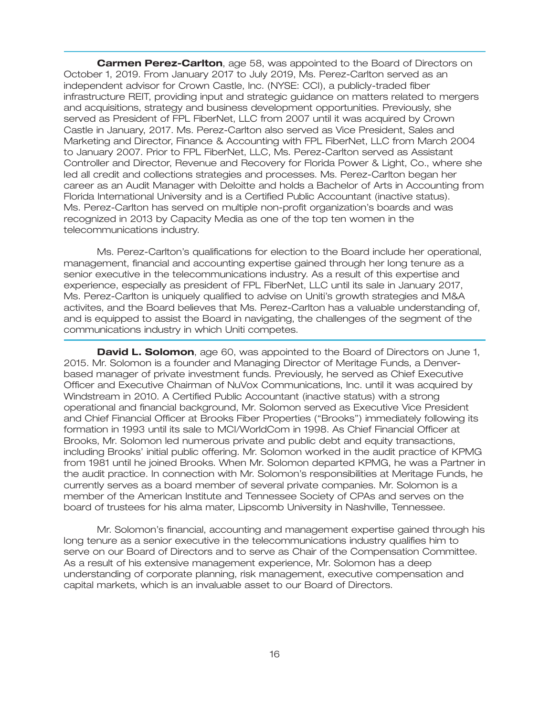**Carmen Perez-Carlton**, age 58, was appointed to the Board of Directors on October 1, 2019. From January 2017 to July 2019, Ms. Perez-Carlton served as an independent advisor for Crown Castle, Inc. (NYSE: CCI), a publicly-traded fiber infrastructure REIT, providing input and strategic guidance on matters related to mergers and acquisitions, strategy and business development opportunities. Previously, she served as President of FPL FiberNet, LLC from 2007 until it was acquired by Crown Castle in January, 2017. Ms. Perez-Carlton also served as Vice President, Sales and Marketing and Director, Finance & Accounting with FPL FiberNet, LLC from March 2004 to January 2007. Prior to FPL FiberNet, LLC, Ms. Perez-Carlton served as Assistant Controller and Director, Revenue and Recovery for Florida Power & Light, Co., where she led all credit and collections strategies and processes. Ms. Perez-Carlton began her career as an Audit Manager with Deloitte and holds a Bachelor of Arts in Accounting from Florida International University and is a Certified Public Accountant (inactive status). Ms. Perez-Carlton has served on multiple non-profit organization's boards and was recognized in 2013 by Capacity Media as one of the top ten women in the telecommunications industry.

Ms. Perez-Carlton's qualifications for election to the Board include her operational, management, financial and accounting expertise gained through her long tenure as a senior executive in the telecommunications industry. As a result of this expertise and experience, especially as president of FPL FiberNet, LLC until its sale in January 2017, Ms. Perez-Carlton is uniquely qualified to advise on Uniti's growth strategies and M&A activites, and the Board believes that Ms. Perez-Carlton has a valuable understanding of, and is equipped to assist the Board in navigating, the challenges of the segment of the communications industry in which Uniti competes.

**David L. Solomon**, age 60, was appointed to the Board of Directors on June 1, 2015. Mr. Solomon is a founder and Managing Director of Meritage Funds, a Denverbased manager of private investment funds. Previously, he served as Chief Executive Officer and Executive Chairman of NuVox Communications, Inc. until it was acquired by Windstream in 2010. A Certified Public Accountant (inactive status) with a strong operational and financial background, Mr. Solomon served as Executive Vice President and Chief Financial Officer at Brooks Fiber Properties (''Brooks'') immediately following its formation in 1993 until its sale to MCI/WorldCom in 1998. As Chief Financial Officer at Brooks, Mr. Solomon led numerous private and public debt and equity transactions, including Brooks' initial public offering. Mr. Solomon worked in the audit practice of KPMG from 1981 until he joined Brooks. When Mr. Solomon departed KPMG, he was a Partner in the audit practice. In connection with Mr. Solomon's responsibilities at Meritage Funds, he currently serves as a board member of several private companies. Mr. Solomon is a member of the American Institute and Tennessee Society of CPAs and serves on the board of trustees for his alma mater, Lipscomb University in Nashville, Tennessee.

Mr. Solomon's financial, accounting and management expertise gained through his long tenure as a senior executive in the telecommunications industry qualifies him to serve on our Board of Directors and to serve as Chair of the Compensation Committee. As a result of his extensive management experience, Mr. Solomon has a deep understanding of corporate planning, risk management, executive compensation and capital markets, which is an invaluable asset to our Board of Directors.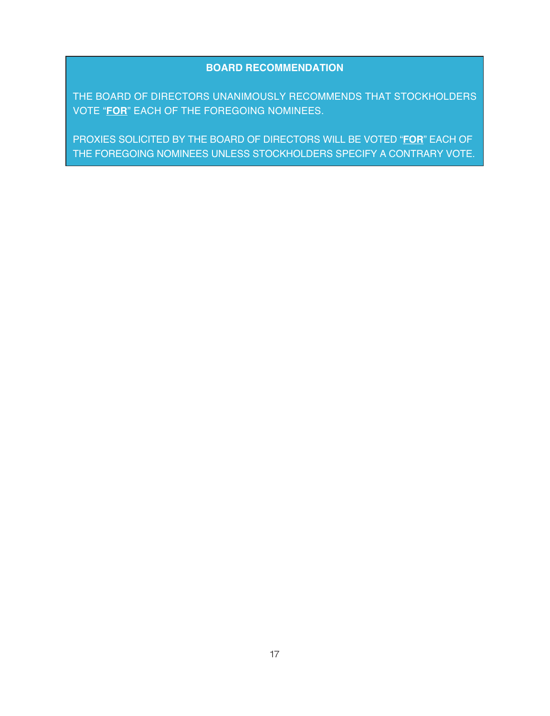### **BOARD RECOMMENDATION**

THE BOARD OF DIRECTORS UNANIMOUSLY RECOMMENDS THAT STOCKHOLDERS VOTE "**FOR**" EACH OF THE FOREGOING NOMINEES.

PROXIES SOLICITED BY THE BOARD OF DIRECTORS WILL BE VOTED "**FOR**" EACH OF THE FOREGOING NOMINEES UNLESS STOCKHOLDERS SPECIFY A CONTRARY VOTE.

27MAR202007503892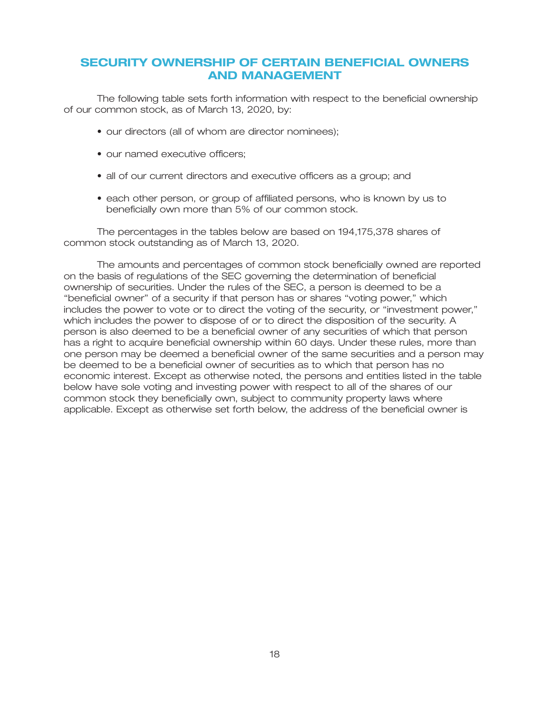## **SECURITY OWNERSHIP OF CERTAIN BENEFICIAL OWNERS AND MANAGEMENT**

The following table sets forth information with respect to the beneficial ownership of our common stock, as of March 13, 2020, by:

- our directors (all of whom are director nominees);
- our named executive officers;
- all of our current directors and executive officers as a group; and
- each other person, or group of affiliated persons, who is known by us to beneficially own more than 5% of our common stock.

The percentages in the tables below are based on 194,175,378 shares of common stock outstanding as of March 13, 2020.

The amounts and percentages of common stock beneficially owned are reported on the basis of regulations of the SEC governing the determination of beneficial ownership of securities. Under the rules of the SEC, a person is deemed to be a ''beneficial owner'' of a security if that person has or shares ''voting power,'' which includes the power to vote or to direct the voting of the security, or ''investment power,'' which includes the power to dispose of or to direct the disposition of the security. A person is also deemed to be a beneficial owner of any securities of which that person has a right to acquire beneficial ownership within 60 days. Under these rules, more than one person may be deemed a beneficial owner of the same securities and a person may be deemed to be a beneficial owner of securities as to which that person has no economic interest. Except as otherwise noted, the persons and entities listed in the table below have sole voting and investing power with respect to all of the shares of our common stock they beneficially own, subject to community property laws where applicable. Except as otherwise set forth below, the address of the beneficial owner is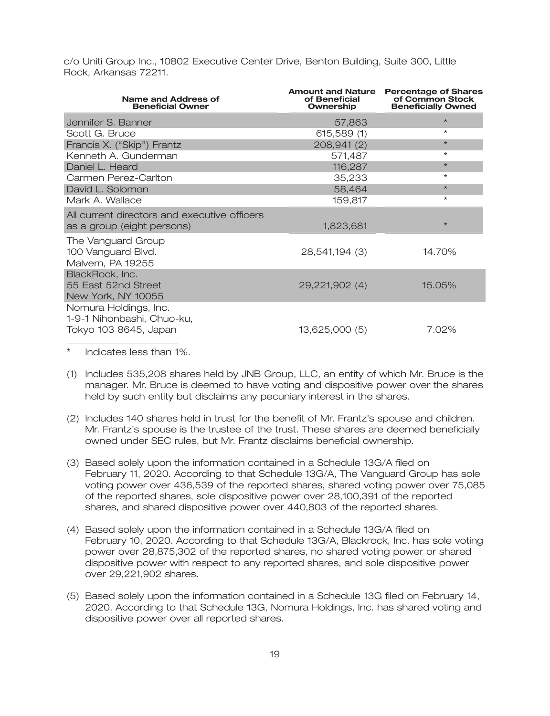c/o Uniti Group Inc., 10802 Executive Center Drive, Benton Building, Suite 300, Little Rock, Arkansas 72211.

| Name and Address of<br><b>Beneficial Owner</b>                               | <b>Amount and Nature</b><br>of Beneficial<br>Ownership | <b>Percentage of Shares</b><br>of Common Stock<br><b>Beneficially Owned</b> |
|------------------------------------------------------------------------------|--------------------------------------------------------|-----------------------------------------------------------------------------|
| Jennifer S. Banner                                                           | 57,863                                                 | $\star$                                                                     |
| Scott G. Bruce                                                               | 615,589 (1)                                            | $\star$                                                                     |
| Francis X. ("Skip") Frantz                                                   | 208,941 (2)                                            | $\star$                                                                     |
| Kenneth A. Gunderman                                                         | 571,487                                                | $\star$                                                                     |
| Daniel L. Heard                                                              | 116,287                                                | $\star$                                                                     |
| Carmen Perez-Carlton                                                         | 35,233                                                 | $\star$                                                                     |
| David L. Solomon                                                             | 58,464                                                 | $\star$                                                                     |
| Mark A. Wallace                                                              | 159,817                                                | $^{\star}$                                                                  |
| All current directors and executive officers<br>as a group (eight persons)   | 1,823,681                                              | $\star$                                                                     |
| The Vanguard Group<br>100 Vanguard Blvd.<br>Malvern, PA 19255                | 28,541,194 (3)                                         | 14.70%                                                                      |
| BlackRock, Inc.<br>55 East 52nd Street<br>New York, NY 10055                 | 29,221,902 (4)                                         | 15.05%                                                                      |
| Nomura Holdings, Inc.<br>1-9-1 Nihonbashi, Chuo-ku,<br>Tokyo 103 8645, Japan | 13,625,000 (5)                                         | 7.02%                                                                       |

Indicates less than 1%.

- (1) Includes 535,208 shares held by JNB Group, LLC, an entity of which Mr. Bruce is the manager. Mr. Bruce is deemed to have voting and dispositive power over the shares held by such entity but disclaims any pecuniary interest in the shares.
- (2) Includes 140 shares held in trust for the benefit of Mr. Frantz's spouse and children. Mr. Frantz's spouse is the trustee of the trust. These shares are deemed beneficially owned under SEC rules, but Mr. Frantz disclaims beneficial ownership.
- (3) Based solely upon the information contained in a Schedule 13G/A filed on February 11, 2020. According to that Schedule 13G/A, The Vanguard Group has sole voting power over 436,539 of the reported shares, shared voting power over 75,085 of the reported shares, sole dispositive power over 28,100,391 of the reported shares, and shared dispositive power over 440,803 of the reported shares.
- (4) Based solely upon the information contained in a Schedule 13G/A filed on February 10, 2020. According to that Schedule 13G/A, Blackrock, Inc. has sole voting power over 28,875,302 of the reported shares, no shared voting power or shared dispositive power with respect to any reported shares, and sole dispositive power over 29,221,902 shares.
- (5) Based solely upon the information contained in a Schedule 13G filed on February 14, 2020. According to that Schedule 13G, Nomura Holdings, Inc. has shared voting and dispositive power over all reported shares.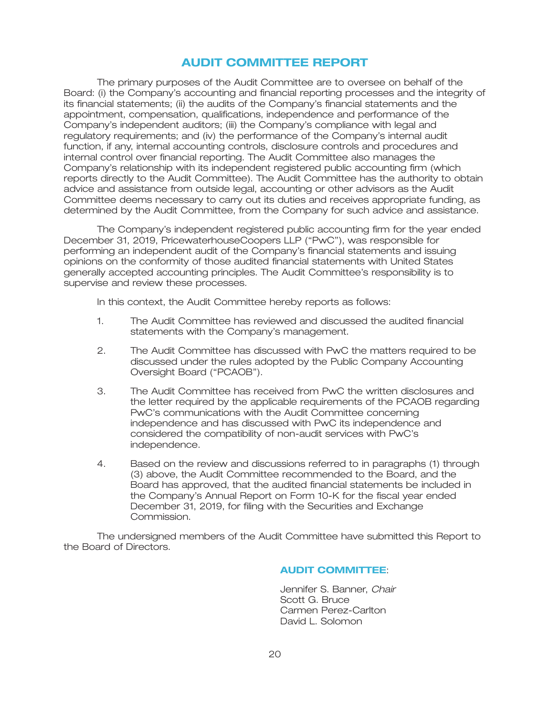### **AUDIT COMMITTEE REPORT**

The primary purposes of the Audit Committee are to oversee on behalf of the Board: (i) the Company's accounting and financial reporting processes and the integrity of its financial statements; (ii) the audits of the Company's financial statements and the appointment, compensation, qualifications, independence and performance of the Company's independent auditors; (iii) the Company's compliance with legal and regulatory requirements; and (iv) the performance of the Company's internal audit function, if any, internal accounting controls, disclosure controls and procedures and internal control over financial reporting. The Audit Committee also manages the Company's relationship with its independent registered public accounting firm (which reports directly to the Audit Committee). The Audit Committee has the authority to obtain advice and assistance from outside legal, accounting or other advisors as the Audit Committee deems necessary to carry out its duties and receives appropriate funding, as determined by the Audit Committee, from the Company for such advice and assistance.

The Company's independent registered public accounting firm for the year ended December 31, 2019, PricewaterhouseCoopers LLP (''PwC''), was responsible for performing an independent audit of the Company's financial statements and issuing opinions on the conformity of those audited financial statements with United States generally accepted accounting principles. The Audit Committee's responsibility is to supervise and review these processes.

In this context, the Audit Committee hereby reports as follows:

- 1. The Audit Committee has reviewed and discussed the audited financial statements with the Company's management.
- 2. The Audit Committee has discussed with PwC the matters required to be discussed under the rules adopted by the Public Company Accounting Oversight Board ("PCAOB").
- 3. The Audit Committee has received from PwC the written disclosures and the letter required by the applicable requirements of the PCAOB regarding PwC's communications with the Audit Committee concerning independence and has discussed with PwC its independence and considered the compatibility of non-audit services with PwC's independence.
- 4. Based on the review and discussions referred to in paragraphs (1) through (3) above, the Audit Committee recommended to the Board, and the Board has approved, that the audited financial statements be included in the Company's Annual Report on Form 10-K for the fiscal year ended December 31, 2019, for filing with the Securities and Exchange Commission.

The undersigned members of the Audit Committee have submitted this Report to the Board of Directors.

#### : **AUDIT COMMITTEE**

Jennifer S. Banner, *Chair* Scott G. Bruce Carmen Perez-Carlton David L. Solomon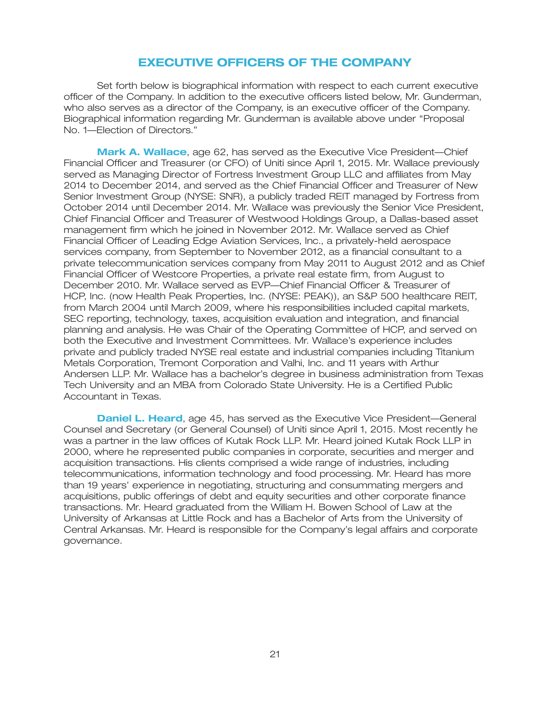### **EXECUTIVE OFFICERS OF THE COMPANY**

Set forth below is biographical information with respect to each current executive officer of the Company. In addition to the executive officers listed below, Mr. Gunderman, who also serves as a director of the Company, is an executive officer of the Company. Biographical information regarding Mr. Gunderman is available above under ''Proposal No. 1—Election of Directors.''

**Mark A. Wallace**, age 62, has served as the Executive Vice President—Chief Financial Officer and Treasurer (or CFO) of Uniti since April 1, 2015. Mr. Wallace previously served as Managing Director of Fortress Investment Group LLC and affiliates from May 2014 to December 2014, and served as the Chief Financial Officer and Treasurer of New Senior Investment Group (NYSE: SNR), a publicly traded REIT managed by Fortress from October 2014 until December 2014. Mr. Wallace was previously the Senior Vice President, Chief Financial Officer and Treasurer of Westwood Holdings Group, a Dallas-based asset management firm which he joined in November 2012. Mr. Wallace served as Chief Financial Officer of Leading Edge Aviation Services, Inc., a privately-held aerospace services company, from September to November 2012, as a financial consultant to a private telecommunication services company from May 2011 to August 2012 and as Chief Financial Officer of Westcore Properties, a private real estate firm, from August to December 2010. Mr. Wallace served as EVP—Chief Financial Officer & Treasurer of HCP, Inc. (now Health Peak Properties, Inc. (NYSE: PEAK)), an S&P 500 healthcare REIT, from March 2004 until March 2009, where his responsibilities included capital markets, SEC reporting, technology, taxes, acquisition evaluation and integration, and financial planning and analysis. He was Chair of the Operating Committee of HCP, and served on both the Executive and Investment Committees. Mr. Wallace's experience includes private and publicly traded NYSE real estate and industrial companies including Titanium Metals Corporation, Tremont Corporation and Valhi, Inc. and 11 years with Arthur Andersen LLP. Mr. Wallace has a bachelor's degree in business administration from Texas Tech University and an MBA from Colorado State University. He is a Certified Public Accountant in Texas.

**Daniel L. Heard**, age 45, has served as the Executive Vice President—General Counsel and Secretary (or General Counsel) of Uniti since April 1, 2015. Most recently he was a partner in the law offices of Kutak Rock LLP. Mr. Heard joined Kutak Rock LLP in 2000, where he represented public companies in corporate, securities and merger and acquisition transactions. His clients comprised a wide range of industries, including telecommunications, information technology and food processing. Mr. Heard has more than 19 years' experience in negotiating, structuring and consummating mergers and acquisitions, public offerings of debt and equity securities and other corporate finance transactions. Mr. Heard graduated from the William H. Bowen School of Law at the University of Arkansas at Little Rock and has a Bachelor of Arts from the University of Central Arkansas. Mr. Heard is responsible for the Company's legal affairs and corporate governance.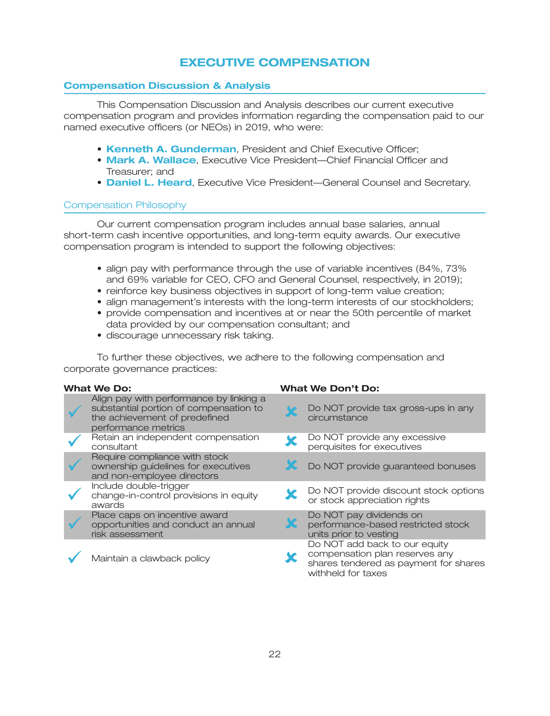# **EXECUTIVE COMPENSATION**

### **Compensation Discussion & Analysis**

This Compensation Discussion and Analysis describes our current executive compensation program and provides information regarding the compensation paid to our named executive officers (or NEOs) in 2019, who were:

- **Kenneth A. Gunderman**, President and Chief Executive Officer;
- **Mark A. Wallace**, Executive Vice President—Chief Financial Officer and Treasurer; and
- **Daniel L. Heard**, Executive Vice President—General Counsel and Secretary.

### Compensation Philosophy

Our current compensation program includes annual base salaries, annual short-term cash incentive opportunities, and long-term equity awards. Our executive compensation program is intended to support the following objectives:

- align pay with performance through the use of variable incentives (84%, 73% and 69% variable for CEO, CFO and General Counsel, respectively, in 2019);
- reinforce key business objectives in support of long-term value creation;
- align management's interests with the long-term interests of our stockholders;
- provide compensation and incentives at or near the 50th percentile of market data provided by our compensation consultant; and
- discourage unnecessary risk taking.

To further these objectives, we adhere to the following compensation and corporate governance practices:

| <b>What We Do:</b>                                                                                                                        | <b>What We Don't Do:</b>                                                                                                       |
|-------------------------------------------------------------------------------------------------------------------------------------------|--------------------------------------------------------------------------------------------------------------------------------|
| Align pay with performance by linking a<br>substantial portion of compensation to<br>the achievement of predefined<br>performance metrics | Do NOT provide tax gross-ups in any<br>circumstance                                                                            |
| Retain an independent compensation<br>consultant                                                                                          | Do NOT provide any excessive<br>perquisites for executives                                                                     |
| Require compliance with stock<br>ownership guidelines for executives<br>and non-employee directors                                        | Do NOT provide guaranteed bonuses                                                                                              |
| Include double-trigger<br>change-in-control provisions in equity<br>awards                                                                | Do NOT provide discount stock options<br>or stock appreciation rights                                                          |
| Place caps on incentive award<br>opportunities and conduct an annual<br>risk assessment                                                   | Do NOT pay dividends on<br>performance-based restricted stock<br>units prior to vesting                                        |
| Maintain a clawback policy                                                                                                                | Do NOT add back to our equity<br>compensation plan reserves any<br>shares tendered as payment for shares<br>withheld for taxes |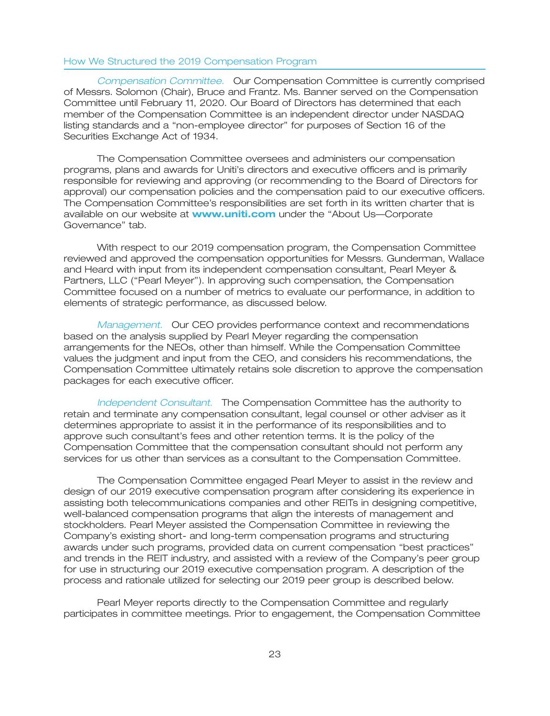### How We Structured the 2019 Compensation Program

Compensation Committee. Our Compensation Committee is currently comprised of Messrs. Solomon (Chair), Bruce and Frantz. Ms. Banner served on the Compensation Committee until February 11, 2020. Our Board of Directors has determined that each member of the Compensation Committee is an independent director under NASDAQ listing standards and a ''non-employee director'' for purposes of Section 16 of the Securities Exchange Act of 1934.

The Compensation Committee oversees and administers our compensation programs, plans and awards for Uniti's directors and executive officers and is primarily responsible for reviewing and approving (or recommending to the Board of Directors for approval) our compensation policies and the compensation paid to our executive officers. The Compensation Committee's responsibilities are set forth in its written charter that is available on our website at **www.uniti.com** under the "About Us—Corporate Governance'' tab.

With respect to our 2019 compensation program, the Compensation Committee reviewed and approved the compensation opportunities for Messrs. Gunderman, Wallace and Heard with input from its independent compensation consultant, Pearl Meyer & Partners, LLC (''Pearl Meyer''). In approving such compensation, the Compensation Committee focused on a number of metrics to evaluate our performance, in addition to elements of strategic performance, as discussed below.

Management. Our CEO provides performance context and recommendations based on the analysis supplied by Pearl Meyer regarding the compensation arrangements for the NEOs, other than himself. While the Compensation Committee values the judgment and input from the CEO, and considers his recommendations, the Compensation Committee ultimately retains sole discretion to approve the compensation packages for each executive officer.

Independent Consultant. The Compensation Committee has the authority to retain and terminate any compensation consultant, legal counsel or other adviser as it determines appropriate to assist it in the performance of its responsibilities and to approve such consultant's fees and other retention terms. It is the policy of the Compensation Committee that the compensation consultant should not perform any services for us other than services as a consultant to the Compensation Committee.

The Compensation Committee engaged Pearl Meyer to assist in the review and design of our 2019 executive compensation program after considering its experience in assisting both telecommunications companies and other REITs in designing competitive, well-balanced compensation programs that align the interests of management and stockholders. Pearl Meyer assisted the Compensation Committee in reviewing the Company's existing short- and long-term compensation programs and structuring awards under such programs, provided data on current compensation ''best practices'' and trends in the REIT industry, and assisted with a review of the Company's peer group for use in structuring our 2019 executive compensation program. A description of the process and rationale utilized for selecting our 2019 peer group is described below.

Pearl Meyer reports directly to the Compensation Committee and regularly participates in committee meetings. Prior to engagement, the Compensation Committee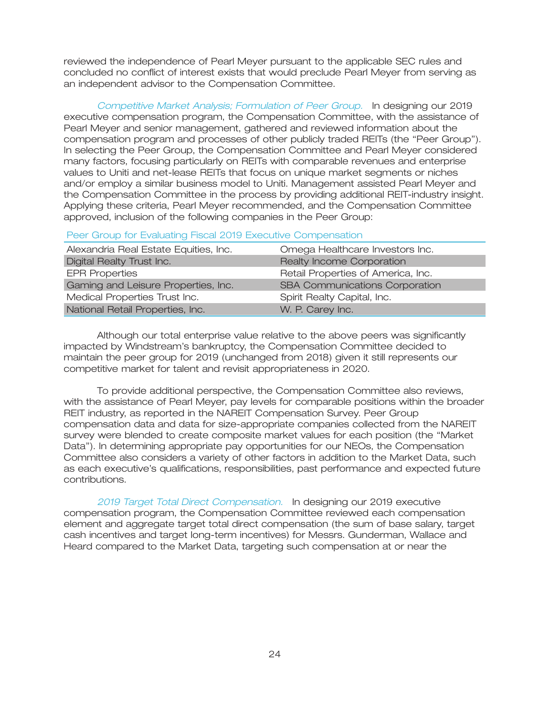reviewed the independence of Pearl Meyer pursuant to the applicable SEC rules and concluded no conflict of interest exists that would preclude Pearl Meyer from serving as an independent advisor to the Compensation Committee.

Competitive Market Analysis; Formulation of Peer Group. In designing our 2019 executive compensation program, the Compensation Committee, with the assistance of Pearl Meyer and senior management, gathered and reviewed information about the compensation program and processes of other publicly traded REITs (the ''Peer Group''). In selecting the Peer Group, the Compensation Committee and Pearl Meyer considered many factors, focusing particularly on REITs with comparable revenues and enterprise values to Uniti and net-lease REITs that focus on unique market segments or niches and/or employ a similar business model to Uniti. Management assisted Pearl Meyer and the Compensation Committee in the process by providing additional REIT-industry insight. Applying these criteria, Pearl Meyer recommended, and the Compensation Committee approved, inclusion of the following companies in the Peer Group:

Peer Group for Evaluating Fiscal 2019 Executive Compensation

| Alexandria Real Estate Equities, Inc. | Omega Healthcare Investors Inc.       |
|---------------------------------------|---------------------------------------|
| Digital Realty Trust Inc.             | Realty Income Corporation             |
| <b>EPR Properties</b>                 | Retail Properties of America, Inc.    |
| Gaming and Leisure Properties, Inc.   | <b>SBA Communications Corporation</b> |
| Medical Properties Trust Inc.         | Spirit Realty Capital, Inc.           |
| National Retail Properties, Inc.      | W. P. Carey Inc.                      |

Although our total enterprise value relative to the above peers was significantly impacted by Windstream's bankruptcy, the Compensation Committee decided to maintain the peer group for 2019 (unchanged from 2018) given it still represents our competitive market for talent and revisit appropriateness in 2020.

To provide additional perspective, the Compensation Committee also reviews, with the assistance of Pearl Meyer, pay levels for comparable positions within the broader REIT industry, as reported in the NAREIT Compensation Survey. Peer Group compensation data and data for size-appropriate companies collected from the NAREIT survey were blended to create composite market values for each position (the ''Market Data''). In determining appropriate pay opportunities for our NEOs, the Compensation Committee also considers a variety of other factors in addition to the Market Data, such as each executive's qualifications, responsibilities, past performance and expected future contributions.

2019 Target Total Direct Compensation. In designing our 2019 executive compensation program, the Compensation Committee reviewed each compensation element and aggregate target total direct compensation (the sum of base salary, target cash incentives and target long-term incentives) for Messrs. Gunderman, Wallace and Heard compared to the Market Data, targeting such compensation at or near the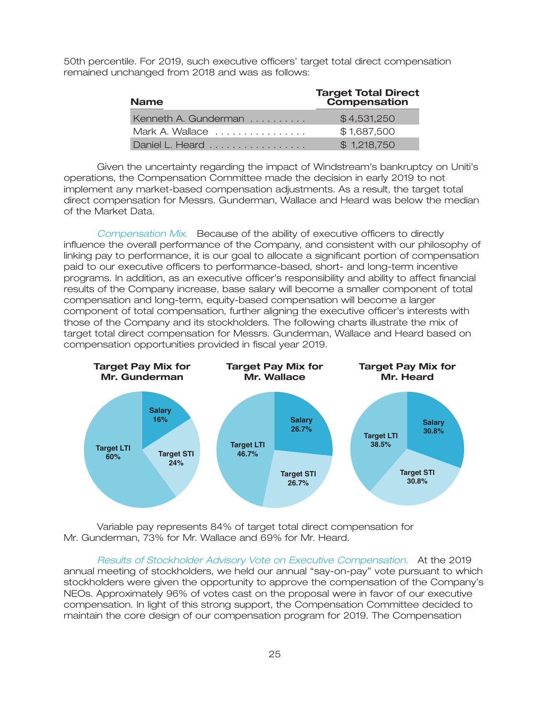50th percentile. For 2019, such executive officers' target total direct compensation remained unchanged from 2018 and was as follows:

| <b>Name</b>          | <b>Target Total Direct</b><br>Compensation |
|----------------------|--------------------------------------------|
| Kenneth A. Gunderman | \$4,531,250                                |
| Mark A. Wallace      | \$1,687,500                                |
| Daniel L. Heard      | \$1,218,750                                |

Given the uncertainty regarding the impact of Windstream's bankruptcy on Uniti's operations, the Compensation Committee made the decision in early 2019 to not implement any market-based compensation adjustments. As a result, the target total direct compensation for Messrs. Gunderman, Wallace and Heard was below the median of the Market Data.

Compensation Mix. Because of the ability of executive officers to directly influence the overall performance of the Company, and consistent with our philosophy of linking pay to performance, it is our goal to allocate a significant portion of compensation paid to our executive officers to performance-based, short- and long-term incentive programs. In addition, as an executive officer's responsibility and ability to affect financial results of the Company increase, base salary will become a smaller component of total compensation and long-term, equity-based compensation will become a larger component of total compensation, further aligning the executive officer's interests with those of the Company and its stockholders. The following charts illustrate the mix of target total direct compensation for Messrs. Gunderman, Wallace and Heard based on compensation opportunities provided in fiscal year 2019.



Variable pay represents 84% of target total direct compensation for Mr. Gunderman, 73% for Mr. Wallace and 69% for Mr. Heard.

Results of Stockholder Advisory Vote on Executive Compensation. At the 2019 annual meeting of stockholders, we held our annual ''say-on-pay'' vote pursuant to which stockholders were given the opportunity to approve the compensation of the Company's NEOs. Approximately 96% of votes cast on the proposal were in favor of our executive compensation. In light of this strong support, the Compensation Committee decided to maintain the core design of our compensation program for 2019. The Compensation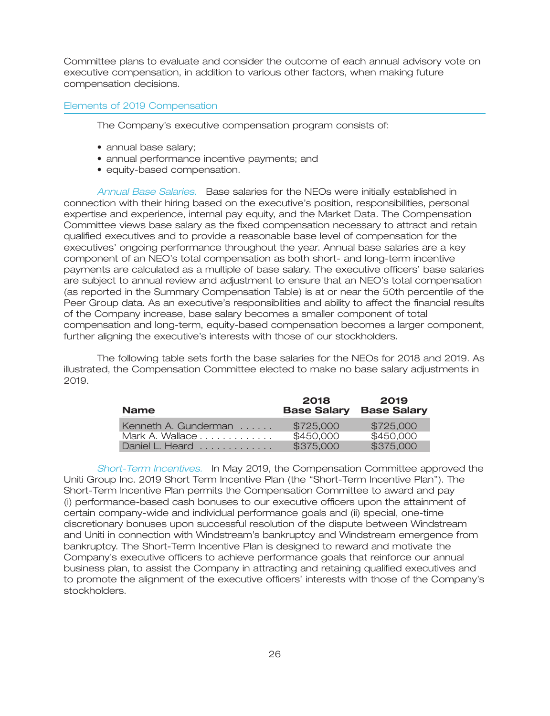Committee plans to evaluate and consider the outcome of each annual advisory vote on executive compensation, in addition to various other factors, when making future compensation decisions.

#### Elements of 2019 Compensation

The Company's executive compensation program consists of:

- annual base salary;
- annual performance incentive payments; and
- equity-based compensation.

Annual Base Salaries. Base salaries for the NEOs were initially established in connection with their hiring based on the executive's position, responsibilities, personal expertise and experience, internal pay equity, and the Market Data. The Compensation Committee views base salary as the fixed compensation necessary to attract and retain qualified executives and to provide a reasonable base level of compensation for the executives' ongoing performance throughout the year. Annual base salaries are a key component of an NEO's total compensation as both short- and long-term incentive payments are calculated as a multiple of base salary. The executive officers' base salaries are subject to annual review and adjustment to ensure that an NEO's total compensation (as reported in the Summary Compensation Table) is at or near the 50th percentile of the Peer Group data. As an executive's responsibilities and ability to affect the financial results of the Company increase, base salary becomes a smaller component of total compensation and long-term, equity-based compensation becomes a larger component, further aligning the executive's interests with those of our stockholders.

The following table sets forth the base salaries for the NEOs for 2018 and 2019. As illustrated, the Compensation Committee elected to make no base salary adjustments in 2019.

| <b>Name</b>          | 2018<br><b>Base Salary</b> | 2019<br><b>Base Salary</b> |
|----------------------|----------------------------|----------------------------|
| Kenneth A. Gunderman | \$725,000                  | \$725,000                  |
| Mark A. Wallace      | \$450,000                  | \$450,000                  |
| Daniel L. Heard      | \$375,000                  | \$375,000                  |

*Short-Term Incentives.* In May 2019, the Compensation Committee approved the Uniti Group Inc. 2019 Short Term Incentive Plan (the ''Short-Term Incentive Plan''). The Short-Term Incentive Plan permits the Compensation Committee to award and pay (i) performance-based cash bonuses to our executive officers upon the attainment of certain company-wide and individual performance goals and (ii) special, one-time discretionary bonuses upon successful resolution of the dispute between Windstream and Uniti in connection with Windstream's bankruptcy and Windstream emergence from bankruptcy. The Short-Term Incentive Plan is designed to reward and motivate the Company's executive officers to achieve performance goals that reinforce our annual business plan, to assist the Company in attracting and retaining qualified executives and to promote the alignment of the executive officers' interests with those of the Company's stockholders.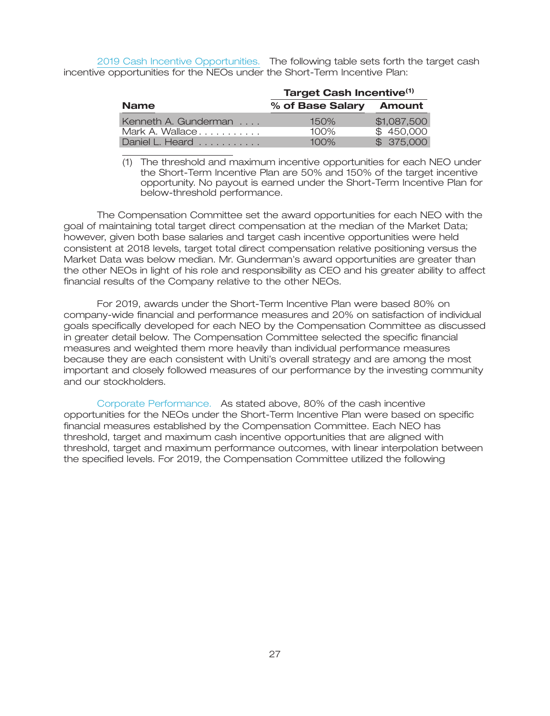2019 Cash Incentive Opportunities. The following table sets forth the target cash incentive opportunities for the NEOs under the Short-Term Incentive Plan:

|                                     | <b>Target Cash Incentive(1)</b> |             |  |
|-------------------------------------|---------------------------------|-------------|--|
| <b>Name</b>                         | % of Base Salary Amount         |             |  |
| Kenneth A. Gunderman                | $150\%$                         | \$1,087,500 |  |
| Mark A. Wallace                     | $100\%$                         | \$450,000   |  |
| Daniel L. Heard $\ldots$ , $\ldots$ | $100\%$                         | \$ 375,000  |  |

<sup>(1)</sup> The threshold and maximum incentive opportunities for each NEO under the Short-Term Incentive Plan are 50% and 150% of the target incentive opportunity. No payout is earned under the Short-Term Incentive Plan for below-threshold performance.

The Compensation Committee set the award opportunities for each NEO with the goal of maintaining total target direct compensation at the median of the Market Data; however, given both base salaries and target cash incentive opportunities were held consistent at 2018 levels, target total direct compensation relative positioning versus the Market Data was below median. Mr. Gunderman's award opportunities are greater than the other NEOs in light of his role and responsibility as CEO and his greater ability to affect financial results of the Company relative to the other NEOs.

For 2019, awards under the Short-Term Incentive Plan were based 80% on company-wide financial and performance measures and 20% on satisfaction of individual goals specifically developed for each NEO by the Compensation Committee as discussed in greater detail below. The Compensation Committee selected the specific financial measures and weighted them more heavily than individual performance measures because they are each consistent with Uniti's overall strategy and are among the most important and closely followed measures of our performance by the investing community and our stockholders.

Corporate Performance. As stated above, 80% of the cash incentive opportunities for the NEOs under the Short-Term Incentive Plan were based on specific financial measures established by the Compensation Committee. Each NEO has threshold, target and maximum cash incentive opportunities that are aligned with threshold, target and maximum performance outcomes, with linear interpolation between the specified levels. For 2019, the Compensation Committee utilized the following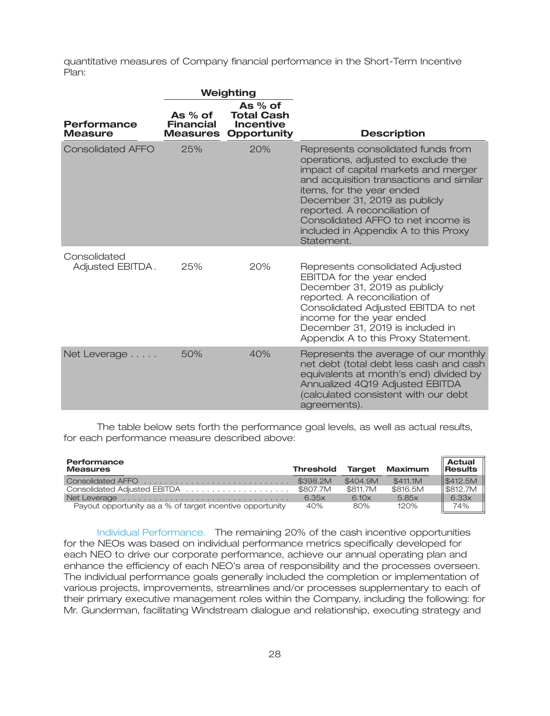quantitative measures of Company financial performance in the Short-Term Incentive Plan:

|                                      | Weighting                               |                                                                          |                                                                                                                                                                                                                                                                                                                                                          |
|--------------------------------------|-----------------------------------------|--------------------------------------------------------------------------|----------------------------------------------------------------------------------------------------------------------------------------------------------------------------------------------------------------------------------------------------------------------------------------------------------------------------------------------------------|
| <b>Performance</b><br><b>Measure</b> | As % of<br>Financial<br><b>Measures</b> | As $%$ of<br><b>Total Cash</b><br><b>Incentive</b><br><b>Opportunity</b> | <b>Description</b>                                                                                                                                                                                                                                                                                                                                       |
| <b>Consolidated AFFO</b>             | 25%                                     | 20%                                                                      | Represents consolidated funds from<br>operations, adjusted to exclude the<br>impact of capital markets and merger<br>and acquisition transactions and similar<br>items, for the year ended<br>December 31, 2019 as publicly<br>reported. A reconciliation of<br>Consolidated AFFO to net income is<br>included in Appendix A to this Proxy<br>Statement. |
| Consolidated<br>Adjusted EBITDA.     | 25%                                     | 20%                                                                      | Represents consolidated Adjusted<br>EBITDA for the year ended<br>December 31, 2019 as publicly<br>reported. A reconciliation of<br>Consolidated Adjusted EBITDA to net<br>income for the year ended<br>December 31, 2019 is included in<br>Appendix A to this Proxy Statement.                                                                           |
| Net Leverage                         | 50%                                     | 40%                                                                      | Represents the average of our monthly<br>net debt (total debt less cash and cash<br>equivalents at month's end) divided by<br>Annualized 4Q19 Adjusted EBITDA<br>(calculated consistent with our debt<br>agreements).                                                                                                                                    |

The table below sets forth the performance goal levels, as well as actual results, for each performance measure described above:

| Performance<br><b>Measures</b>                            | <b>Threshold</b> |          | <b>Target Maximum</b> | Actual<br>$\ $ Results |
|-----------------------------------------------------------|------------------|----------|-----------------------|------------------------|
|                                                           |                  | \$404.9M | \$411.1M              | $\parallel$ \$412.5M   |
|                                                           |                  | \$811.7M | \$816.5M              | S812.7M                |
|                                                           | 6.35x            | 6.10x    | 5.85x                 | 6.33x                  |
| Payout opportunity as a % of target incentive opportunity | 40%              | 80%      | 120%                  | 74%                    |

Individual Performance. The remaining 20% of the cash incentive opportunities for the NEOs was based on individual performance metrics specifically developed for each NEO to drive our corporate performance, achieve our annual operating plan and enhance the efficiency of each NEO's area of responsibility and the processes overseen. The individual performance goals generally included the completion or implementation of various projects, improvements, streamlines and/or processes supplementary to each of their primary executive management roles within the Company, including the following: for Mr. Gunderman, facilitating Windstream dialogue and relationship, executing strategy and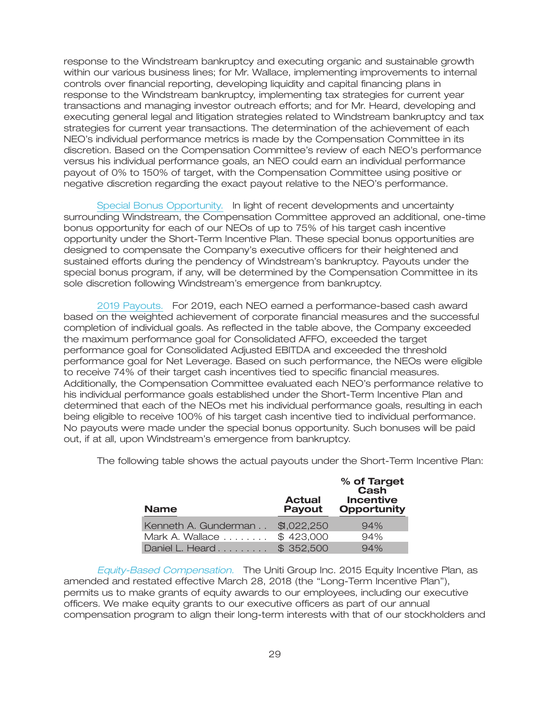response to the Windstream bankruptcy and executing organic and sustainable growth within our various business lines; for Mr. Wallace, implementing improvements to internal controls over financial reporting, developing liquidity and capital financing plans in response to the Windstream bankruptcy, implementing tax strategies for current year transactions and managing investor outreach efforts; and for Mr. Heard, developing and executing general legal and litigation strategies related to Windstream bankruptcy and tax strategies for current year transactions. The determination of the achievement of each NEO's individual performance metrics is made by the Compensation Committee in its discretion. Based on the Compensation Committee's review of each NEO's performance versus his individual performance goals, an NEO could earn an individual performance payout of 0% to 150% of target, with the Compensation Committee using positive or negative discretion regarding the exact payout relative to the NEO's performance.

Special Bonus Opportunity. In light of recent developments and uncertainty surrounding Windstream, the Compensation Committee approved an additional, one-time bonus opportunity for each of our NEOs of up to 75% of his target cash incentive opportunity under the Short-Term Incentive Plan. These special bonus opportunities are designed to compensate the Company's executive officers for their heightened and sustained efforts during the pendency of Windstream's bankruptcy. Payouts under the special bonus program, if any, will be determined by the Compensation Committee in its sole discretion following Windstream's emergence from bankruptcy.

2019 Payouts. For 2019, each NEO earned a performance-based cash award based on the weighted achievement of corporate financial measures and the successful completion of individual goals. As reflected in the table above, the Company exceeded the maximum performance goal for Consolidated AFFO, exceeded the target performance goal for Consolidated Adjusted EBITDA and exceeded the threshold performance goal for Net Leverage. Based on such performance, the NEOs were eligible to receive 74% of their target cash incentives tied to specific financial measures. Additionally, the Compensation Committee evaluated each NEO's performance relative to his individual performance goals established under the Short-Term Incentive Plan and determined that each of the NEOs met his individual performance goals, resulting in each being eligible to receive 100% of his target cash incentive tied to individual performance. No payouts were made under the special bonus opportunity. Such bonuses will be paid out, if at all, upon Windstream's emergence from bankruptcy.

| <b>Name</b>          | <b>Actual</b><br><b>Payout</b> | % of Target<br>Cash<br><b>Incentive</b><br><b>Opportunity</b> |
|----------------------|--------------------------------|---------------------------------------------------------------|
| Kenneth A. Gunderman | \$1,022,250                    | 94%                                                           |
| Mark A. Wallace      | \$423,000                      | 94%                                                           |
| Daniel L. Heard      | \$352,500                      | 94%                                                           |

The following table shows the actual payouts under the Short-Term Incentive Plan:

*Equity-Based Compensation.* The Uniti Group Inc. 2015 Equity Incentive Plan, as amended and restated effective March 28, 2018 (the ''Long-Term Incentive Plan''), permits us to make grants of equity awards to our employees, including our executive officers. We make equity grants to our executive officers as part of our annual compensation program to align their long-term interests with that of our stockholders and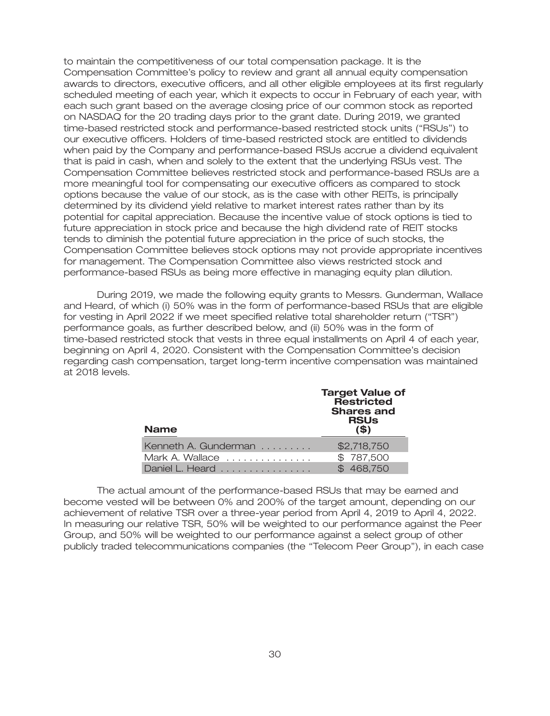to maintain the competitiveness of our total compensation package. It is the Compensation Committee's policy to review and grant all annual equity compensation awards to directors, executive officers, and all other eligible employees at its first regularly scheduled meeting of each year, which it expects to occur in February of each year, with each such grant based on the average closing price of our common stock as reported on NASDAQ for the 20 trading days prior to the grant date. During 2019, we granted time-based restricted stock and performance-based restricted stock units (''RSUs'') to our executive officers. Holders of time-based restricted stock are entitled to dividends when paid by the Company and performance-based RSUs accrue a dividend equivalent that is paid in cash, when and solely to the extent that the underlying RSUs vest. The Compensation Committee believes restricted stock and performance-based RSUs are a more meaningful tool for compensating our executive officers as compared to stock options because the value of our stock, as is the case with other REITs, is principally determined by its dividend yield relative to market interest rates rather than by its potential for capital appreciation. Because the incentive value of stock options is tied to future appreciation in stock price and because the high dividend rate of REIT stocks tends to diminish the potential future appreciation in the price of such stocks, the Compensation Committee believes stock options may not provide appropriate incentives for management. The Compensation Committee also views restricted stock and performance-based RSUs as being more effective in managing equity plan dilution.

During 2019, we made the following equity grants to Messrs. Gunderman, Wallace and Heard, of which (i) 50% was in the form of performance-based RSUs that are eligible for vesting in April 2022 if we meet specified relative total shareholder return (''TSR'') performance goals, as further described below, and (ii) 50% was in the form of time-based restricted stock that vests in three equal installments on April 4 of each year, beginning on April 4, 2020. Consistent with the Compensation Committee's decision regarding cash compensation, target long-term incentive compensation was maintained at 2018 levels.

| <b>Name</b>          | <b>Target Value of</b><br>Restricted<br><b>Shares and</b><br><b>RSUs</b><br>$($ \$) |
|----------------------|-------------------------------------------------------------------------------------|
| Kenneth A. Gunderman | \$2,718,750                                                                         |
| Mark A. Wallace      | \$787,500                                                                           |
| Daniel L. Heard      | \$468,750                                                                           |

The actual amount of the performance-based RSUs that may be earned and become vested will be between 0% and 200% of the target amount, depending on our achievement of relative TSR over a three-year period from April 4, 2019 to April 4, 2022. In measuring our relative TSR, 50% will be weighted to our performance against the Peer Group, and 50% will be weighted to our performance against a select group of other publicly traded telecommunications companies (the ''Telecom Peer Group''), in each case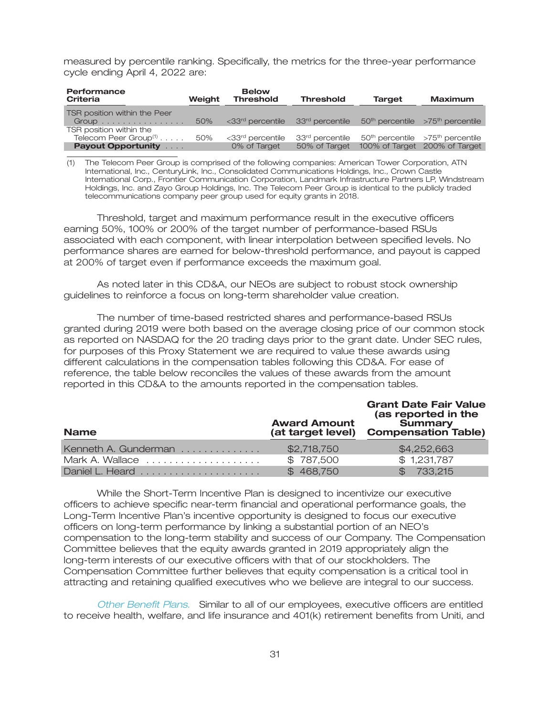measured by percentile ranking. Specifically, the metrics for the three-year performance cycle ending April 4, 2022 are:

| Performance<br>Criteria                    | Weiaht | <b>Below</b><br><b>Threshold</b>                             | <b>Threshold</b> | <b>Target</b> | <b>Maximum</b>                                              |
|--------------------------------------------|--------|--------------------------------------------------------------|------------------|---------------|-------------------------------------------------------------|
| TSR position within the Peer               |        |                                                              |                  |               |                                                             |
| $Group \ldots \ldots \ldots \ldots \ldots$ | 50%    | <33 <sup>rd</sup> percentile = 33 <sup>rd</sup> percentile = |                  |               | $50th$ percentile $\rightarrow$ 75 <sup>th</sup> percentile |
| TSR position within the                    |        |                                                              |                  |               |                                                             |
| Telecom Peer Group $(1)$ 50%               |        | <33 <sup>rd</sup> percentile                                 | 33rd percentile  |               | $50th$ percentile $>75th$ percentile                        |
| <b>Payout Opportunity Administration</b>   |        | 0% of Target                                                 | 50% of Target    |               | 100% of Target 200% of Target                               |

(1) The Telecom Peer Group is comprised of the following companies: American Tower Corporation, ATN International, Inc., CenturyLink, Inc., Consolidated Communications Holdings, Inc., Crown Castle International Corp., Frontier Communication Corporation, Landmark Infrastructure Partners LP, Windstream Holdings, Inc. and Zayo Group Holdings, Inc. The Telecom Peer Group is identical to the publicly traded telecommunications company peer group used for equity grants in 2018.

Threshold, target and maximum performance result in the executive officers earning 50%, 100% or 200% of the target number of performance-based RSUs associated with each component, with linear interpolation between specified levels. No performance shares are earned for below-threshold performance, and payout is capped at 200% of target even if performance exceeds the maximum goal.

As noted later in this CD&A, our NEOs are subject to robust stock ownership guidelines to reinforce a focus on long-term shareholder value creation.

The number of time-based restricted shares and performance-based RSUs granted during 2019 were both based on the average closing price of our common stock as reported on NASDAQ for the 20 trading days prior to the grant date. Under SEC rules, for purposes of this Proxy Statement we are required to value these awards using different calculations in the compensation tables following this CD&A. For ease of reference, the table below reconciles the values of these awards from the amount reported in this CD&A to the amounts reported in the compensation tables.

| <b>Name</b>          | <b>Award Amount</b><br>(at target level) | <b>Grant Date Fair Value</b><br>(as reported in the<br><b>Summary</b><br><b>Compensation Table)</b> |
|----------------------|------------------------------------------|-----------------------------------------------------------------------------------------------------|
| Kenneth A. Gunderman | \$2,718,750                              | \$4,252,663                                                                                         |
| Mark A. Wallace      | \$787,500                                | \$1,231,787                                                                                         |
|                      | \$468,750                                | \$733,215                                                                                           |

While the Short-Term Incentive Plan is designed to incentivize our executive officers to achieve specific near-term financial and operational performance goals, the Long-Term Incentive Plan's incentive opportunity is designed to focus our executive officers on long-term performance by linking a substantial portion of an NEO's compensation to the long-term stability and success of our Company. The Compensation Committee believes that the equity awards granted in 2019 appropriately align the long-term interests of our executive officers with that of our stockholders. The Compensation Committee further believes that equity compensation is a critical tool in attracting and retaining qualified executives who we believe are integral to our success.

Other Benefit Plans. Similar to all of our employees, executive officers are entitled to receive health, welfare, and life insurance and 401(k) retirement benefits from Uniti, and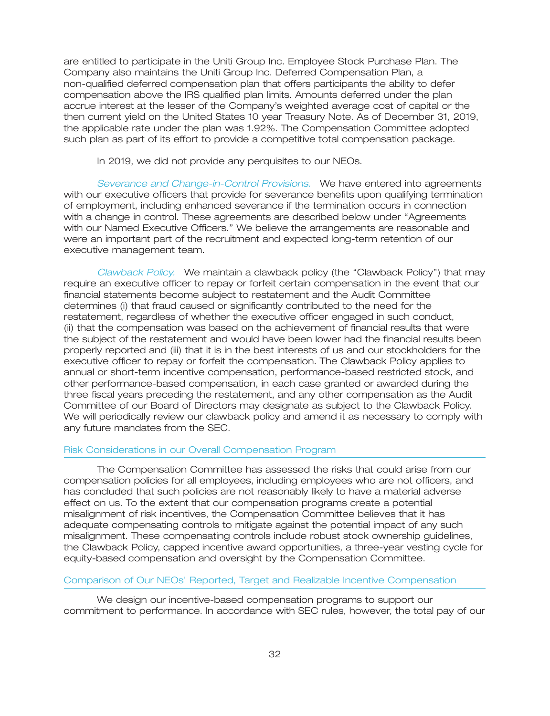are entitled to participate in the Uniti Group Inc. Employee Stock Purchase Plan. The Company also maintains the Uniti Group Inc. Deferred Compensation Plan, a non-qualified deferred compensation plan that offers participants the ability to defer compensation above the IRS qualified plan limits. Amounts deferred under the plan accrue interest at the lesser of the Company's weighted average cost of capital or the then current yield on the United States 10 year Treasury Note. As of December 31, 2019, the applicable rate under the plan was 1.92%. The Compensation Committee adopted such plan as part of its effort to provide a competitive total compensation package.

In 2019, we did not provide any perquisites to our NEOs.

Severance and Change-in-Control Provisions. We have entered into agreements with our executive officers that provide for severance benefits upon qualifying termination of employment, including enhanced severance if the termination occurs in connection with a change in control. These agreements are described below under ''Agreements with our Named Executive Officers.'' We believe the arrangements are reasonable and were an important part of the recruitment and expected long-term retention of our executive management team.

Clawback Policy. We maintain a clawback policy (the "Clawback Policy") that may require an executive officer to repay or forfeit certain compensation in the event that our financial statements become subject to restatement and the Audit Committee determines (i) that fraud caused or significantly contributed to the need for the restatement, regardless of whether the executive officer engaged in such conduct, (ii) that the compensation was based on the achievement of financial results that were the subject of the restatement and would have been lower had the financial results been properly reported and (iii) that it is in the best interests of us and our stockholders for the executive officer to repay or forfeit the compensation. The Clawback Policy applies to annual or short-term incentive compensation, performance-based restricted stock, and other performance-based compensation, in each case granted or awarded during the three fiscal years preceding the restatement, and any other compensation as the Audit Committee of our Board of Directors may designate as subject to the Clawback Policy. We will periodically review our clawback policy and amend it as necessary to comply with any future mandates from the SEC.

#### Risk Considerations in our Overall Compensation Program

The Compensation Committee has assessed the risks that could arise from our compensation policies for all employees, including employees who are not officers, and has concluded that such policies are not reasonably likely to have a material adverse effect on us. To the extent that our compensation programs create a potential misalignment of risk incentives, the Compensation Committee believes that it has adequate compensating controls to mitigate against the potential impact of any such misalignment. These compensating controls include robust stock ownership guidelines, the Clawback Policy, capped incentive award opportunities, a three-year vesting cycle for equity-based compensation and oversight by the Compensation Committee.

### Comparison of Our NEOs' Reported, Target and Realizable Incentive Compensation

We design our incentive-based compensation programs to support our commitment to performance. In accordance with SEC rules, however, the total pay of our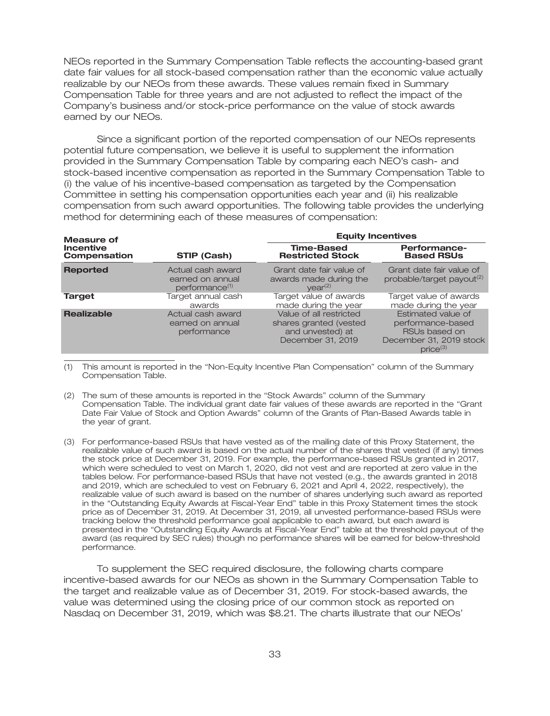NEOs reported in the Summary Compensation Table reflects the accounting-based grant date fair values for all stock-based compensation rather than the economic value actually realizable by our NEOs from these awards. These values remain fixed in Summary Compensation Table for three years and are not adjusted to reflect the impact of the Company's business and/or stock-price performance on the value of stock awards earned by our NEOs.

Since a significant portion of the reported compensation of our NEOs represents potential future compensation, we believe it is useful to supplement the information provided in the Summary Compensation Table by comparing each NEO's cash- and stock-based incentive compensation as reported in the Summary Compensation Table to (i) the value of his incentive-based compensation as targeted by the Compensation Committee in setting his compensation opportunities each year and (ii) his realizable compensation from such award opportunities. The following table provides the underlying method for determining each of these measures of compensation:

| <b>Measure of</b>                |                                                                     | <b>Equity Incentives</b>                                                                   |                                                                                                      |  |
|----------------------------------|---------------------------------------------------------------------|--------------------------------------------------------------------------------------------|------------------------------------------------------------------------------------------------------|--|
| <b>Incentive</b><br>Compensation | STIP (Cash)                                                         | <b>Time-Based</b><br><b>Restricted Stock</b>                                               | <b>Performance-</b><br><b>Based RSUs</b>                                                             |  |
| <b>Reported</b>                  | Actual cash award<br>earned on annual<br>performance <sup>(1)</sup> | Grant date fair value of<br>awards made during the<br>vear <sup>(2)</sup>                  | Grant date fair value of<br>probable/target payout <sup>(2)</sup>                                    |  |
| <b>Target</b>                    | Target annual cash<br>awards                                        | Target value of awards<br>made during the year                                             | Target value of awards<br>made during the year                                                       |  |
| <b>Realizable</b>                | Actual cash award<br>earned on annual<br>performance                | Value of all restricted<br>shares granted (vested<br>and unvested) at<br>December 31, 2019 | Estimated value of<br>performance-based<br>RSUs based on<br>December 31, 2019 stock<br>$price^{(3)}$ |  |

(1) This amount is reported in the ''Non-Equity Incentive Plan Compensation'' column of the Summary Compensation Table.

- (2) The sum of these amounts is reported in the ''Stock Awards'' column of the Summary Compensation Table. The individual grant date fair values of these awards are reported in the ''Grant Date Fair Value of Stock and Option Awards'' column of the Grants of Plan-Based Awards table in the year of grant.
- (3) For performance-based RSUs that have vested as of the mailing date of this Proxy Statement, the realizable value of such award is based on the actual number of the shares that vested (if any) times the stock price at December 31, 2019. For example, the performance-based RSUs granted in 2017, which were scheduled to vest on March 1, 2020, did not vest and are reported at zero value in the tables below. For performance-based RSUs that have not vested (e.g., the awards granted in 2018 and 2019, which are scheduled to vest on February 6, 2021 and April 4, 2022, respectively), the realizable value of such award is based on the number of shares underlying such award as reported in the ''Outstanding Equity Awards at Fiscal-Year End'' table in this Proxy Statement times the stock price as of December 31, 2019. At December 31, 2019, all unvested performance-based RSUs were tracking below the threshold performance goal applicable to each award, but each award is presented in the ''Outstanding Equity Awards at Fiscal-Year End'' table at the threshold payout of the award (as required by SEC rules) though no performance shares will be earned for below-threshold performance.

To supplement the SEC required disclosure, the following charts compare incentive-based awards for our NEOs as shown in the Summary Compensation Table to the target and realizable value as of December 31, 2019. For stock-based awards, the value was determined using the closing price of our common stock as reported on Nasdaq on December 31, 2019, which was \$8.21. The charts illustrate that our NEOs'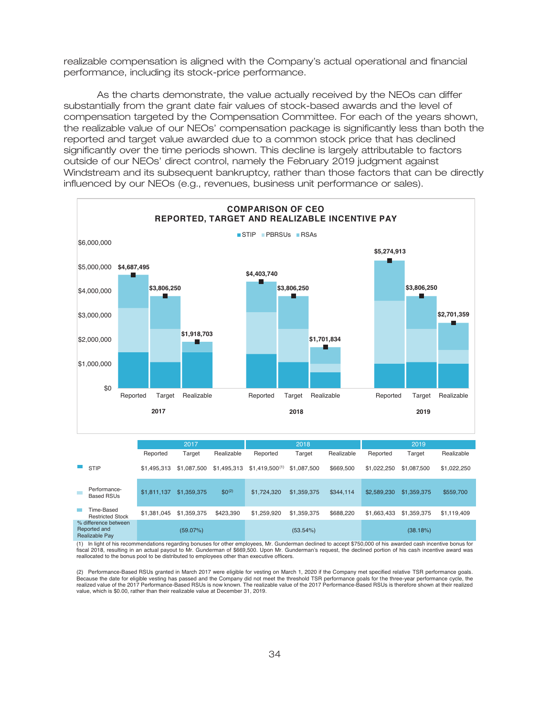realizable compensation is aligned with the Company's actual operational and financial performance, including its stock-price performance.

As the charts demonstrate, the value actually received by the NEOs can differ substantially from the grant date fair values of stock-based awards and the level of compensation targeted by the Compensation Committee. For each of the years shown, the realizable value of our NEOs' compensation package is significantly less than both the reported and target value awarded due to a common stock price that has declined significantly over the time periods shown. This decline is largely attributable to factors outside of our NEOs' direct control, namely the February 2019 judgment against Windstream and its subsequent bankruptcy, rather than those factors that can be directly influenced by our NEOs (e.g., revenues, business unit performance or sales).



Performanceгепопл**апое- \$1,811,137 \$1,359,375** \$0<sup>(2)</sup> \$1,724,320 \$1,359,375 \$344,114 \$2,589,230 \$1,359,375 \$559,700<br>Вазеd RSUs Time-Based Restricted Stock \$1,381,045 \$1,359,375 \$423,390 \$1,259,920 \$1,359,375 \$688,220 \$1,663,433 \$1,359,375 \$1,119,409 % difference between Reported and Realizable Pay (59.07%) (53.54%) (38.18%)

(1) In light of his recommendations regarding bonuses for other employees, Mr. Gunderman declined to accept \$750,000 of his awarded cash incentive bonus for fiscal 2018, resulting in an actual payout to Mr. Gunderman of \$669,500. Upon Mr. Gunderman's request, the declined portion of his cash incentive award was<br>reallocated to the bonus pool to be distributed to employees other

(2) Performance-Based RSUs granted in March 2017 were eligible for vesting on March 1, 2020 if the Company met specified relative TSR performance goals. Because the date for eligible vesting has passed and the Company did not meet the threshold TSR performance goals for the three-year performance cycle, the<br>realized value of the 2017 Performance-Based RSUs is now known. Th value, which is \$0.00, rather than their realizable value at December 31, 2019.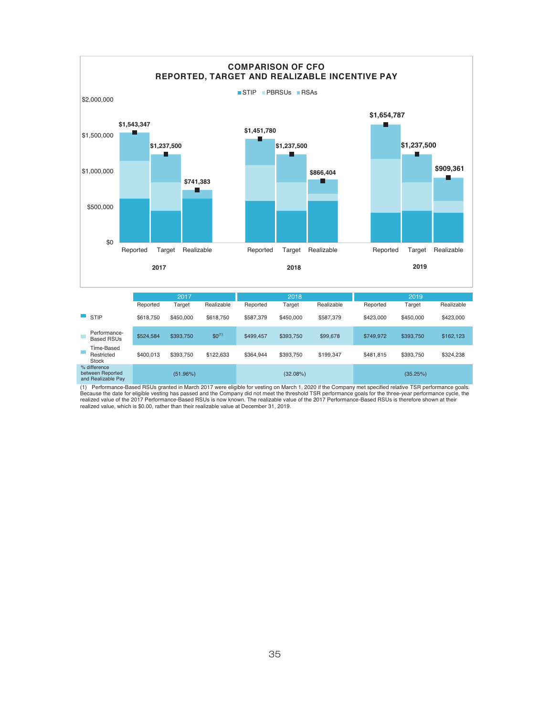

(1) Performance-Based RSUs granted in March 2017 were eligible for vesting on March 1, 2020 if the Company met specified relative TSR performance goals.<br>Because the date for eligible vesting has passed and the Company did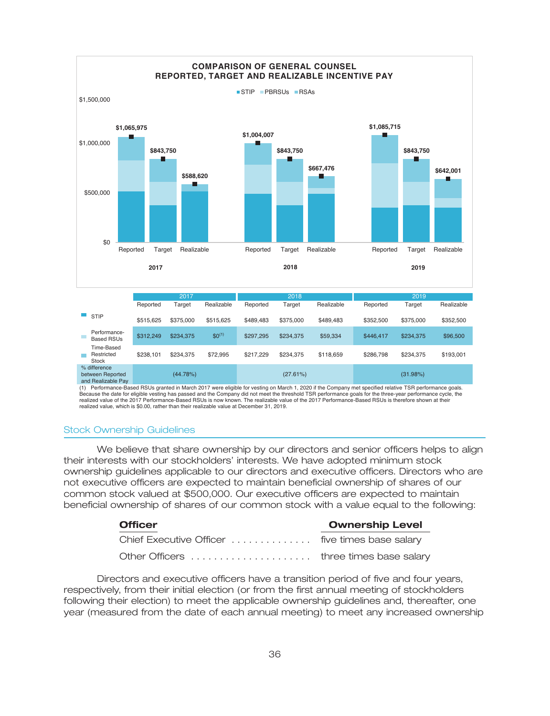

(1) Performance-Based RSUs granted in March 2017 were eligible for vesting on March 1, 2020 if the Company met specified relative TSR performance goals. Because the date for eligible vesting has passed and the Company did not meet the threshold TSR performance goals for the three-year performance cycle, the realized value of the 2017 Performance-Based RSUs is now known. The realizable value of the 2017 Performance-Based RSUs is therefore shown at their realized value, which is \$0.00, rather than their realizable value at December 31, 2019.

#### Stock Ownership Guidelines

We believe that share ownership by our directors and senior officers helps to align their interests with our stockholders' interests. We have adopted minimum stock ownership guidelines applicable to our directors and executive officers. Directors who are not executive officers are expected to maintain beneficial ownership of shares of our common stock valued at \$500,000. Our executive officers are expected to maintain beneficial ownership of shares of our common stock with a value equal to the following:

| <b>Officer</b>                                  | <b>Ownership Level</b> |
|-------------------------------------------------|------------------------|
| Chief Executive Officer  five times base salary |                        |
|                                                 |                        |

Directors and executive officers have a transition period of five and four years, respectively, from their initial election (or from the first annual meeting of stockholders following their election) to meet the applicable ownership guidelines and, thereafter, one year (measured from the date of each annual meeting) to meet any increased ownership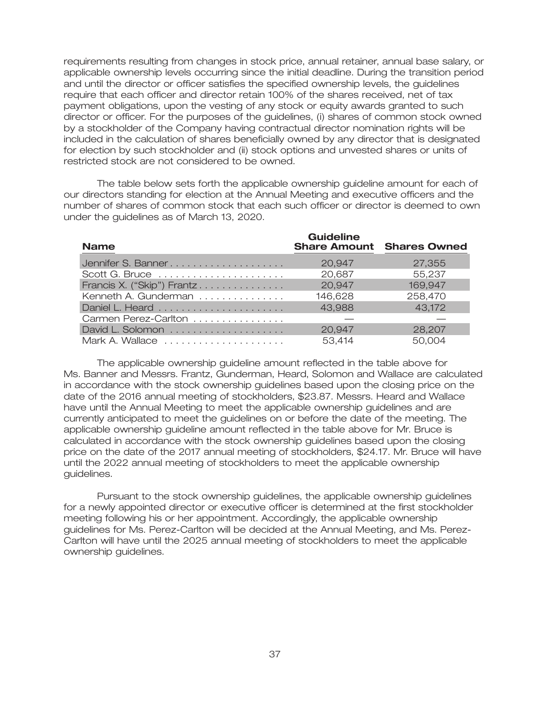requirements resulting from changes in stock price, annual retainer, annual base salary, or applicable ownership levels occurring since the initial deadline. During the transition period and until the director or officer satisfies the specified ownership levels, the guidelines require that each officer and director retain 100% of the shares received, net of tax payment obligations, upon the vesting of any stock or equity awards granted to such director or officer. For the purposes of the guidelines, (i) shares of common stock owned by a stockholder of the Company having contractual director nomination rights will be included in the calculation of shares beneficially owned by any director that is designated for election by such stockholder and (ii) stock options and unvested shares or units of restricted stock are not considered to be owned.

The table below sets forth the applicable ownership guideline amount for each of our directors standing for election at the Annual Meeting and executive officers and the number of shares of common stock that each such officer or director is deemed to own under the guidelines as of March 13, 2020.

| <b>Name</b>                | <b>Guideline</b> | <b>Share Amount Shares Owned</b> |
|----------------------------|------------------|----------------------------------|
|                            | 20.947           | 27,355                           |
| Scott G. Bruce             | 20,687           | 55,237                           |
| Francis X. ("Skip") Frantz | 20,947           | 169,947                          |
| Kenneth A. Gunderman       | 146,628          | 258,470                          |
|                            | 43,988           | 43,172                           |
| Carmen Perez-Carlton       |                  |                                  |
| David L. Solomon           | 20,947           | 28,207                           |
| Mark A. Wallace            | 53,414           | 50.004                           |

The applicable ownership guideline amount reflected in the table above for Ms. Banner and Messrs. Frantz, Gunderman, Heard, Solomon and Wallace are calculated in accordance with the stock ownership guidelines based upon the closing price on the date of the 2016 annual meeting of stockholders, \$23.87. Messrs. Heard and Wallace have until the Annual Meeting to meet the applicable ownership guidelines and are currently anticipated to meet the guidelines on or before the date of the meeting. The applicable ownership guideline amount reflected in the table above for Mr. Bruce is calculated in accordance with the stock ownership guidelines based upon the closing price on the date of the 2017 annual meeting of stockholders, \$24.17. Mr. Bruce will have until the 2022 annual meeting of stockholders to meet the applicable ownership guidelines.

Pursuant to the stock ownership guidelines, the applicable ownership guidelines for a newly appointed director or executive officer is determined at the first stockholder meeting following his or her appointment. Accordingly, the applicable ownership guidelines for Ms. Perez-Carlton will be decided at the Annual Meeting, and Ms. Perez-Carlton will have until the 2025 annual meeting of stockholders to meet the applicable ownership guidelines.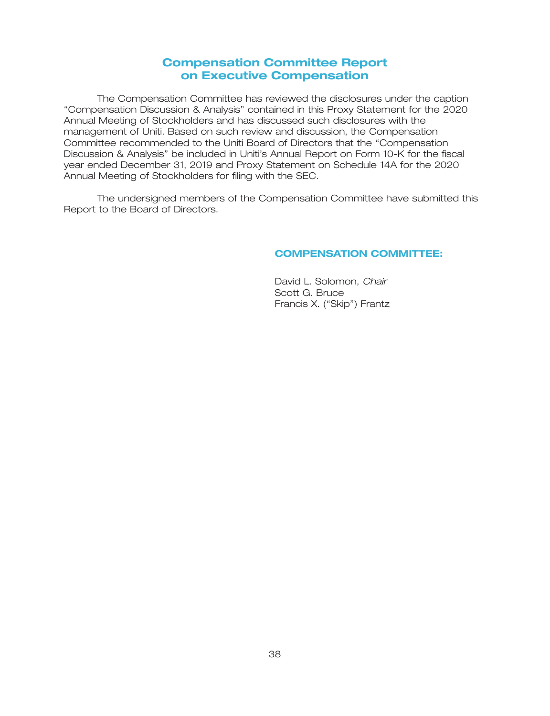## **Compensation Committee Report on Executive Compensation**

The Compensation Committee has reviewed the disclosures under the caption ''Compensation Discussion & Analysis'' contained in this Proxy Statement for the 2020 Annual Meeting of Stockholders and has discussed such disclosures with the management of Uniti. Based on such review and discussion, the Compensation Committee recommended to the Uniti Board of Directors that the ''Compensation Discussion & Analysis'' be included in Uniti's Annual Report on Form 10-K for the fiscal year ended December 31, 2019 and Proxy Statement on Schedule 14A for the 2020 Annual Meeting of Stockholders for filing with the SEC.

The undersigned members of the Compensation Committee have submitted this Report to the Board of Directors.

### **COMPENSATION COMMITTEE:**

David L. Solomon, *Chair* Scott G. Bruce Francis X. ("Skip") Frantz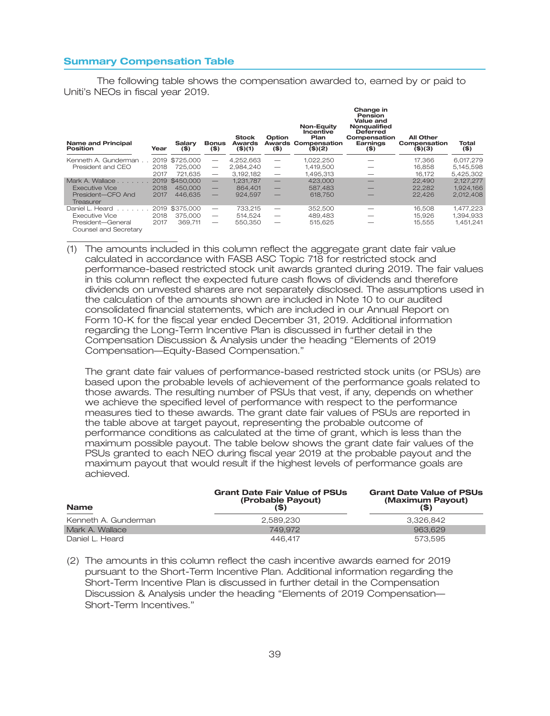#### **Summary Compensation Table**

The following table shows the compensation awarded to, earned by or paid to Uniti's NEOs in fiscal year 2019.

| Name and Principal<br>Position             | Year | Salarv<br>$($ \$) | <b>Bonus</b><br>$($ \$)  | <b>Stock</b><br><b>Awards</b><br>$($ \$ $)(1)$ | Option<br>$($ \$)               | Non-Eauity<br>Incentive<br>Plan<br><b>Awards Compensation</b><br>$($ \$)(2) | Change in<br>Pension<br>Value and<br>Nonqualified<br><b>Deferred</b><br>Compensation<br>Earnings<br>$($ \$) | <b>All Other</b><br>Compensation<br>$($ \$) $($ 3) | Total<br>$($ \$) |
|--------------------------------------------|------|-------------------|--------------------------|------------------------------------------------|---------------------------------|-----------------------------------------------------------------------------|-------------------------------------------------------------------------------------------------------------|----------------------------------------------------|------------------|
| Kenneth A. Gunderman.                      |      | 2019 \$725,000    |                          | 4,252,663                                      |                                 | 1,022,250                                                                   |                                                                                                             | 17,366                                             | 6,017,279        |
| President and CEO                          | 2018 | 725,000           | $\overline{\phantom{m}}$ | 2.984.240                                      | $\overline{\phantom{m}}$        | 1.419.500                                                                   |                                                                                                             | 16.858                                             | 5,145,598        |
|                                            | 2017 | 721.635           | $\overline{\phantom{m}}$ | 3.192.182                                      | $\overbrace{\phantom{1232211}}$ | 1,495,313                                                                   |                                                                                                             | 16.172                                             | 5,425,302        |
| Mark A. Wallace                            | 2019 | \$450,000         | $\qquad \qquad -$        | 1.231.787                                      | $\overline{\phantom{0}}$        | 423,000                                                                     |                                                                                                             | 22,490                                             | 2.127.277        |
| Executive Vice                             | 2018 | 450,000           | $\overline{\phantom{0}}$ | 864,401                                        |                                 | 587.483                                                                     |                                                                                                             | 22.282                                             | 1.924.166        |
| President-CFO And<br>Treasurer             | 2017 | 446.635           | $\overline{\phantom{0}}$ | 924.597                                        |                                 | 618.750                                                                     |                                                                                                             | 22,426                                             | 2.012.408        |
| Daniel L. Heard                            | 2019 | \$375,000         | $\hspace{0.05cm}$        | 733.215                                        | $\overbrace{\phantom{12332}}$   | 352,500                                                                     |                                                                                                             | 16.508                                             | 1,477,223        |
| <b>Executive Vice</b>                      | 2018 | 375,000           | $\overline{\phantom{m}}$ | 514.524                                        | $\overline{\phantom{m}}$        | 489.483                                                                     |                                                                                                             | 15.926                                             | 1,394,933        |
| President-General<br>Counsel and Secretary | 2017 | 369.711           |                          | 550,350                                        |                                 | 515,625                                                                     |                                                                                                             | 15,555                                             | 1,451,241        |

(1) The amounts included in this column reflect the aggregate grant date fair value calculated in accordance with FASB ASC Topic 718 for restricted stock and performance-based restricted stock unit awards granted during 2019. The fair values in this column reflect the expected future cash flows of dividends and therefore dividends on unvested shares are not separately disclosed. The assumptions used in the calculation of the amounts shown are included in Note 10 to our audited consolidated financial statements, which are included in our Annual Report on Form 10-K for the fiscal year ended December 31, 2019. Additional information regarding the Long-Term Incentive Plan is discussed in further detail in the Compensation Discussion & Analysis under the heading ''Elements of 2019 Compensation—Equity-Based Compensation.''

The grant date fair values of performance-based restricted stock units (or PSUs) are based upon the probable levels of achievement of the performance goals related to those awards. The resulting number of PSUs that vest, if any, depends on whether we achieve the specified level of performance with respect to the performance measures tied to these awards. The grant date fair values of PSUs are reported in the table above at target payout, representing the probable outcome of performance conditions as calculated at the time of grant, which is less than the maximum possible payout. The table below shows the grant date fair values of the PSUs granted to each NEO during fiscal year 2019 at the probable payout and the maximum payout that would result if the highest levels of performance goals are achieved.

| <b>Name</b>          | <b>Grant Date Fair Value of PSUs</b><br>(Probable Payout)<br>(\$) | <b>Grant Date Value of PSUs</b><br>(Maximum Payout)<br>(S) |  |  |
|----------------------|-------------------------------------------------------------------|------------------------------------------------------------|--|--|
| Kenneth A. Gunderman | 2.589.230                                                         | 3.326.842                                                  |  |  |
| Mark A. Wallace      | 749.972                                                           | 963.629                                                    |  |  |
| Daniel L. Heard      | 446.417                                                           | 573.595                                                    |  |  |

(2) The amounts in this column reflect the cash incentive awards earned for 2019 pursuant to the Short-Term Incentive Plan. Additional information regarding the Short-Term Incentive Plan is discussed in further detail in the Compensation Discussion & Analysis under the heading ''Elements of 2019 Compensation— Short-Term Incentives.''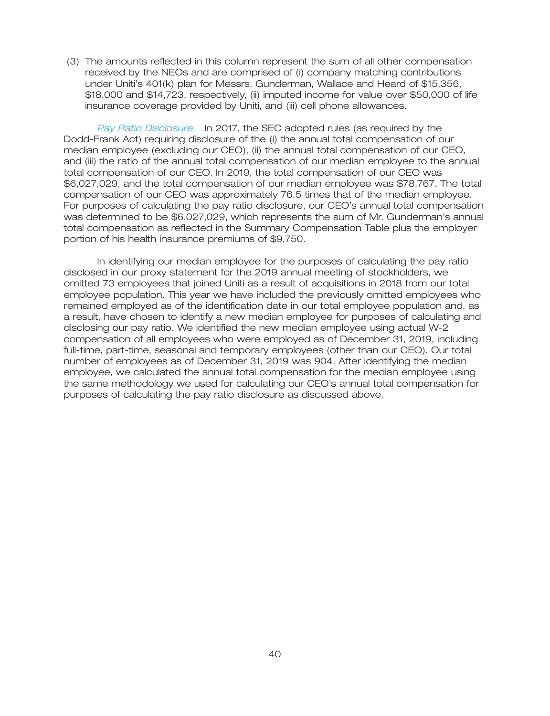(3) The amounts reflected in this column represent the sum of all other compensation received by the NEOs and are comprised of (i) company matching contributions under Uniti's 401(k) plan for Messrs. Gunderman, Wallace and Heard of \$15,356, \$18,000 and \$14,723, respectively, (ii) imputed income for value over \$50,000 of life insurance coverage provided by Uniti, and (iii) cell phone allowances.

Pay Ratio Disclosure. In 2017, the SEC adopted rules (as required by the Dodd-Frank Act) requiring disclosure of the (i) the annual total compensation of our median employee (excluding our CEO), (ii) the annual total compensation of our CEO, and (iii) the ratio of the annual total compensation of our median employee to the annual total compensation of our CEO. In 2019, the total compensation of our CEO was \$6,027,029, and the total compensation of our median employee was \$78,767. The total compensation of our CEO was approximately 76.5 times that of the median employee. For purposes of calculating the pay ratio disclosure, our CEO's annual total compensation was determined to be \$6,027,029, which represents the sum of Mr. Gunderman's annual total compensation as reflected in the Summary Compensation Table plus the employer portion of his health insurance premiums of \$9,750.

In identifying our median employee for the purposes of calculating the pay ratio disclosed in our proxy statement for the 2019 annual meeting of stockholders, we omitted 73 employees that joined Uniti as a result of acquisitions in 2018 from our total employee population. This year we have included the previously omitted employees who remained employed as of the identification date in our total employee population and, as a result, have chosen to identify a new median employee for purposes of calculating and disclosing our pay ratio. We identified the new median employee using actual W-2 compensation of all employees who were employed as of December 31, 2019, including full-time, part-time, seasonal and temporary employees (other than our CEO). Our total number of employees as of December 31, 2019 was 904. After identifying the median employee, we calculated the annual total compensation for the median employee using the same methodology we used for calculating our CEO's annual total compensation for purposes of calculating the pay ratio disclosure as discussed above.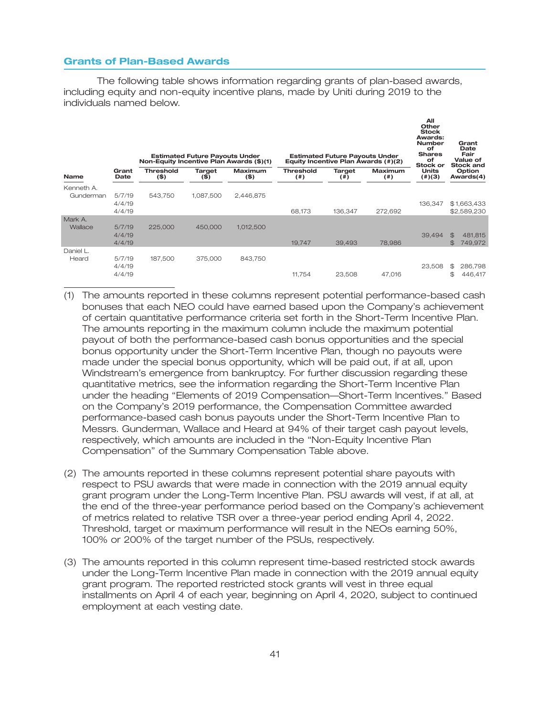### **Grants of Plan-Based Awards**

The following table shows information regarding grants of plan-based awards, including equity and non-equity incentive plans, made by Uniti during 2019 to the individuals named below.

|                         |                            | Non-Equity Incentive Plan Awards (\$)(1) | <b>Estimated Future Payouts Under</b> |                           |                               | <b>Estimated Future Payouts Under</b> | Equity Incentive Plan Awards (#)(2) | All<br>Other<br><b>Stock</b><br>Awards:<br><b>Number</b><br>оf<br><b>Shares</b><br>оf<br>Stock or | Grant<br>Date<br>Fair<br>Value of<br><b>Stock and</b> |
|-------------------------|----------------------------|------------------------------------------|---------------------------------------|---------------------------|-------------------------------|---------------------------------------|-------------------------------------|---------------------------------------------------------------------------------------------------|-------------------------------------------------------|
| <b>Name</b>             | Grant<br>Date              | <b>Threshold</b><br>$($ \$)              | Target<br>$($ \$)                     | <b>Maximum</b><br>$($ \$) | <b>Threshold</b><br>$($ # $)$ | Target<br>$($ # $)$                   | <b>Maximum</b><br>(  # )            | <b>Units</b><br>$(\#)(3)$                                                                         | Option<br>Awards(4)                                   |
| Kenneth A.<br>Gunderman | 5/7/19<br>4/4/19<br>4/4/19 | 543.750                                  | 1.087.500                             | 2,446,875                 | 68,173                        | 136,347                               | 272,692                             | 136,347                                                                                           | \$1,663,433<br>\$2,589,230                            |
| Mark A.<br>Wallace      | 5/7/19<br>4/4/19<br>4/4/19 | 225,000                                  | 450,000                               | 1,012,500                 | 19,747                        | 39,493                                | 78,986                              | 39,494                                                                                            | $\mathfrak{B}$<br>481,815<br>749,972<br>$\mathcal{S}$ |
| Daniel L.<br>Heard      | 5/7/19<br>4/4/19<br>4/4/19 | 187,500                                  | 375,000                               | 843,750                   | 11,754                        | 23,508                                | 47,016                              | 23,508                                                                                            | 286,798<br>\$<br>446,417<br>\$                        |

- (1) The amounts reported in these columns represent potential performance-based cash bonuses that each NEO could have earned based upon the Company's achievement of certain quantitative performance criteria set forth in the Short-Term Incentive Plan. The amounts reporting in the maximum column include the maximum potential payout of both the performance-based cash bonus opportunities and the special bonus opportunity under the Short-Term Incentive Plan, though no payouts were made under the special bonus opportunity, which will be paid out, if at all, upon Windstream's emergence from bankruptcy. For further discussion regarding these quantitative metrics, see the information regarding the Short-Term Incentive Plan under the heading ''Elements of 2019 Compensation—Short-Term Incentives.'' Based on the Company's 2019 performance, the Compensation Committee awarded performance-based cash bonus payouts under the Short-Term Incentive Plan to Messrs. Gunderman, Wallace and Heard at 94% of their target cash payout levels, respectively, which amounts are included in the ''Non-Equity Incentive Plan Compensation'' of the Summary Compensation Table above.
- (2) The amounts reported in these columns represent potential share payouts with respect to PSU awards that were made in connection with the 2019 annual equity grant program under the Long-Term Incentive Plan. PSU awards will vest, if at all, at the end of the three-year performance period based on the Company's achievement of metrics related to relative TSR over a three-year period ending April 4, 2022. Threshold, target or maximum performance will result in the NEOs earning 50%, 100% or 200% of the target number of the PSUs, respectively.
- (3) The amounts reported in this column represent time-based restricted stock awards under the Long-Term Incentive Plan made in connection with the 2019 annual equity grant program. The reported restricted stock grants will vest in three equal installments on April 4 of each year, beginning on April 4, 2020, subject to continued employment at each vesting date.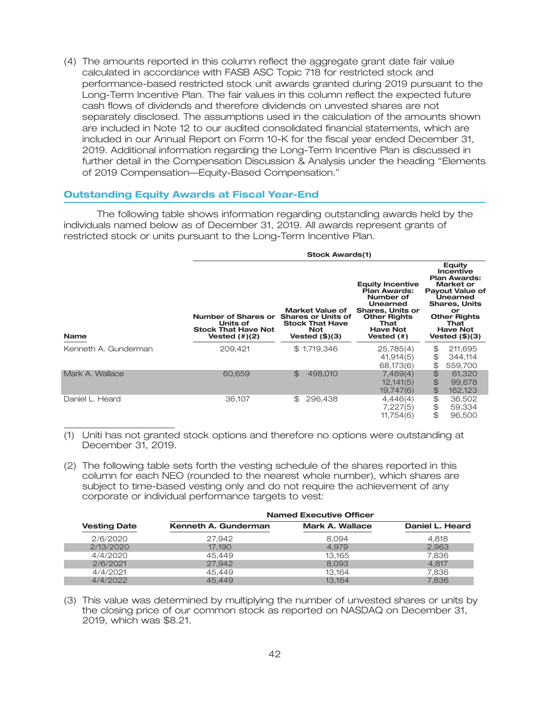(4) The amounts reported in this column reflect the aggregate grant date fair value calculated in accordance with FASB ASC Topic 718 for restricted stock and performance-based restricted stock unit awards granted during 2019 pursuant to the Long-Term Incentive Plan. The fair values in this column reflect the expected future cash flows of dividends and therefore dividends on unvested shares are not separately disclosed. The assumptions used in the calculation of the amounts shown are included in Note 12 to our audited consolidated financial statements, which are included in our Annual Report on Form 10-K for the fiscal year ended December 31, 2019. Additional information regarding the Long-Term Incentive Plan is discussed in further detail in the Compensation Discussion & Analysis under the heading ''Elements of 2019 Compensation—Equity-Based Compensation.''

### **Outstanding Equity Awards at Fiscal Year-End**

The following table shows information regarding outstanding awards held by the individuals named below as of December 31, 2019. All awards represent grants of restricted stock or units pursuant to the Long-Term Incentive Plan.

|                      | <b>Stock Awards(1)</b>                                                                                                                                                                        |                         |                                                                                                                                                                    |                                                                                                                                                                                                        |  |  |  |  |
|----------------------|-----------------------------------------------------------------------------------------------------------------------------------------------------------------------------------------------|-------------------------|--------------------------------------------------------------------------------------------------------------------------------------------------------------------|--------------------------------------------------------------------------------------------------------------------------------------------------------------------------------------------------------|--|--|--|--|
| <b>Name</b>          | Market Value of<br>Number of Shares or<br><b>Shares or Units of</b><br><b>Stock That Have</b><br>Units of<br><b>Stock That Have Not</b><br><b>Not</b><br>Vested $(\#)(2)$<br>Vested $(\$)(3)$ |                         | <b>Equity Incentive</b><br><b>Plan Awards:</b><br>Number of<br>Unearned<br><b>Shares, Units or</b><br><b>Other Rights</b><br>That<br><b>Have Not</b><br>Vested (#) | <b>Equity</b><br>Incentive<br><b>Plan Awards:</b><br>Market or<br><b>Payout Value of</b><br>Unearned<br><b>Shares, Units</b><br>or<br><b>Other Rights</b><br>That<br><b>Have Not</b><br>Vested (\$)(3) |  |  |  |  |
| Kenneth A. Gunderman | 209,421                                                                                                                                                                                       | \$1,719,346             | 25,785(4)<br>41,914(5)<br>68,173(6)                                                                                                                                | \$<br>211,695<br>\$<br>344,114<br>\$<br>559,700                                                                                                                                                        |  |  |  |  |
| Mark A. Wallace      | 60.659                                                                                                                                                                                        | $\mathbb{S}$<br>498,010 | 7,469(4)<br>12,141(5)<br>19,747(6)                                                                                                                                 | $\mathfrak{P}$<br>61,320<br>$\mathfrak{P}$<br>99,678<br>$\bigoplus$<br>162,123                                                                                                                         |  |  |  |  |
| Daniel L. Heard      | 36,107                                                                                                                                                                                        | 296,438<br>\$G          | 4,446(4)<br>7,227(5)<br>11,754(6)                                                                                                                                  | \$<br>36,502<br>\$<br>59,334<br>\$<br>96,500                                                                                                                                                           |  |  |  |  |

(1) Uniti has not granted stock options and therefore no options were outstanding at December 31, 2019.

(2) The following table sets forth the vesting schedule of the shares reported in this column for each NEO (rounded to the nearest whole number), which shares are subject to time-based vesting only and do not require the achievement of any corporate or individual performance targets to vest:

|                     | <b>Named Executive Officer</b> |                        |                 |  |  |  |  |
|---------------------|--------------------------------|------------------------|-----------------|--|--|--|--|
| <b>Vesting Date</b> | Kenneth A. Gunderman           | <b>Mark A. Wallace</b> | Daniel L. Heard |  |  |  |  |
| 2/6/2020            | 27.942                         | 8.094                  | 4.818           |  |  |  |  |
| 2/13/2020           | 17.190                         | 4.979                  | 2.963           |  |  |  |  |
| 4/4/2020            | 45.449                         | 13.165                 | 7.836           |  |  |  |  |
| 2/6/2021            | 27.942                         | 8.093                  | 4.817           |  |  |  |  |
| 4/4/2021            | 45.449                         | 13.164                 | 7.836           |  |  |  |  |
| 4/4/2022            | 45.449                         | 13.164                 | 7.836           |  |  |  |  |

(3) This value was determined by multiplying the number of unvested shares or units by the closing price of our common stock as reported on NASDAQ on December 31, 2019, which was \$8.21.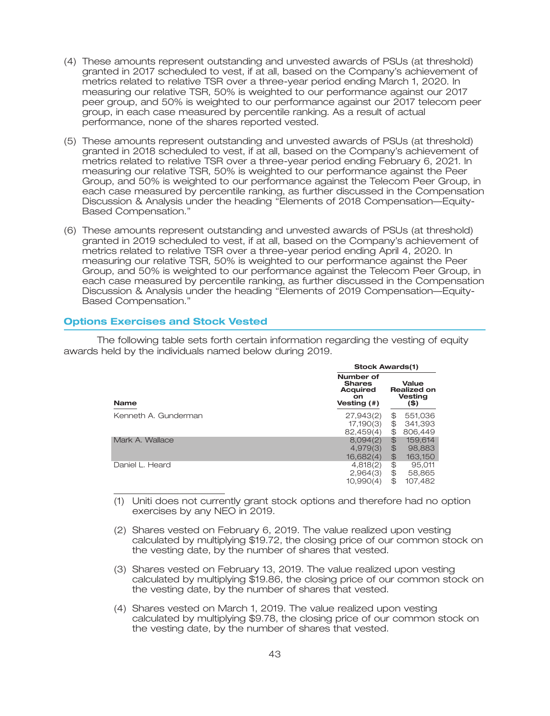- (4) These amounts represent outstanding and unvested awards of PSUs (at threshold) granted in 2017 scheduled to vest, if at all, based on the Company's achievement of metrics related to relative TSR over a three-year period ending March 1, 2020. In measuring our relative TSR, 50% is weighted to our performance against our 2017 peer group, and 50% is weighted to our performance against our 2017 telecom peer group, in each case measured by percentile ranking. As a result of actual performance, none of the shares reported vested.
- (5) These amounts represent outstanding and unvested awards of PSUs (at threshold) granted in 2018 scheduled to vest, if at all, based on the Company's achievement of metrics related to relative TSR over a three-year period ending February 6, 2021. In measuring our relative TSR, 50% is weighted to our performance against the Peer Group, and 50% is weighted to our performance against the Telecom Peer Group, in each case measured by percentile ranking, as further discussed in the Compensation Discussion & Analysis under the heading ''Elements of 2018 Compensation—Equity-Based Compensation.''
- (6) These amounts represent outstanding and unvested awards of PSUs (at threshold) granted in 2019 scheduled to vest, if at all, based on the Company's achievement of metrics related to relative TSR over a three-year period ending April 4, 2020. In measuring our relative TSR, 50% is weighted to our performance against the Peer Group, and 50% is weighted to our performance against the Telecom Peer Group, in each case measured by percentile ranking, as further discussed in the Compensation Discussion & Analysis under the heading ''Elements of 2019 Compensation—Equity-Based Compensation.''

### **Options Exercises and Stock Vested**

The following table sets forth certain information regarding the vesting of equity awards held by the individuals named below during 2019.

|                      | 9100n Amarque                                                             |               |                                                       |  |  |
|----------------------|---------------------------------------------------------------------------|---------------|-------------------------------------------------------|--|--|
| <b>Name</b>          | Number of<br><b>Shares</b><br><b>Acquired</b><br><b>on</b><br>Vesting (#) |               | Value<br><b>Realized on</b><br><b>Vesting</b><br>(\$) |  |  |
| Kenneth A. Gunderman | 27,943(2)                                                                 | \$            | 551,036                                               |  |  |
|                      | 17,190(3)                                                                 | \$            | 341,393                                               |  |  |
|                      | 82,459(4)                                                                 | \$            | 806,449                                               |  |  |
| Mark A. Wallace      | 8,094(2)                                                                  | $\bigoplus$   | 159,614                                               |  |  |
|                      | 4.979(3)                                                                  | $\frac{1}{2}$ | 98,883                                                |  |  |
|                      | 16,682(4)                                                                 | \$            | 163,150                                               |  |  |
| Daniel L. Heard      | 4,818(2)                                                                  | \$            | 95.011                                                |  |  |
|                      | 2,964(3)                                                                  | \$            | 58,865                                                |  |  |
|                      | 10,990(4)                                                                 | \$            | 107,482                                               |  |  |

(1) Uniti does not currently grant stock options and therefore had no option exercises by any NEO in 2019.

**Stock Awards(1)**

- (2) Shares vested on February 6, 2019. The value realized upon vesting calculated by multiplying \$19.72, the closing price of our common stock on the vesting date, by the number of shares that vested.
- (3) Shares vested on February 13, 2019. The value realized upon vesting calculated by multiplying \$19.86, the closing price of our common stock on the vesting date, by the number of shares that vested.
- (4) Shares vested on March 1, 2019. The value realized upon vesting calculated by multiplying \$9.78, the closing price of our common stock on the vesting date, by the number of shares that vested.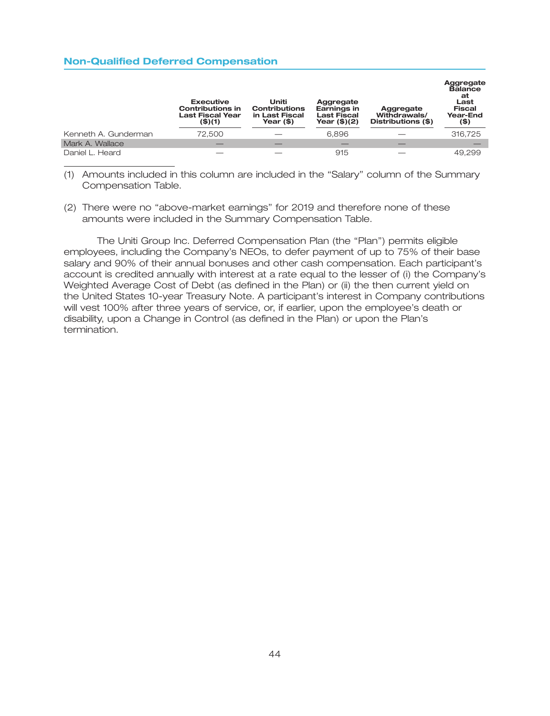### **Non-Qualified Deferred Compensation**

|                      | <b>Executive</b><br><b>Contributions in</b><br><b>Last Fiscal Year</b><br>(\$) (1) | Uniti<br><b>Contributions</b><br>in Last Fiscal<br>Year (\$) | Aggregate<br>Earnings in<br><b>Last Fiscal</b><br>Year $($)(2)$ | Aggregate<br>Withdrawals/<br>Distributions (\$) | Aggregate<br><b>Balance</b><br>at<br>Last<br><b>Fiscal</b><br>Year-End<br>(\$) |
|----------------------|------------------------------------------------------------------------------------|--------------------------------------------------------------|-----------------------------------------------------------------|-------------------------------------------------|--------------------------------------------------------------------------------|
| Kenneth A. Gunderman | 72.500                                                                             |                                                              | 6.896                                                           |                                                 | 316,725                                                                        |
| Mark A. Wallace      |                                                                                    |                                                              |                                                                 |                                                 |                                                                                |
| Daniel L. Heard      |                                                                                    |                                                              | 915                                                             |                                                 | 49.299                                                                         |

(1) Amounts included in this column are included in the ''Salary'' column of the Summary Compensation Table.

(2) There were no ''above-market earnings'' for 2019 and therefore none of these amounts were included in the Summary Compensation Table.

The Uniti Group Inc. Deferred Compensation Plan (the ''Plan'') permits eligible employees, including the Company's NEOs, to defer payment of up to 75% of their base salary and 90% of their annual bonuses and other cash compensation. Each participant's account is credited annually with interest at a rate equal to the lesser of (i) the Company's Weighted Average Cost of Debt (as defined in the Plan) or (ii) the then current yield on the United States 10-year Treasury Note. A participant's interest in Company contributions will vest 100% after three years of service, or, if earlier, upon the employee's death or disability, upon a Change in Control (as defined in the Plan) or upon the Plan's termination.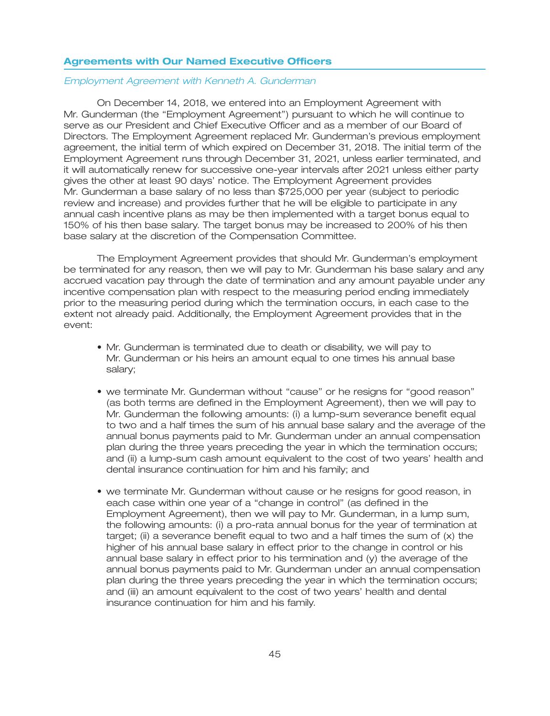#### **Agreements with Our Named Executive Officers**

#### *Employment Agreement with Kenneth A. Gunderman*

On December 14, 2018, we entered into an Employment Agreement with Mr. Gunderman (the ''Employment Agreement'') pursuant to which he will continue to serve as our President and Chief Executive Officer and as a member of our Board of Directors. The Employment Agreement replaced Mr. Gunderman's previous employment agreement, the initial term of which expired on December 31, 2018. The initial term of the Employment Agreement runs through December 31, 2021, unless earlier terminated, and it will automatically renew for successive one-year intervals after 2021 unless either party gives the other at least 90 days' notice. The Employment Agreement provides Mr. Gunderman a base salary of no less than \$725,000 per year (subject to periodic review and increase) and provides further that he will be eligible to participate in any annual cash incentive plans as may be then implemented with a target bonus equal to 150% of his then base salary. The target bonus may be increased to 200% of his then base salary at the discretion of the Compensation Committee.

The Employment Agreement provides that should Mr. Gunderman's employment be terminated for any reason, then we will pay to Mr. Gunderman his base salary and any accrued vacation pay through the date of termination and any amount payable under any incentive compensation plan with respect to the measuring period ending immediately prior to the measuring period during which the termination occurs, in each case to the extent not already paid. Additionally, the Employment Agreement provides that in the event:

- Mr. Gunderman is terminated due to death or disability, we will pay to Mr. Gunderman or his heirs an amount equal to one times his annual base salary;
- we terminate Mr. Gunderman without ''cause'' or he resigns for ''good reason'' (as both terms are defined in the Employment Agreement), then we will pay to Mr. Gunderman the following amounts: (i) a lump-sum severance benefit equal to two and a half times the sum of his annual base salary and the average of the annual bonus payments paid to Mr. Gunderman under an annual compensation plan during the three years preceding the year in which the termination occurs; and (ii) a lump-sum cash amount equivalent to the cost of two years' health and dental insurance continuation for him and his family; and
- we terminate Mr. Gunderman without cause or he resigns for good reason, in each case within one year of a "change in control" (as defined in the Employment Agreement), then we will pay to Mr. Gunderman, in a lump sum, the following amounts: (i) a pro-rata annual bonus for the year of termination at target; (ii) a severance benefit equal to two and a half times the sum of (x) the higher of his annual base salary in effect prior to the change in control or his annual base salary in effect prior to his termination and (y) the average of the annual bonus payments paid to Mr. Gunderman under an annual compensation plan during the three years preceding the year in which the termination occurs; and (iii) an amount equivalent to the cost of two years' health and dental insurance continuation for him and his family.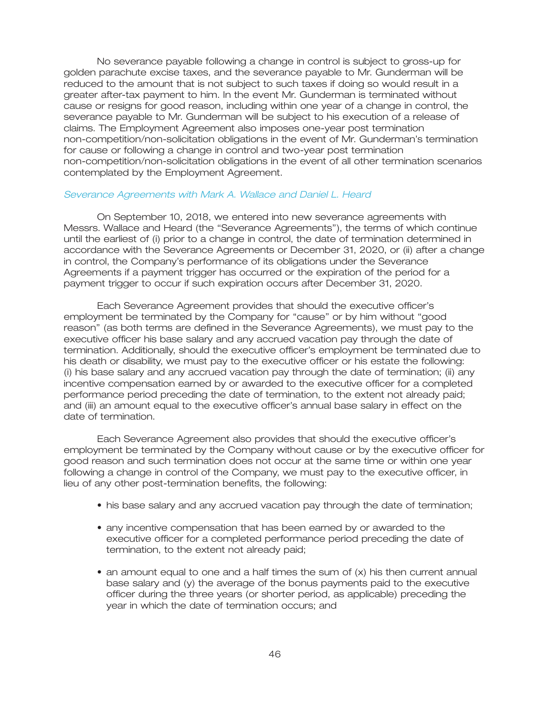No severance payable following a change in control is subject to gross-up for golden parachute excise taxes, and the severance payable to Mr. Gunderman will be reduced to the amount that is not subject to such taxes if doing so would result in a greater after-tax payment to him. In the event Mr. Gunderman is terminated without cause or resigns for good reason, including within one year of a change in control, the severance payable to Mr. Gunderman will be subject to his execution of a release of claims. The Employment Agreement also imposes one-year post termination non-competition/non-solicitation obligations in the event of Mr. Gunderman's termination for cause or following a change in control and two-year post termination non-competition/non-solicitation obligations in the event of all other termination scenarios contemplated by the Employment Agreement.

#### *Severance Agreements with Mark A. Wallace and Daniel L. Heard*

On September 10, 2018, we entered into new severance agreements with Messrs. Wallace and Heard (the ''Severance Agreements''), the terms of which continue until the earliest of (i) prior to a change in control, the date of termination determined in accordance with the Severance Agreements or December 31, 2020, or (ii) after a change in control, the Company's performance of its obligations under the Severance Agreements if a payment trigger has occurred or the expiration of the period for a payment trigger to occur if such expiration occurs after December 31, 2020.

Each Severance Agreement provides that should the executive officer's employment be terminated by the Company for ''cause'' or by him without ''good reason'' (as both terms are defined in the Severance Agreements), we must pay to the executive officer his base salary and any accrued vacation pay through the date of termination. Additionally, should the executive officer's employment be terminated due to his death or disability, we must pay to the executive officer or his estate the following: (i) his base salary and any accrued vacation pay through the date of termination; (ii) any incentive compensation earned by or awarded to the executive officer for a completed performance period preceding the date of termination, to the extent not already paid; and (iii) an amount equal to the executive officer's annual base salary in effect on the date of termination.

Each Severance Agreement also provides that should the executive officer's employment be terminated by the Company without cause or by the executive officer for good reason and such termination does not occur at the same time or within one year following a change in control of the Company, we must pay to the executive officer, in lieu of any other post-termination benefits, the following:

- his base salary and any accrued vacation pay through the date of termination;
- any incentive compensation that has been earned by or awarded to the executive officer for a completed performance period preceding the date of termination, to the extent not already paid;
- an amount equal to one and a half times the sum of (x) his then current annual base salary and (y) the average of the bonus payments paid to the executive officer during the three years (or shorter period, as applicable) preceding the year in which the date of termination occurs; and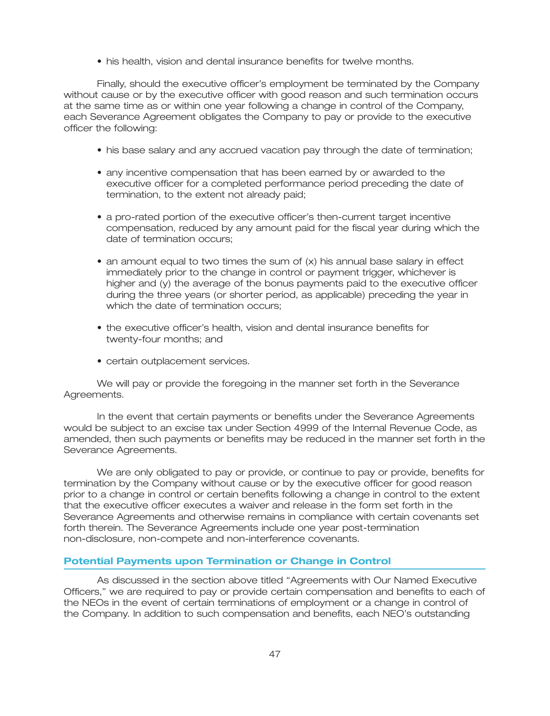• his health, vision and dental insurance benefits for twelve months.

Finally, should the executive officer's employment be terminated by the Company without cause or by the executive officer with good reason and such termination occurs at the same time as or within one year following a change in control of the Company, each Severance Agreement obligates the Company to pay or provide to the executive officer the following:

- his base salary and any accrued vacation pay through the date of termination;
- any incentive compensation that has been earned by or awarded to the executive officer for a completed performance period preceding the date of termination, to the extent not already paid;
- a pro-rated portion of the executive officer's then-current target incentive compensation, reduced by any amount paid for the fiscal year during which the date of termination occurs;
- an amount equal to two times the sum of (x) his annual base salary in effect immediately prior to the change in control or payment trigger, whichever is higher and (y) the average of the bonus payments paid to the executive officer during the three years (or shorter period, as applicable) preceding the year in which the date of termination occurs:
- the executive officer's health, vision and dental insurance benefits for twenty-four months; and
- certain outplacement services.

We will pay or provide the foregoing in the manner set forth in the Severance Agreements.

In the event that certain payments or benefits under the Severance Agreements would be subject to an excise tax under Section 4999 of the Internal Revenue Code, as amended, then such payments or benefits may be reduced in the manner set forth in the Severance Agreements.

We are only obligated to pay or provide, or continue to pay or provide, benefits for termination by the Company without cause or by the executive officer for good reason prior to a change in control or certain benefits following a change in control to the extent that the executive officer executes a waiver and release in the form set forth in the Severance Agreements and otherwise remains in compliance with certain covenants set forth therein. The Severance Agreements include one year post-termination non-disclosure, non-compete and non-interference covenants.

### **Potential Payments upon Termination or Change in Control**

As discussed in the section above titled ''Agreements with Our Named Executive Officers,'' we are required to pay or provide certain compensation and benefits to each of the NEOs in the event of certain terminations of employment or a change in control of the Company. In addition to such compensation and benefits, each NEO's outstanding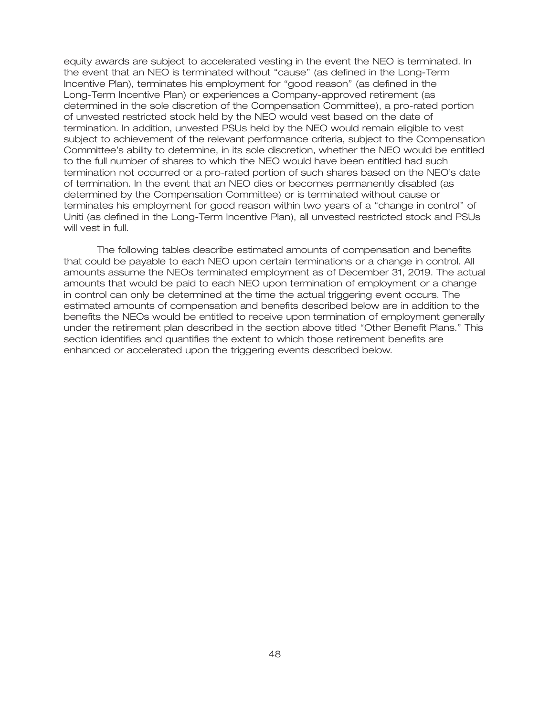equity awards are subject to accelerated vesting in the event the NEO is terminated. In the event that an NEO is terminated without ''cause'' (as defined in the Long-Term Incentive Plan), terminates his employment for ''good reason'' (as defined in the Long-Term Incentive Plan) or experiences a Company-approved retirement (as determined in the sole discretion of the Compensation Committee), a pro-rated portion of unvested restricted stock held by the NEO would vest based on the date of termination. In addition, unvested PSUs held by the NEO would remain eligible to vest subject to achievement of the relevant performance criteria, subject to the Compensation Committee's ability to determine, in its sole discretion, whether the NEO would be entitled to the full number of shares to which the NEO would have been entitled had such termination not occurred or a pro-rated portion of such shares based on the NEO's date of termination. In the event that an NEO dies or becomes permanently disabled (as determined by the Compensation Committee) or is terminated without cause or terminates his employment for good reason within two years of a ''change in control'' of Uniti (as defined in the Long-Term Incentive Plan), all unvested restricted stock and PSUs will vest in full.

The following tables describe estimated amounts of compensation and benefits that could be payable to each NEO upon certain terminations or a change in control. All amounts assume the NEOs terminated employment as of December 31, 2019. The actual amounts that would be paid to each NEO upon termination of employment or a change in control can only be determined at the time the actual triggering event occurs. The estimated amounts of compensation and benefits described below are in addition to the benefits the NEOs would be entitled to receive upon termination of employment generally under the retirement plan described in the section above titled ''Other Benefit Plans.'' This section identifies and quantifies the extent to which those retirement benefits are enhanced or accelerated upon the triggering events described below.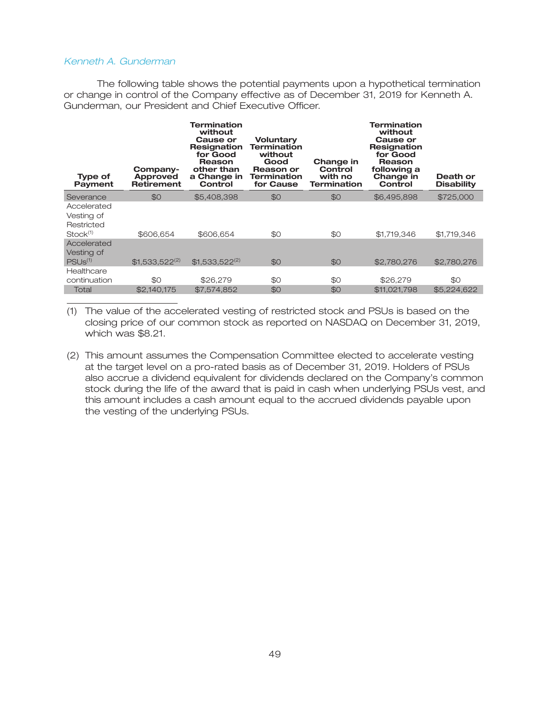### *Kenneth A. Gunderman*

The following table shows the potential payments upon a hypothetical termination or change in control of the Company effective as of December 31, 2019 for Kenneth A. Gunderman, our President and Chief Executive Officer.

| <b>Type of</b><br><b>Payment</b>                                | Company-<br>Approved<br><b>Retirement</b> | <b>Termination</b><br>without<br><b>Cause or</b><br>Resignation<br>for Good<br>Reason<br>other than<br>a Change in<br>Control | <b>Voluntary</b><br><b>Termination</b><br>without<br>Good<br>Reason or<br>Termination<br>for Cause | Change in<br>Control<br>with no<br><b>Termination</b> | <b>Termination</b><br>without<br><b>Cause or</b><br><b>Resignation</b><br>for Good<br>Reason<br>following a<br>Change in<br>Control | Death or<br><b>Disability</b> |
|-----------------------------------------------------------------|-------------------------------------------|-------------------------------------------------------------------------------------------------------------------------------|----------------------------------------------------------------------------------------------------|-------------------------------------------------------|-------------------------------------------------------------------------------------------------------------------------------------|-------------------------------|
| Severance                                                       | \$0                                       | \$5,408,398                                                                                                                   | \$0                                                                                                | \$0                                                   | \$6,495,898                                                                                                                         | \$725,000                     |
| Accelerated<br>Vesting of<br>Restricted<br>Stock <sup>(1)</sup> | \$606,654                                 | \$606,654                                                                                                                     | \$0                                                                                                | \$0                                                   | \$1,719,346                                                                                                                         | \$1,719,346                   |
| Accelerated<br>Vesting of<br>PSUS <sup>(1)</sup>                | $$1,533,522^{(2)}$                        | $$1,533,522^{(2)}$                                                                                                            | \$0                                                                                                | \$0                                                   | \$2,780,276                                                                                                                         | \$2,780,276                   |
| Healthcare                                                      |                                           |                                                                                                                               |                                                                                                    |                                                       |                                                                                                                                     |                               |
| continuation                                                    | \$0                                       | \$26,279                                                                                                                      | \$0                                                                                                | \$0                                                   | \$26,279                                                                                                                            | \$0                           |
| Total                                                           | \$2,140,175                               | \$7,574,852                                                                                                                   | \$0                                                                                                | \$0                                                   | \$11,021,798                                                                                                                        | \$5,224,622                   |

(1) The value of the accelerated vesting of restricted stock and PSUs is based on the closing price of our common stock as reported on NASDAQ on December 31, 2019, which was \$8.21.

(2) This amount assumes the Compensation Committee elected to accelerate vesting at the target level on a pro-rated basis as of December 31, 2019. Holders of PSUs also accrue a dividend equivalent for dividends declared on the Company's common stock during the life of the award that is paid in cash when underlying PSUs vest, and this amount includes a cash amount equal to the accrued dividends payable upon the vesting of the underlying PSUs.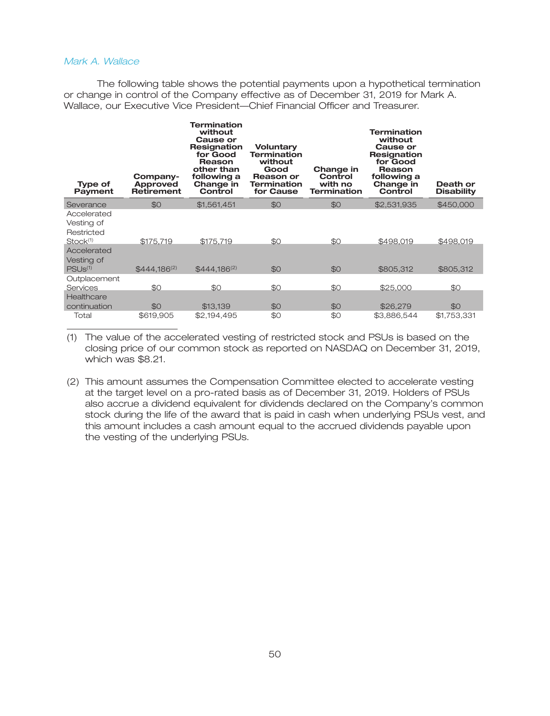### *Mark A. Wallace*

The following table shows the potential payments upon a hypothetical termination or change in control of the Company effective as of December 31, 2019 for Mark A. Wallace, our Executive Vice President—Chief Financial Officer and Treasurer.

| <b>Type of</b><br><b>Payment</b>                                | Company-<br>Approved<br><b>Retirement</b> | Termination<br>without<br>Cause or<br>Resignation<br>for Good<br>Reason<br>other than<br>following a<br>Change in<br>Control | <b>Voluntary</b><br><b>Termination</b><br>without<br>Good<br>Reason or<br><b>Termination</b><br>for Cause | Change in<br>Control<br>with no<br><b>Termination</b> | Termination<br>without<br>Cause or<br>Resignation<br>for Good<br>Reason<br>following a<br>Change in<br>Control | Death or<br><b>Disability</b> |
|-----------------------------------------------------------------|-------------------------------------------|------------------------------------------------------------------------------------------------------------------------------|-----------------------------------------------------------------------------------------------------------|-------------------------------------------------------|----------------------------------------------------------------------------------------------------------------|-------------------------------|
| Severance                                                       | \$0                                       | \$1,561,451                                                                                                                  | \$0                                                                                                       | \$0                                                   | \$2,531,935                                                                                                    | \$450,000                     |
| Accelerated<br>Vesting of<br>Restricted<br>Stock <sup>(1)</sup> | \$175,719                                 | \$175,719                                                                                                                    | \$0                                                                                                       | \$0                                                   | \$498,019                                                                                                      | \$498,019                     |
| Accelerated<br>Vesting of<br>PSU <sub>s(1)</sub>                | $$444.186^{(2)}$                          | $$444.186^{(2)}$                                                                                                             | \$0                                                                                                       | \$0                                                   | \$805,312                                                                                                      | \$805,312                     |
| Outplacement<br>Services<br>Healthcare                          | \$0                                       | \$0                                                                                                                          | \$0                                                                                                       | \$0                                                   | \$25,000                                                                                                       | \$0                           |
| continuation                                                    | \$0                                       | \$13,139                                                                                                                     | \$0                                                                                                       | \$0                                                   | \$26,279                                                                                                       | \$0                           |
| Total                                                           | \$619,905                                 | \$2,194,495                                                                                                                  | \$0                                                                                                       | \$0                                                   | \$3,886,544                                                                                                    | \$1,753,331                   |

(1) The value of the accelerated vesting of restricted stock and PSUs is based on the closing price of our common stock as reported on NASDAQ on December 31, 2019, which was \$8.21.

(2) This amount assumes the Compensation Committee elected to accelerate vesting at the target level on a pro-rated basis as of December 31, 2019. Holders of PSUs also accrue a dividend equivalent for dividends declared on the Company's common stock during the life of the award that is paid in cash when underlying PSUs vest, and this amount includes a cash amount equal to the accrued dividends payable upon the vesting of the underlying PSUs.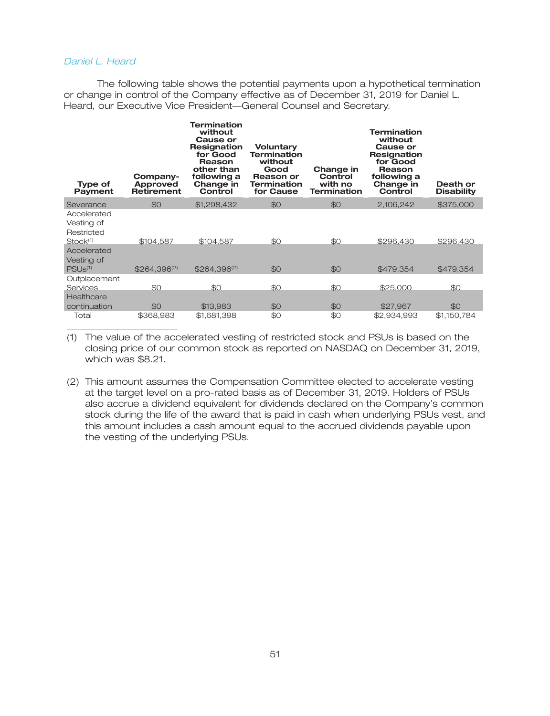### *Daniel L. Heard*

The following table shows the potential payments upon a hypothetical termination or change in control of the Company effective as of December 31, 2019 for Daniel L. Heard, our Executive Vice President—General Counsel and Secretary.

| <b>Type of</b><br>Payment                                       | Company-<br>Approved<br><b>Retirement</b> | Termination<br>without<br>Cause or<br>Resignation<br>for Good<br>Reason<br>other than<br>following a<br>Change in<br>Control | <b>Voluntary</b><br><b>Termination</b><br>without<br>Good<br>Reason or<br><b>Termination</b><br>for Cause | Change in<br>Control<br>with no<br><b>Termination</b> | <b>Termination</b><br>without<br>Cause or<br>Resignation<br>for Good<br>Reason<br>following a<br>Change in<br>Control | Death or<br><b>Disability</b> |
|-----------------------------------------------------------------|-------------------------------------------|------------------------------------------------------------------------------------------------------------------------------|-----------------------------------------------------------------------------------------------------------|-------------------------------------------------------|-----------------------------------------------------------------------------------------------------------------------|-------------------------------|
| Severance                                                       | \$0                                       | \$1,298,432                                                                                                                  | \$0                                                                                                       | \$0                                                   | 2,106,242                                                                                                             | \$375,000                     |
| Accelerated<br>Vesting of<br>Restricted<br>Stock <sup>(1)</sup> | \$104,587                                 | \$104,587                                                                                                                    | \$0                                                                                                       | \$0                                                   | \$296,430                                                                                                             | \$296,430                     |
| Accelerated<br>Vesting of<br>PSUS <sup>(1)</sup>                | $$264.396^{(2)}$                          | $$264.396^{(2)}$                                                                                                             | \$0                                                                                                       | \$0                                                   | \$479,354                                                                                                             | \$479,354                     |
| Outplacement<br><b>Services</b>                                 | \$0                                       | \$0                                                                                                                          | \$0                                                                                                       | \$0                                                   | \$25,000                                                                                                              | \$0                           |
| Healthcare<br>continuation                                      | \$0                                       | \$13,983                                                                                                                     | \$0                                                                                                       | \$0                                                   | \$27,967                                                                                                              | \$0                           |
| Total                                                           | \$368,983                                 | \$1,681,398                                                                                                                  | \$0                                                                                                       | \$0                                                   | \$2,934,993                                                                                                           | \$1,150,784                   |

(1) The value of the accelerated vesting of restricted stock and PSUs is based on the closing price of our common stock as reported on NASDAQ on December 31, 2019, which was \$8.21.

(2) This amount assumes the Compensation Committee elected to accelerate vesting at the target level on a pro-rated basis as of December 31, 2019. Holders of PSUs also accrue a dividend equivalent for dividends declared on the Company's common stock during the life of the award that is paid in cash when underlying PSUs vest, and this amount includes a cash amount equal to the accrued dividends payable upon the vesting of the underlying PSUs.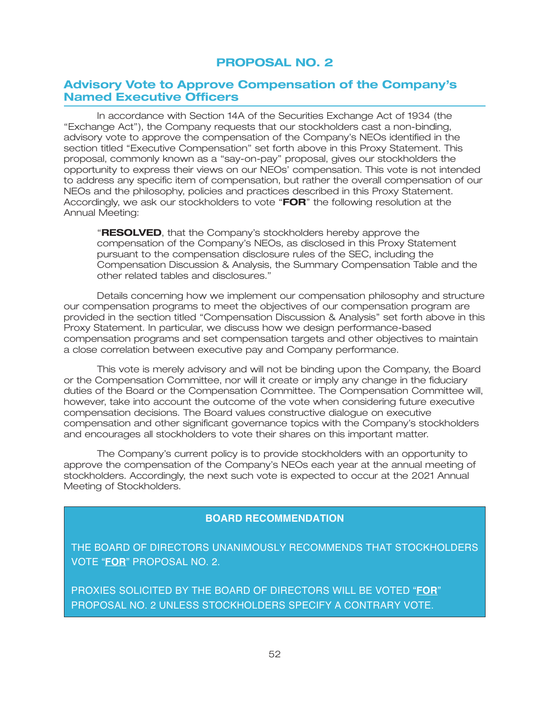# **PROPOSAL NO. 2**

# **Advisory Vote to Approve Compensation of the Company's Named Executive Officers**

In accordance with Section 14A of the Securities Exchange Act of 1934 (the ''Exchange Act''), the Company requests that our stockholders cast a non-binding, advisory vote to approve the compensation of the Company's NEOs identified in the section titled "Executive Compensation" set forth above in this Proxy Statement. This proposal, commonly known as a ''say-on-pay'' proposal, gives our stockholders the opportunity to express their views on our NEOs' compensation. This vote is not intended to address any specific item of compensation, but rather the overall compensation of our NEOs and the philosophy, policies and practices described in this Proxy Statement. Accordingly, we ask our stockholders to vote ''**FOR**'' the following resolution at the Annual Meeting:

''**RESOLVED**, that the Company's stockholders hereby approve the compensation of the Company's NEOs, as disclosed in this Proxy Statement pursuant to the compensation disclosure rules of the SEC, including the Compensation Discussion & Analysis, the Summary Compensation Table and the other related tables and disclosures.''

Details concerning how we implement our compensation philosophy and structure our compensation programs to meet the objectives of our compensation program are provided in the section titled ''Compensation Discussion & Analysis'' set forth above in this Proxy Statement. In particular, we discuss how we design performance-based compensation programs and set compensation targets and other objectives to maintain a close correlation between executive pay and Company performance.

This vote is merely advisory and will not be binding upon the Company, the Board or the Compensation Committee, nor will it create or imply any change in the fiduciary duties of the Board or the Compensation Committee. The Compensation Committee will, however, take into account the outcome of the vote when considering future executive compensation decisions. The Board values constructive dialogue on executive compensation and other significant governance topics with the Company's stockholders and encourages all stockholders to vote their shares on this important matter.

The Company's current policy is to provide stockholders with an opportunity to approve the compensation of the Company's NEOs each year at the annual meeting of stockholders. Accordingly, the next such vote is expected to occur at the 2021 Annual Meeting of Stockholders.

### **BOARD RECOMMENDATION**

THE BOARD OF DIRECTORS UNANIMOUSLY RECOMMENDS THAT STOCKHOLDERS VOTE "**FOR**" PROPOSAL NO. 2.

PROXIES SOLICITED BY THE BOARD OF DIRECTORS WILL BE VOTED "**FOR**" PROPOSAL NO. 2 UNLESS STOCKHOLDERS SPECIFY A CONTRARY VOTE.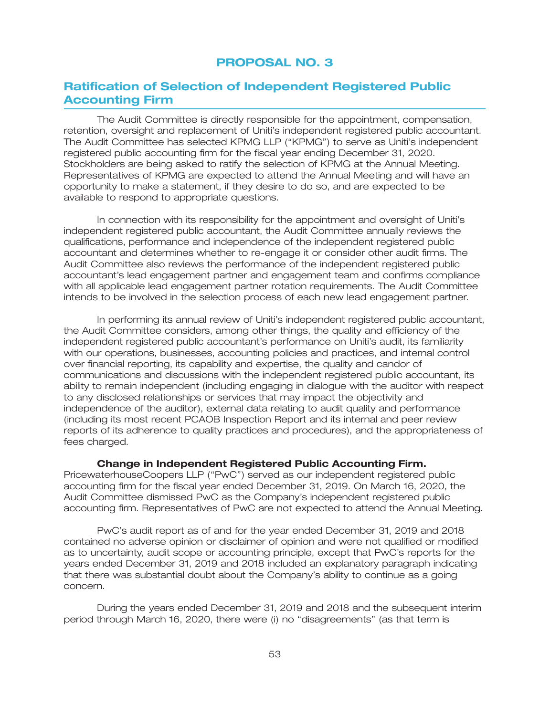# **PROPOSAL NO. 3**

## **Ratification of Selection of Independent Registered Public Accounting Firm**

The Audit Committee is directly responsible for the appointment, compensation, retention, oversight and replacement of Uniti's independent registered public accountant. The Audit Committee has selected KPMG LLP (''KPMG'') to serve as Uniti's independent registered public accounting firm for the fiscal year ending December 31, 2020. Stockholders are being asked to ratify the selection of KPMG at the Annual Meeting. Representatives of KPMG are expected to attend the Annual Meeting and will have an opportunity to make a statement, if they desire to do so, and are expected to be available to respond to appropriate questions.

In connection with its responsibility for the appointment and oversight of Uniti's independent registered public accountant, the Audit Committee annually reviews the qualifications, performance and independence of the independent registered public accountant and determines whether to re-engage it or consider other audit firms. The Audit Committee also reviews the performance of the independent registered public accountant's lead engagement partner and engagement team and confirms compliance with all applicable lead engagement partner rotation requirements. The Audit Committee intends to be involved in the selection process of each new lead engagement partner.

In performing its annual review of Uniti's independent registered public accountant, the Audit Committee considers, among other things, the quality and efficiency of the independent registered public accountant's performance on Uniti's audit, its familiarity with our operations, businesses, accounting policies and practices, and internal control over financial reporting, its capability and expertise, the quality and candor of communications and discussions with the independent registered public accountant, its ability to remain independent (including engaging in dialogue with the auditor with respect to any disclosed relationships or services that may impact the objectivity and independence of the auditor), external data relating to audit quality and performance (including its most recent PCAOB Inspection Report and its internal and peer review reports of its adherence to quality practices and procedures), and the appropriateness of fees charged.

#### **Change in Independent Registered Public Accounting Firm.**

PricewaterhouseCoopers LLP (''PwC'') served as our independent registered public accounting firm for the fiscal year ended December 31, 2019. On March 16, 2020, the Audit Committee dismissed PwC as the Company's independent registered public accounting firm. Representatives of PwC are not expected to attend the Annual Meeting.

PwC's audit report as of and for the year ended December 31, 2019 and 2018 contained no adverse opinion or disclaimer of opinion and were not qualified or modified as to uncertainty, audit scope or accounting principle, except that PwC's reports for the years ended December 31, 2019 and 2018 included an explanatory paragraph indicating that there was substantial doubt about the Company's ability to continue as a going concern.

During the years ended December 31, 2019 and 2018 and the subsequent interim period through March 16, 2020, there were (i) no ''disagreements'' (as that term is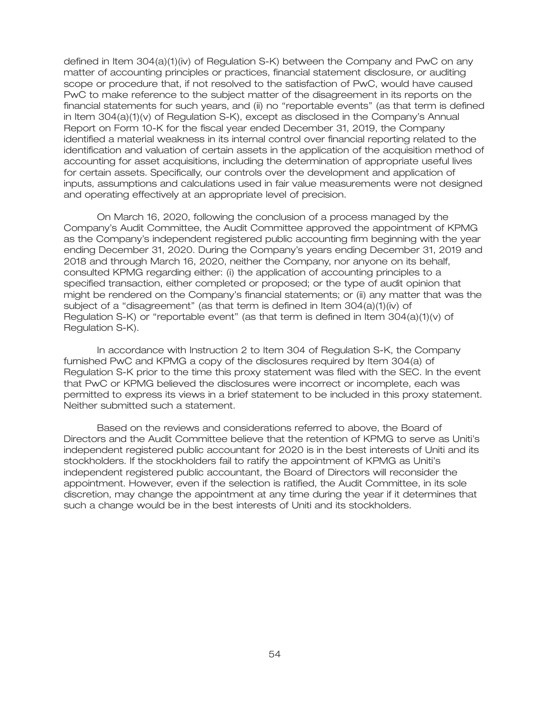defined in Item 304(a)(1)(iv) of Regulation S-K) between the Company and PwC on any matter of accounting principles or practices, financial statement disclosure, or auditing scope or procedure that, if not resolved to the satisfaction of PwC, would have caused PwC to make reference to the subject matter of the disagreement in its reports on the financial statements for such years, and (ii) no ''reportable events'' (as that term is defined in Item 304(a)(1)(v) of Regulation S-K), except as disclosed in the Company's Annual Report on Form 10-K for the fiscal year ended December 31, 2019, the Company identified a material weakness in its internal control over financial reporting related to the identification and valuation of certain assets in the application of the acquisition method of accounting for asset acquisitions, including the determination of appropriate useful lives for certain assets. Specifically, our controls over the development and application of inputs, assumptions and calculations used in fair value measurements were not designed and operating effectively at an appropriate level of precision.

On March 16, 2020, following the conclusion of a process managed by the Company's Audit Committee, the Audit Committee approved the appointment of KPMG as the Company's independent registered public accounting firm beginning with the year ending December 31, 2020. During the Company's years ending December 31, 2019 and 2018 and through March 16, 2020, neither the Company, nor anyone on its behalf, consulted KPMG regarding either: (i) the application of accounting principles to a specified transaction, either completed or proposed; or the type of audit opinion that might be rendered on the Company's financial statements; or (ii) any matter that was the subject of a ''disagreement'' (as that term is defined in Item 304(a)(1)(iv) of Regulation S-K) or ''reportable event'' (as that term is defined in Item 304(a)(1)(v) of Regulation S-K).

In accordance with Instruction 2 to Item 304 of Regulation S-K, the Company furnished PwC and KPMG a copy of the disclosures required by Item 304(a) of Regulation S-K prior to the time this proxy statement was filed with the SEC. In the event that PwC or KPMG believed the disclosures were incorrect or incomplete, each was permitted to express its views in a brief statement to be included in this proxy statement. Neither submitted such a statement.

Based on the reviews and considerations referred to above, the Board of Directors and the Audit Committee believe that the retention of KPMG to serve as Uniti's independent registered public accountant for 2020 is in the best interests of Uniti and its stockholders. If the stockholders fail to ratify the appointment of KPMG as Uniti's independent registered public accountant, the Board of Directors will reconsider the appointment. However, even if the selection is ratified, the Audit Committee, in its sole discretion, may change the appointment at any time during the year if it determines that such a change would be in the best interests of Uniti and its stockholders.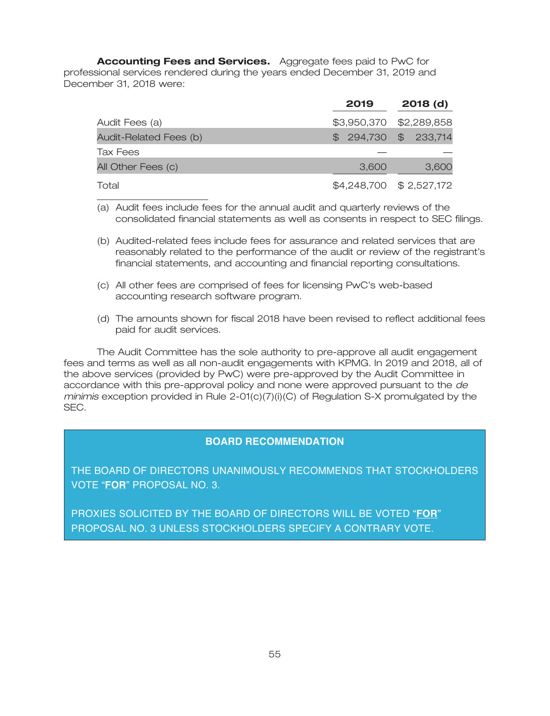**Accounting Fees and Services.** Aggregate fees paid to PwC for professional services rendered during the years ended December 31, 2019 and December 31, 2018 were:

|                        | 2019  | $2018$ (d)              |
|------------------------|-------|-------------------------|
| Audit Fees (a)         |       | \$3,950,370 \$2,289,858 |
| Audit-Related Fees (b) |       | $$294,730$ \$ 233,714   |
| Tax Fees               |       |                         |
| All Other Fees (c)     | 3,600 | 3,600                   |
| Total                  |       | \$4,248,700 \$2,527,172 |

(a) Audit fees include fees for the annual audit and quarterly reviews of the consolidated financial statements as well as consents in respect to SEC filings.

- (b) Audited-related fees include fees for assurance and related services that are reasonably related to the performance of the audit or review of the registrant's financial statements, and accounting and financial reporting consultations.
- (c) All other fees are comprised of fees for licensing PwC's web-based accounting research software program.
- (d) The amounts shown for fiscal 2018 have been revised to reflect additional fees paid for audit services.

The Audit Committee has the sole authority to pre-approve all audit engagement fees and terms as well as all non-audit engagements with KPMG. In 2019 and 2018, all of the above services (provided by PwC) were pre-approved by the Audit Committee in accordance with this pre-approval policy and none were approved pursuant to the *de minimis* exception provided in Rule 2-01(c)(7)(i)(C) of Regulation S-X promulgated by the SEC.

### **BOARD RECOMMENDATION**

THE BOARD OF DIRECTORS UNANIMOUSLY RECOMMENDS THAT STOCKHOLDERS VOTE "**FOR**" PROPOSAL NO. 3.

PROXIES SOLICITED BY THE BOARD OF DIRECTORS WILL BE VOTED "**FOR**" PROPOSAL NO. 3 UNLESS STOCKHOLDERS SPECIFY A CONTRARY VOTE.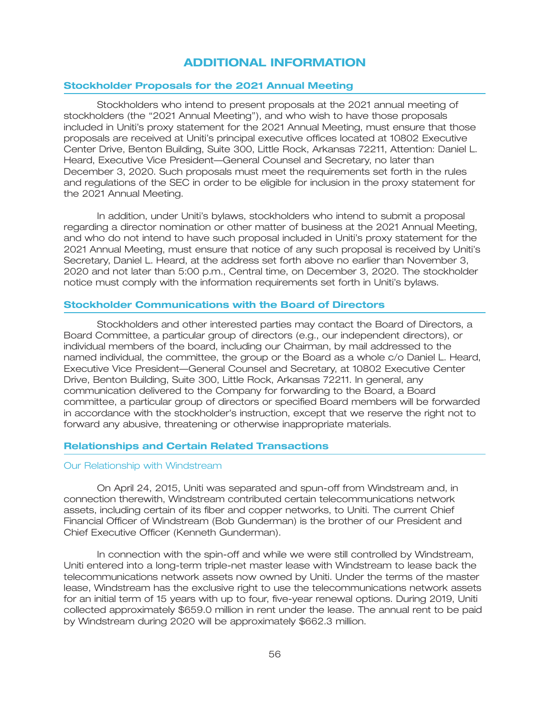### **ADDITIONAL INFORMATION**

### **Stockholder Proposals for the 2021 Annual Meeting**

Stockholders who intend to present proposals at the 2021 annual meeting of stockholders (the "2021 Annual Meeting"), and who wish to have those proposals included in Uniti's proxy statement for the 2021 Annual Meeting, must ensure that those proposals are received at Uniti's principal executive offices located at 10802 Executive Center Drive, Benton Building, Suite 300, Little Rock, Arkansas 72211, Attention: Daniel L. Heard, Executive Vice President—General Counsel and Secretary, no later than December 3, 2020. Such proposals must meet the requirements set forth in the rules and regulations of the SEC in order to be eligible for inclusion in the proxy statement for the 2021 Annual Meeting.

In addition, under Uniti's bylaws, stockholders who intend to submit a proposal regarding a director nomination or other matter of business at the 2021 Annual Meeting, and who do not intend to have such proposal included in Uniti's proxy statement for the 2021 Annual Meeting, must ensure that notice of any such proposal is received by Uniti's Secretary, Daniel L. Heard, at the address set forth above no earlier than November 3, 2020 and not later than 5:00 p.m., Central time, on December 3, 2020. The stockholder notice must comply with the information requirements set forth in Uniti's bylaws.

#### **Stockholder Communications with the Board of Directors**

Stockholders and other interested parties may contact the Board of Directors, a Board Committee, a particular group of directors (e.g., our independent directors), or individual members of the board, including our Chairman, by mail addressed to the named individual, the committee, the group or the Board as a whole c/o Daniel L. Heard, Executive Vice President—General Counsel and Secretary, at 10802 Executive Center Drive, Benton Building, Suite 300, Little Rock, Arkansas 72211. In general, any communication delivered to the Company for forwarding to the Board, a Board committee, a particular group of directors or specified Board members will be forwarded in accordance with the stockholder's instruction, except that we reserve the right not to forward any abusive, threatening or otherwise inappropriate materials.

#### **Relationships and Certain Related Transactions**

#### Our Relationship with Windstream

On April 24, 2015, Uniti was separated and spun-off from Windstream and, in connection therewith, Windstream contributed certain telecommunications network assets, including certain of its fiber and copper networks, to Uniti. The current Chief Financial Officer of Windstream (Bob Gunderman) is the brother of our President and Chief Executive Officer (Kenneth Gunderman).

In connection with the spin-off and while we were still controlled by Windstream, Uniti entered into a long-term triple-net master lease with Windstream to lease back the telecommunications network assets now owned by Uniti. Under the terms of the master lease, Windstream has the exclusive right to use the telecommunications network assets for an initial term of 15 years with up to four, five-year renewal options. During 2019, Uniti collected approximately \$659.0 million in rent under the lease. The annual rent to be paid by Windstream during 2020 will be approximately \$662.3 million.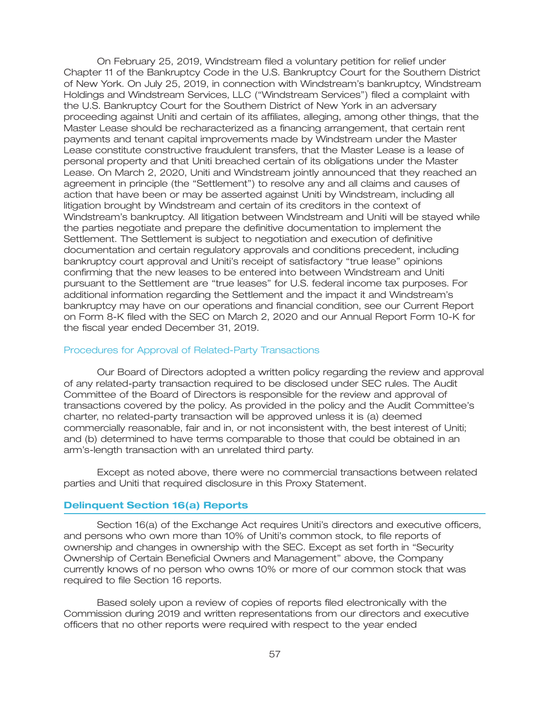On February 25, 2019, Windstream filed a voluntary petition for relief under Chapter 11 of the Bankruptcy Code in the U.S. Bankruptcy Court for the Southern District of New York. On July 25, 2019, in connection with Windstream's bankruptcy, Windstream Holdings and Windstream Services, LLC (''Windstream Services'') filed a complaint with the U.S. Bankruptcy Court for the Southern District of New York in an adversary proceeding against Uniti and certain of its affiliates, alleging, among other things, that the Master Lease should be recharacterized as a financing arrangement, that certain rent payments and tenant capital improvements made by Windstream under the Master Lease constitute constructive fraudulent transfers, that the Master Lease is a lease of personal property and that Uniti breached certain of its obligations under the Master Lease. On March 2, 2020, Uniti and Windstream jointly announced that they reached an agreement in principle (the ''Settlement'') to resolve any and all claims and causes of action that have been or may be asserted against Uniti by Windstream, including all litigation brought by Windstream and certain of its creditors in the context of Windstream's bankruptcy. All litigation between Windstream and Uniti will be stayed while the parties negotiate and prepare the definitive documentation to implement the Settlement. The Settlement is subject to negotiation and execution of definitive documentation and certain regulatory approvals and conditions precedent, including bankruptcy court approval and Uniti's receipt of satisfactory ''true lease'' opinions confirming that the new leases to be entered into between Windstream and Uniti pursuant to the Settlement are ''true leases'' for U.S. federal income tax purposes. For additional information regarding the Settlement and the impact it and Windstream's bankruptcy may have on our operations and financial condition, see our Current Report on Form 8-K filed with the SEC on March 2, 2020 and our Annual Report Form 10-K for the fiscal year ended December 31, 2019.

#### Procedures for Approval of Related-Party Transactions

Our Board of Directors adopted a written policy regarding the review and approval of any related-party transaction required to be disclosed under SEC rules. The Audit Committee of the Board of Directors is responsible for the review and approval of transactions covered by the policy. As provided in the policy and the Audit Committee's charter, no related-party transaction will be approved unless it is (a) deemed commercially reasonable, fair and in, or not inconsistent with, the best interest of Uniti; and (b) determined to have terms comparable to those that could be obtained in an arm's-length transaction with an unrelated third party.

Except as noted above, there were no commercial transactions between related parties and Uniti that required disclosure in this Proxy Statement.

### **Delinquent Section 16(a) Reports**

Section 16(a) of the Exchange Act requires Uniti's directors and executive officers, and persons who own more than 10% of Uniti's common stock, to file reports of ownership and changes in ownership with the SEC. Except as set forth in ''Security Ownership of Certain Beneficial Owners and Management'' above, the Company currently knows of no person who owns 10% or more of our common stock that was required to file Section 16 reports.

Based solely upon a review of copies of reports filed electronically with the Commission during 2019 and written representations from our directors and executive officers that no other reports were required with respect to the year ended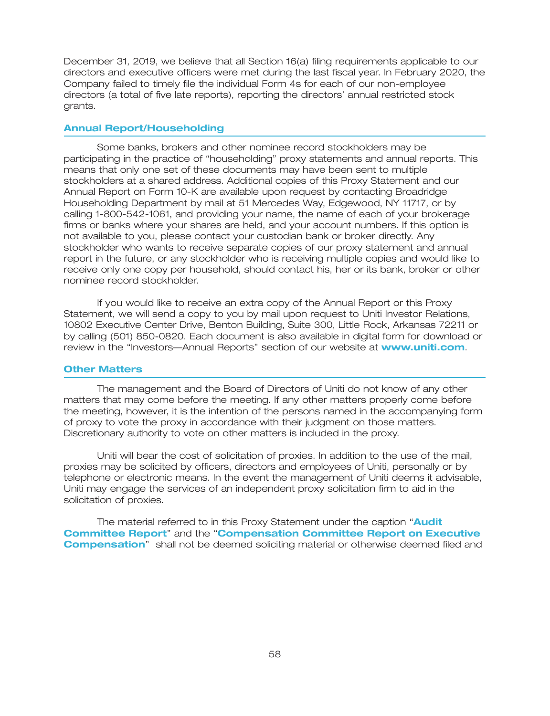December 31, 2019, we believe that all Section 16(a) filing requirements applicable to our directors and executive officers were met during the last fiscal year. In February 2020, the Company failed to timely file the individual Form 4s for each of our non-employee directors (a total of five late reports), reporting the directors' annual restricted stock grants.

### **Annual Report/Householding**

Some banks, brokers and other nominee record stockholders may be participating in the practice of ''householding'' proxy statements and annual reports. This means that only one set of these documents may have been sent to multiple stockholders at a shared address. Additional copies of this Proxy Statement and our Annual Report on Form 10-K are available upon request by contacting Broadridge Householding Department by mail at 51 Mercedes Way, Edgewood, NY 11717, or by calling 1-800-542-1061, and providing your name, the name of each of your brokerage firms or banks where your shares are held, and your account numbers. If this option is not available to you, please contact your custodian bank or broker directly. Any stockholder who wants to receive separate copies of our proxy statement and annual report in the future, or any stockholder who is receiving multiple copies and would like to receive only one copy per household, should contact his, her or its bank, broker or other nominee record stockholder.

If you would like to receive an extra copy of the Annual Report or this Proxy Statement, we will send a copy to you by mail upon request to Uniti Investor Relations, 10802 Executive Center Drive, Benton Building, Suite 300, Little Rock, Arkansas 72211 or by calling (501) 850-0820. Each document is also available in digital form for download or review in the "Investors—Annual Reports" section of our website at **www.uniti.com**.

#### **Other Matters**

The management and the Board of Directors of Uniti do not know of any other matters that may come before the meeting. If any other matters properly come before the meeting, however, it is the intention of the persons named in the accompanying form of proxy to vote the proxy in accordance with their judgment on those matters. Discretionary authority to vote on other matters is included in the proxy.

Uniti will bear the cost of solicitation of proxies. In addition to the use of the mail, proxies may be solicited by officers, directors and employees of Uniti, personally or by telephone or electronic means. In the event the management of Uniti deems it advisable, Uniti may engage the services of an independent proxy solicitation firm to aid in the solicitation of proxies.

The material referred to in this Proxy Statement under the caption '' **Audit Committee Report"** and the "**Compensation Committee Report on Executive Compensation**" shall not be deemed soliciting material or otherwise deemed filed and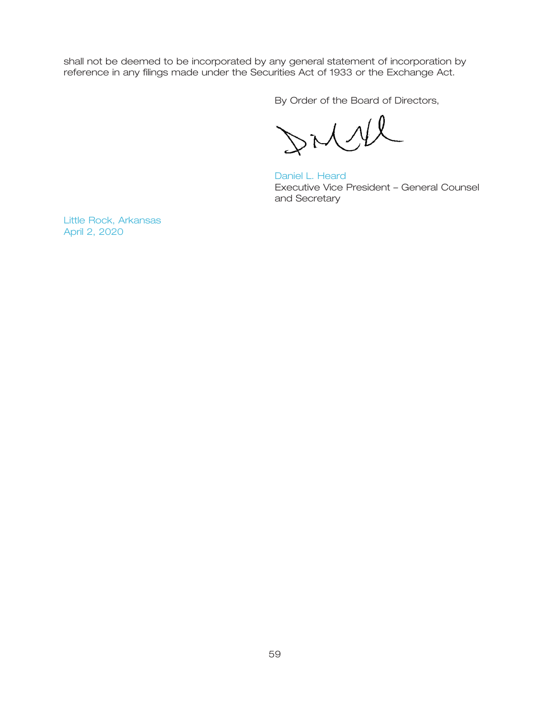shall not be deemed to be incorporated by any general statement of incorporation by reference in any filings made under the Securities Act of 1933 or the Exchange Act.

By Order of the Board of Directors,

 $27M$ 

Executive Vice President – General Counsel and Secretary Daniel L. Heard

Little Rock, Arkansas April 2, 2020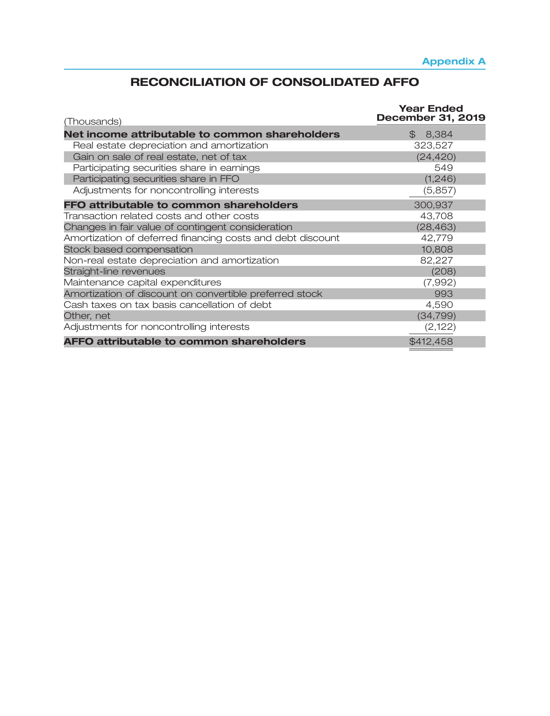# **RECONCILIATION OF CONSOLIDATED AFFO**

| (Thousands)                                                | <b>Year Ended</b><br><b>December 31, 2019</b> |
|------------------------------------------------------------|-----------------------------------------------|
| Net income attributable to common shareholders             | \$8,384                                       |
| Real estate depreciation and amortization                  | 323,527                                       |
| Gain on sale of real estate, net of tax                    | (24, 420)                                     |
| Participating securities share in earnings                 | 549                                           |
| Participating securities share in FFO                      | (1, 246)                                      |
| Adjustments for noncontrolling interests                   | (5,857)                                       |
| FFO attributable to common shareholders                    | 300,937                                       |
| Transaction related costs and other costs                  | 43,708                                        |
| Changes in fair value of contingent consideration          | (28, 463)                                     |
| Amortization of deferred financing costs and debt discount | 42,779                                        |
| Stock based compensation                                   | 10,808                                        |
| Non-real estate depreciation and amortization              | 82,227                                        |
| Straight-line revenues                                     | (208)                                         |
| Maintenance capital expenditures                           | (7,992)                                       |
| Amortization of discount on convertible preferred stock    | 993                                           |
| Cash taxes on tax basis cancellation of debt               | 4,590                                         |
| Other, net                                                 | (34, 799)                                     |
| Adjustments for noncontrolling interests                   | (2,122)                                       |
| <b>AFFO attributable to common shareholders</b>            | \$412,458                                     |